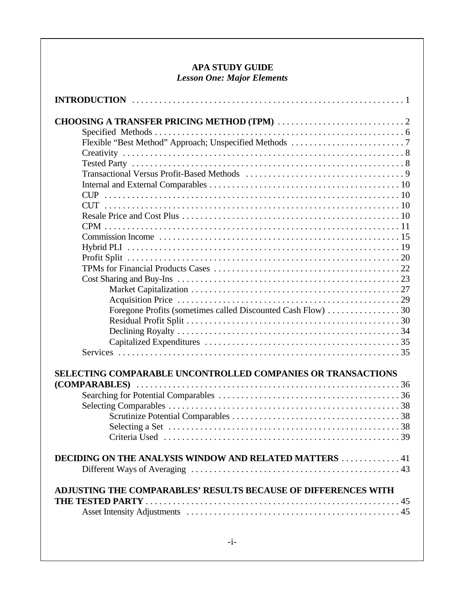# **APA STUDY GUIDE** *Lesson One: Major Elements*

| Foregone Profits (sometimes called Discounted Cash Flow) 30    |
|----------------------------------------------------------------|
|                                                                |
|                                                                |
|                                                                |
|                                                                |
| SELECTING COMPARABLE UNCONTROLLED COMPANIES OR TRANSACTIONS    |
|                                                                |
|                                                                |
|                                                                |
|                                                                |
|                                                                |
|                                                                |
|                                                                |
| DECIDING ON THE ANALYSIS WINDOW AND RELATED MATTERS 41         |
| ADJUSTING THE COMPARABLES' RESULTS BECAUSE OF DIFFERENCES WITH |
|                                                                |
|                                                                |
|                                                                |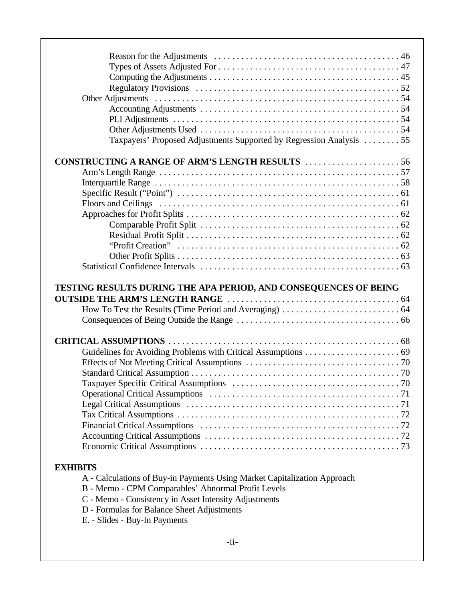| Taxpayers' Proposed Adjustments Supported by Regression Analysis 55      |  |
|--------------------------------------------------------------------------|--|
| <b>CONSTRUCTING A RANGE OF ARM'S LENGTH RESULTS 56</b>                   |  |
|                                                                          |  |
|                                                                          |  |
|                                                                          |  |
|                                                                          |  |
|                                                                          |  |
|                                                                          |  |
|                                                                          |  |
|                                                                          |  |
|                                                                          |  |
|                                                                          |  |
|                                                                          |  |
|                                                                          |  |
|                                                                          |  |
|                                                                          |  |
|                                                                          |  |
|                                                                          |  |
|                                                                          |  |
|                                                                          |  |
|                                                                          |  |
|                                                                          |  |
|                                                                          |  |
|                                                                          |  |
|                                                                          |  |
|                                                                          |  |
|                                                                          |  |
|                                                                          |  |
| <b>EXHIBITS</b>                                                          |  |
| A - Calculations of Buy-in Payments Using Market Capitalization Approach |  |
| B - Memo - CPM Comparables' Abnormal Profit Levels                       |  |
| C - Memo - Consistency in Asset Intensity Adjustments                    |  |
|                                                                          |  |
| D - Formulas for Balance Sheet Adjustments                               |  |
| E. - Slides - Buy-In Payments                                            |  |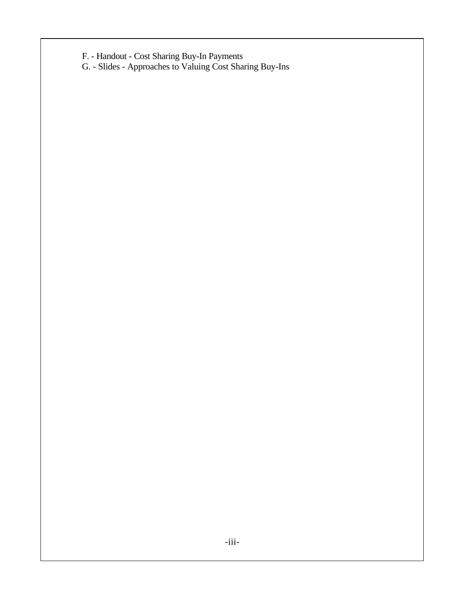F. - Handout - Cost Sharing Buy-In Payments

G. - Slides - Approaches to Valuing Cost Sharing Buy-Ins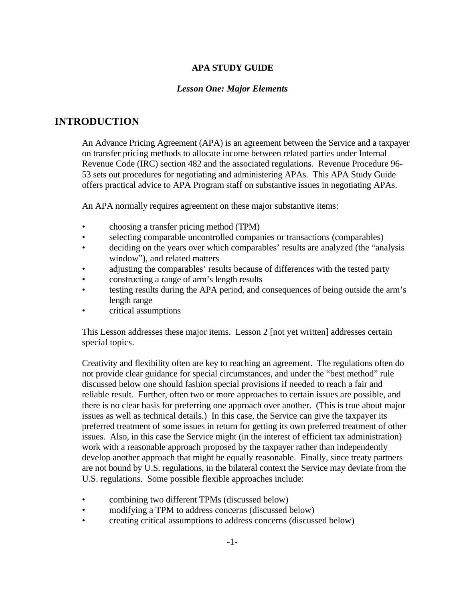## **APA STUDY GUIDE**

## *Lesson One: Major Elements*

# **INTRODUCTION**

An Advance Pricing Agreement (APA) is an agreement between the Service and a taxpayer on transfer pricing methods to allocate income between related parties under Internal Revenue Code (IRC) section 482 and the associated regulations. Revenue Procedure 96- 53 sets out procedures for negotiating and administering APAs. This APA Study Guide offers practical advice to APA Program staff on substantive issues in negotiating APAs.

An APA normally requires agreement on these major substantive items:

- choosing a transfer pricing method (TPM)
- selecting comparable uncontrolled companies or transactions (comparables)
- deciding on the years over which comparables' results are analyzed (the "analysis window"), and related matters
- adjusting the comparables' results because of differences with the tested party
- constructing a range of arm's length results
- testing results during the APA period, and consequences of being outside the arm's length range
- critical assumptions

This Lesson addresses these major items. Lesson 2 [not yet written] addresses certain special topics.

Creativity and flexibility often are key to reaching an agreement. The regulations often do not provide clear guidance for special circumstances, and under the "best method" rule discussed below one should fashion special provisions if needed to reach a fair and reliable result. Further, often two or more approaches to certain issues are possible, and there is no clear basis for preferring one approach over another. (This is true about major issues as well as technical details.) In this case, the Service can give the taxpayer its preferred treatment of some issues in return for getting its own preferred treatment of other issues. Also, in this case the Service might (in the interest of efficient tax administration) work with a reasonable approach proposed by the taxpayer rather than independently develop another approach that might be equally reasonable. Finally, since treaty partners are not bound by U.S. regulations, in the bilateral context the Service may deviate from the U.S. regulations. Some possible flexible approaches include:

- combining two different TPMs (discussed below)
- modifying a TPM to address concerns (discussed below)
- creating critical assumptions to address concerns (discussed below)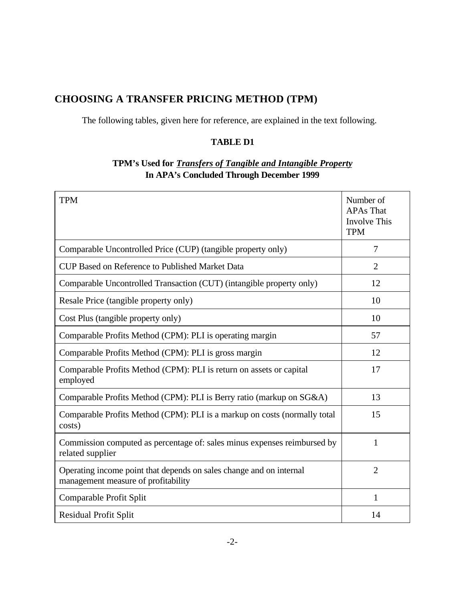# **CHOOSING A TRANSFER PRICING METHOD (TPM)**

The following tables, given here for reference, are explained in the text following.

# **TABLE D1**

# **TPM's Used for** *Transfers of Tangible and Intangible Property* **In APA's Concluded Through December 1999**

| <b>TPM</b>                                                                                                 | Number of<br><b>APAs That</b><br><b>Involve This</b><br><b>TPM</b> |
|------------------------------------------------------------------------------------------------------------|--------------------------------------------------------------------|
| Comparable Uncontrolled Price (CUP) (tangible property only)                                               | 7                                                                  |
| <b>CUP Based on Reference to Published Market Data</b>                                                     | $\overline{2}$                                                     |
| Comparable Uncontrolled Transaction (CUT) (intangible property only)                                       | 12                                                                 |
| Resale Price (tangible property only)                                                                      | 10                                                                 |
| Cost Plus (tangible property only)                                                                         | 10                                                                 |
| Comparable Profits Method (CPM): PLI is operating margin                                                   | 57                                                                 |
| Comparable Profits Method (CPM): PLI is gross margin                                                       | 12                                                                 |
| Comparable Profits Method (CPM): PLI is return on assets or capital<br>employed                            | 17                                                                 |
| Comparable Profits Method (CPM): PLI is Berry ratio (markup on SG&A)                                       | 13                                                                 |
| Comparable Profits Method (CPM): PLI is a markup on costs (normally total<br>costs)                        | 15                                                                 |
| Commission computed as percentage of: sales minus expenses reimbursed by<br>related supplier               | 1                                                                  |
| Operating income point that depends on sales change and on internal<br>management measure of profitability | $\overline{2}$                                                     |
| Comparable Profit Split                                                                                    | $\mathbf{1}$                                                       |
| <b>Residual Profit Split</b>                                                                               | 14                                                                 |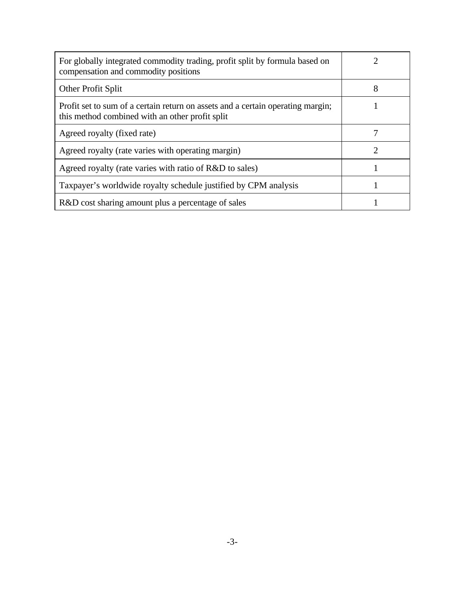| For globally integrated commodity trading, profit split by formula based on<br>compensation and commodity positions                |   |
|------------------------------------------------------------------------------------------------------------------------------------|---|
| Other Profit Split                                                                                                                 | 8 |
| Profit set to sum of a certain return on assets and a certain operating margin;<br>this method combined with an other profit split |   |
| Agreed royalty (fixed rate)                                                                                                        |   |
| Agreed royalty (rate varies with operating margin)                                                                                 |   |
| Agreed royalty (rate varies with ratio of R&D to sales)                                                                            |   |
| Taxpayer's worldwide royalty schedule justified by CPM analysis                                                                    |   |
| R&D cost sharing amount plus a percentage of sales                                                                                 |   |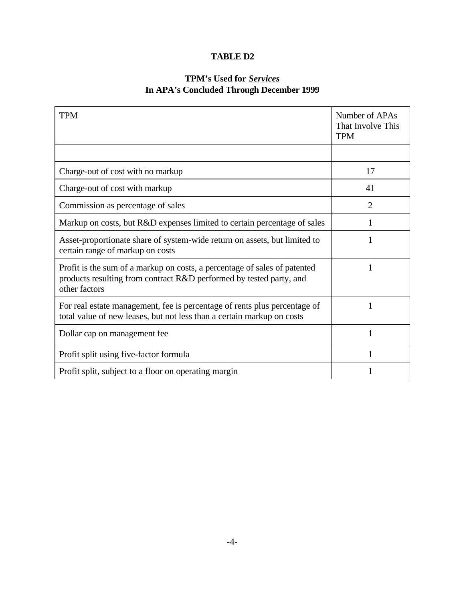# **TABLE D2**

# **TPM's Used for** *Services* **In APA's Concluded Through December 1999**

| <b>TPM</b>                                                                                                                                                        | Number of APAs<br>That Involve This<br><b>TPM</b> |
|-------------------------------------------------------------------------------------------------------------------------------------------------------------------|---------------------------------------------------|
|                                                                                                                                                                   |                                                   |
| Charge-out of cost with no markup                                                                                                                                 | 17                                                |
| Charge-out of cost with markup                                                                                                                                    | 41                                                |
| Commission as percentage of sales                                                                                                                                 | $\overline{2}$                                    |
| Markup on costs, but R&D expenses limited to certain percentage of sales                                                                                          |                                                   |
| Asset-proportionate share of system-wide return on assets, but limited to<br>certain range of markup on costs                                                     |                                                   |
| Profit is the sum of a markup on costs, a percentage of sales of patented<br>products resulting from contract R&D performed by tested party, and<br>other factors | 1                                                 |
| For real estate management, fee is percentage of rents plus percentage of<br>total value of new leases, but not less than a certain markup on costs               | 1                                                 |
| Dollar cap on management fee                                                                                                                                      | 1                                                 |
| Profit split using five-factor formula                                                                                                                            |                                                   |
| Profit split, subject to a floor on operating margin                                                                                                              |                                                   |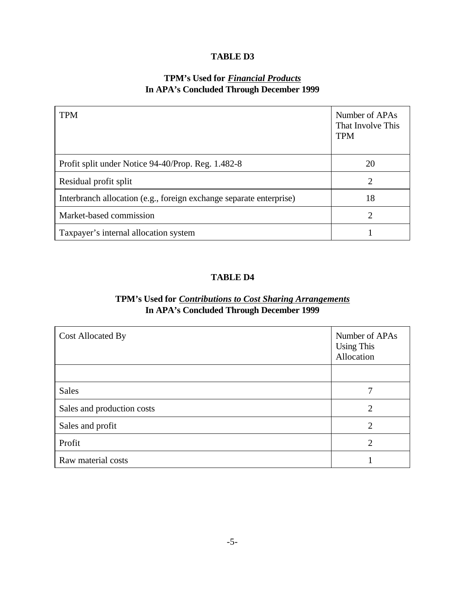## **TABLE D3**

# **TPM's Used for** *Financial Products* **In APA's Concluded Through December 1999**

| <b>TPM</b>                                                          | Number of APAs<br>That Involve This<br><b>TPM</b> |
|---------------------------------------------------------------------|---------------------------------------------------|
| Profit split under Notice 94-40/Prop. Reg. 1.482-8                  | 20                                                |
| Residual profit split                                               | 2                                                 |
| Interbranch allocation (e.g., foreign exchange separate enterprise) | 18                                                |
| Market-based commission                                             | $\mathcal{D}_{\mathcal{L}}$                       |
| Taxpayer's internal allocation system                               |                                                   |

## **TABLE D4**

# **TPM's Used for** *Contributions to Cost Sharing Arrangements* **In APA's Concluded Through December 1999**

| <b>Cost Allocated By</b>   | Number of APAs<br><b>Using This</b><br>Allocation |
|----------------------------|---------------------------------------------------|
|                            |                                                   |
| <b>Sales</b>               |                                                   |
| Sales and production costs | $\overline{2}$                                    |
| Sales and profit           | 2                                                 |
| Profit                     | $\overline{2}$                                    |
| Raw material costs         |                                                   |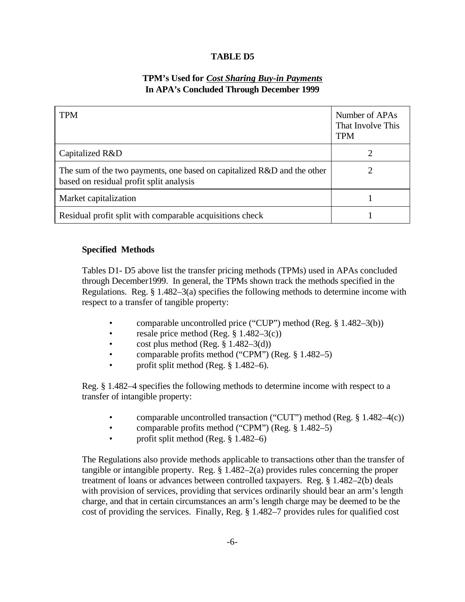## **TABLE D5**

# **TPM's Used for** *Cost Sharing Buy-in Payments* **In APA's Concluded Through December 1999**

| <b>TPM</b>                                                                                                         | Number of APAs<br>That Involve This<br><b>TPM</b> |
|--------------------------------------------------------------------------------------------------------------------|---------------------------------------------------|
| Capitalized R&D                                                                                                    |                                                   |
| The sum of the two payments, one based on capitalized R&D and the other<br>based on residual profit split analysis |                                                   |
| Market capitalization                                                                                              |                                                   |
| Residual profit split with comparable acquisitions check                                                           |                                                   |

## **Specified Methods**

Tables D1- D5 above list the transfer pricing methods (TPMs) used in APAs concluded through December1999. In general, the TPMs shown track the methods specified in the Regulations. Reg. § 1.482–3(a) specifies the following methods to determine income with respect to a transfer of tangible property:

- comparable uncontrolled price ("CUP") method (Reg. § 1.482–3(b))
- resale price method (Reg.  $\S$  1.482–3(c))
- cost plus method (Reg.  $\S$  1.482–3(d))
- comparable profits method ("CPM") (Reg. § 1.482–5)
- profit split method (Reg. § 1.482–6).

Reg. § 1.482–4 specifies the following methods to determine income with respect to a transfer of intangible property:

- comparable uncontrolled transaction ("CUT") method (Reg. § 1.482–4(c))
- comparable profits method ("CPM") (Reg. § 1.482–5)
- profit split method (Reg. § 1.482–6)

The Regulations also provide methods applicable to transactions other than the transfer of tangible or intangible property. Reg. § 1.482–2(a) provides rules concerning the proper treatment of loans or advances between controlled taxpayers. Reg. § 1.482–2(b) deals with provision of services, providing that services ordinarily should bear an arm's length charge, and that in certain circumstances an arm's length charge may be deemed to be the cost of providing the services. Finally, Reg. § 1.482–7 provides rules for qualified cost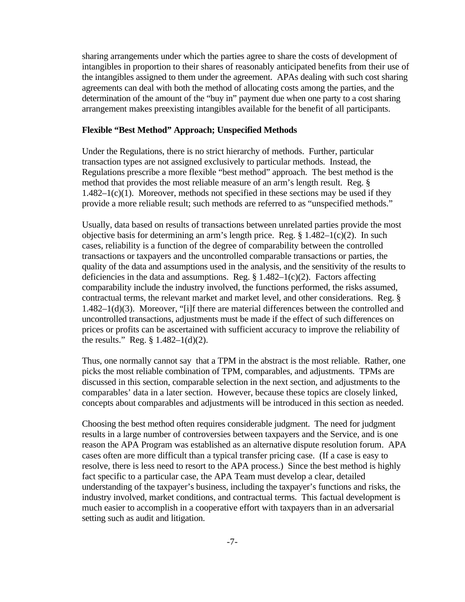sharing arrangements under which the parties agree to share the costs of development of intangibles in proportion to their shares of reasonably anticipated benefits from their use of the intangibles assigned to them under the agreement. APAs dealing with such cost sharing agreements can deal with both the method of allocating costs among the parties, and the determination of the amount of the "buy in" payment due when one party to a cost sharing arrangement makes preexisting intangibles available for the benefit of all participants.

#### **Flexible "Best Method" Approach; Unspecified Methods**

Under the Regulations, there is no strict hierarchy of methods. Further, particular transaction types are not assigned exclusively to particular methods. Instead, the Regulations prescribe a more flexible "best method" approach. The best method is the method that provides the most reliable measure of an arm's length result. Reg. §  $1.482-1(c)(1)$ . Moreover, methods not specified in these sections may be used if they provide a more reliable result; such methods are referred to as "unspecified methods."

Usually, data based on results of transactions between unrelated parties provide the most objective basis for determining an arm's length price. Reg. § 1.482–1(c)(2). In such cases, reliability is a function of the degree of comparability between the controlled transactions or taxpayers and the uncontrolled comparable transactions or parties, the quality of the data and assumptions used in the analysis, and the sensitivity of the results to deficiencies in the data and assumptions. Reg.  $\S 1.482-1(c)(2)$ . Factors affecting comparability include the industry involved, the functions performed, the risks assumed, contractual terms, the relevant market and market level, and other considerations. Reg. §  $1.482-1(d)(3)$ . Moreover, "[i]f there are material differences between the controlled and uncontrolled transactions, adjustments must be made if the effect of such differences on prices or profits can be ascertained with sufficient accuracy to improve the reliability of the results." Reg.  $\S 1.482 - 1(d)(2)$ .

Thus, one normally cannot say that a TPM in the abstract is the most reliable. Rather, one picks the most reliable combination of TPM, comparables, and adjustments. TPMs are discussed in this section, comparable selection in the next section, and adjustments to the comparables' data in a later section. However, because these topics are closely linked, concepts about comparables and adjustments will be introduced in this section as needed.

Choosing the best method often requires considerable judgment. The need for judgment results in a large number of controversies between taxpayers and the Service, and is one reason the APA Program was established as an alternative dispute resolution forum. APA cases often are more difficult than a typical transfer pricing case. (If a case is easy to resolve, there is less need to resort to the APA process.) Since the best method is highly fact specific to a particular case, the APA Team must develop a clear, detailed understanding of the taxpayer's business, including the taxpayer's functions and risks, the industry involved, market conditions, and contractual terms. This factual development is much easier to accomplish in a cooperative effort with taxpayers than in an adversarial setting such as audit and litigation.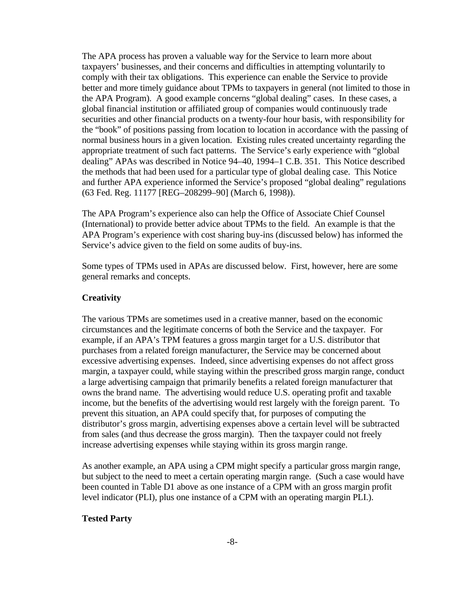The APA process has proven a valuable way for the Service to learn more about taxpayers' businesses, and their concerns and difficulties in attempting voluntarily to comply with their tax obligations. This experience can enable the Service to provide better and more timely guidance about TPMs to taxpayers in general (not limited to those in the APA Program). A good example concerns "global dealing" cases. In these cases, a global financial institution or affiliated group of companies would continuously trade securities and other financial products on a twenty-four hour basis, with responsibility for the "book" of positions passing from location to location in accordance with the passing of normal business hours in a given location. Existing rules created uncertainty regarding the appropriate treatment of such fact patterns. The Service's early experience with "global dealing" APAs was described in Notice 94–40, 1994–1 C.B. 351. This Notice described the methods that had been used for a particular type of global dealing case. This Notice and further APA experience informed the Service's proposed "global dealing" regulations (63 Fed. Reg. 11177 [REG–208299–90] (March 6, 1998)).

The APA Program's experience also can help the Office of Associate Chief Counsel (International) to provide better advice about TPMs to the field. An example is that the APA Program's experience with cost sharing buy-ins (discussed below) has informed the Service's advice given to the field on some audits of buy-ins.

Some types of TPMs used in APAs are discussed below. First, however, here are some general remarks and concepts.

### **Creativity**

The various TPMs are sometimes used in a creative manner, based on the economic circumstances and the legitimate concerns of both the Service and the taxpayer. For example, if an APA's TPM features a gross margin target for a U.S. distributor that purchases from a related foreign manufacturer, the Service may be concerned about excessive advertising expenses. Indeed, since advertising expenses do not affect gross margin, a taxpayer could, while staying within the prescribed gross margin range, conduct a large advertising campaign that primarily benefits a related foreign manufacturer that owns the brand name. The advertising would reduce U.S. operating profit and taxable income, but the benefits of the advertising would rest largely with the foreign parent. To prevent this situation, an APA could specify that, for purposes of computing the distributor's gross margin, advertising expenses above a certain level will be subtracted from sales (and thus decrease the gross margin). Then the taxpayer could not freely increase advertising expenses while staying within its gross margin range.

As another example, an APA using a CPM might specify a particular gross margin range, but subject to the need to meet a certain operating margin range. (Such a case would have been counted in Table D1 above as one instance of a CPM with an gross margin profit level indicator (PLI), plus one instance of a CPM with an operating margin PLI.).

### **Tested Party**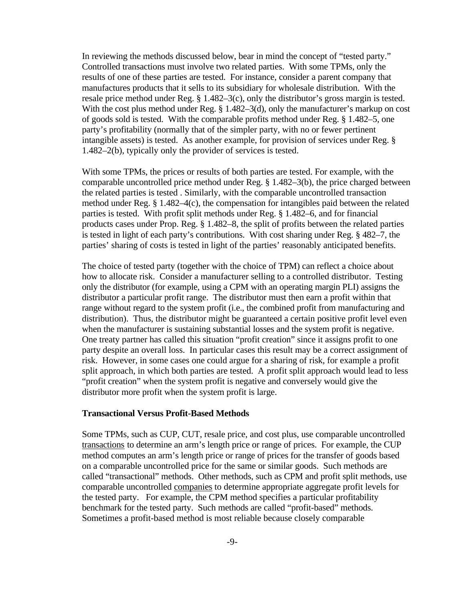In reviewing the methods discussed below, bear in mind the concept of "tested party." Controlled transactions must involve two related parties. With some TPMs, only the results of one of these parties are tested. For instance, consider a parent company that manufactures products that it sells to its subsidiary for wholesale distribution. With the resale price method under Reg. § 1.482–3(c), only the distributor's gross margin is tested. With the cost plus method under Reg. § 1.482–3(d), only the manufacturer's markup on cost of goods sold is tested. With the comparable profits method under Reg. § 1.482–5, one party's profitability (normally that of the simpler party, with no or fewer pertinent intangible assets) is tested. As another example, for provision of services under Reg. § 1.482–2(b), typically only the provider of services is tested.

With some TPMs, the prices or results of both parties are tested. For example, with the comparable uncontrolled price method under Reg. § 1.482–3(b), the price charged between the related parties is tested . Similarly, with the comparable uncontrolled transaction method under Reg. § 1.482–4(c), the compensation for intangibles paid between the related parties is tested. With profit split methods under Reg. § 1.482–6, and for financial products cases under Prop. Reg. § 1.482–8, the split of profits between the related parties is tested in light of each party's contributions. With cost sharing under Reg. § 482–7, the parties' sharing of costs is tested in light of the parties' reasonably anticipated benefits.

The choice of tested party (together with the choice of TPM) can reflect a choice about how to allocate risk. Consider a manufacturer selling to a controlled distributor. Testing only the distributor (for example, using a CPM with an operating margin PLI) assigns the distributor a particular profit range. The distributor must then earn a profit within that range without regard to the system profit (i.e., the combined profit from manufacturing and distribution). Thus, the distributor might be guaranteed a certain positive profit level even when the manufacturer is sustaining substantial losses and the system profit is negative. One treaty partner has called this situation "profit creation" since it assigns profit to one party despite an overall loss. In particular cases this result may be a correct assignment of risk. However, in some cases one could argue for a sharing of risk, for example a profit split approach, in which both parties are tested. A profit split approach would lead to less "profit creation" when the system profit is negative and conversely would give the distributor more profit when the system profit is large.

#### **Transactional Versus Profit-Based Methods**

Some TPMs, such as CUP, CUT, resale price, and cost plus, use comparable uncontrolled transactions to determine an arm's length price or range of prices. For example, the CUP method computes an arm's length price or range of prices for the transfer of goods based on a comparable uncontrolled price for the same or similar goods. Such methods are called "transactional" methods. Other methods, such as CPM and profit split methods, use comparable uncontrolled companies to determine appropriate aggregate profit levels for the tested party. For example, the CPM method specifies a particular profitability benchmark for the tested party. Such methods are called "profit-based" methods. Sometimes a profit-based method is most reliable because closely comparable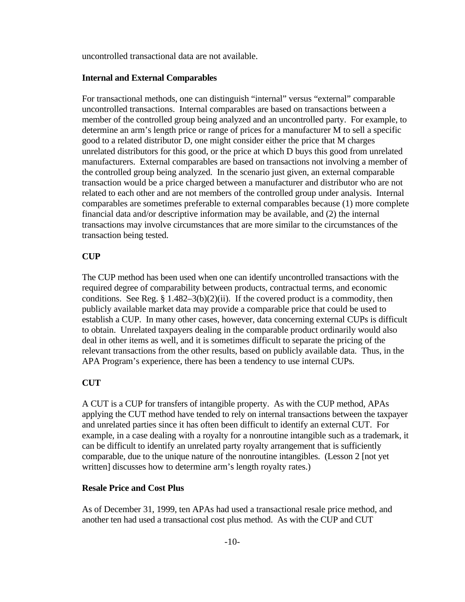uncontrolled transactional data are not available.

### **Internal and External Comparables**

For transactional methods, one can distinguish "internal" versus "external" comparable uncontrolled transactions. Internal comparables are based on transactions between a member of the controlled group being analyzed and an uncontrolled party. For example, to determine an arm's length price or range of prices for a manufacturer M to sell a specific good to a related distributor D, one might consider either the price that M charges unrelated distributors for this good, or the price at which D buys this good from unrelated manufacturers. External comparables are based on transactions not involving a member of the controlled group being analyzed. In the scenario just given, an external comparable transaction would be a price charged between a manufacturer and distributor who are not related to each other and are not members of the controlled group under analysis. Internal comparables are sometimes preferable to external comparables because (1) more complete financial data and/or descriptive information may be available, and (2) the internal transactions may involve circumstances that are more similar to the circumstances of the transaction being tested.

## **CUP**

The CUP method has been used when one can identify uncontrolled transactions with the required degree of comparability between products, contractual terms, and economic conditions. See Reg.  $\S 1.482-3(b)(2)(ii)$ . If the covered product is a commodity, then publicly available market data may provide a comparable price that could be used to establish a CUP. In many other cases, however, data concerning external CUPs is difficult to obtain. Unrelated taxpayers dealing in the comparable product ordinarily would also deal in other items as well, and it is sometimes difficult to separate the pricing of the relevant transactions from the other results, based on publicly available data. Thus, in the APA Program's experience, there has been a tendency to use internal CUPs.

### **CUT**

A CUT is a CUP for transfers of intangible property. As with the CUP method, APAs applying the CUT method have tended to rely on internal transactions between the taxpayer and unrelated parties since it has often been difficult to identify an external CUT. For example, in a case dealing with a royalty for a nonroutine intangible such as a trademark, it can be difficult to identify an unrelated party royalty arrangement that is sufficiently comparable, due to the unique nature of the nonroutine intangibles. (Lesson 2 [not yet written] discusses how to determine arm's length royalty rates.)

### **Resale Price and Cost Plus**

As of December 31, 1999, ten APAs had used a transactional resale price method, and another ten had used a transactional cost plus method. As with the CUP and CUT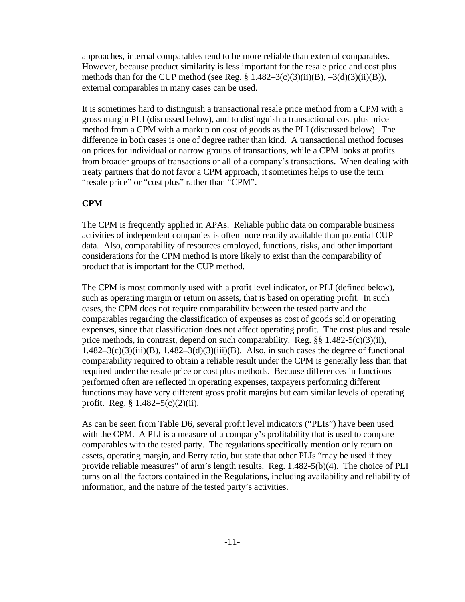approaches, internal comparables tend to be more reliable than external comparables. However, because product similarity is less important for the resale price and cost plus methods than for the CUP method (see Reg.  $\S 1.482-3(c)(3)(ii)(B)$ ,  $-3(d)(3)(ii)(B)$ ), external comparables in many cases can be used.

It is sometimes hard to distinguish a transactional resale price method from a CPM with a gross margin PLI (discussed below), and to distinguish a transactional cost plus price method from a CPM with a markup on cost of goods as the PLI (discussed below). The difference in both cases is one of degree rather than kind. A transactional method focuses on prices for individual or narrow groups of transactions, while a CPM looks at profits from broader groups of transactions or all of a company's transactions. When dealing with treaty partners that do not favor a CPM approach, it sometimes helps to use the term "resale price" or "cost plus" rather than "CPM".

### **CPM**

The CPM is frequently applied in APAs. Reliable public data on comparable business activities of independent companies is often more readily available than potential CUP data. Also, comparability of resources employed, functions, risks, and other important considerations for the CPM method is more likely to exist than the comparability of product that is important for the CUP method.

The CPM is most commonly used with a profit level indicator, or PLI (defined below), such as operating margin or return on assets, that is based on operating profit. In such cases, the CPM does not require comparability between the tested party and the comparables regarding the classification of expenses as cost of goods sold or operating expenses, since that classification does not affect operating profit. The cost plus and resale price methods, in contrast, depend on such comparability. Reg. §§ 1.482-5(c)(3)(ii),  $1.482-3(c)(3)(iii)(B)$ ,  $1.482-3(d)(3)(iii)(B)$ . Also, in such cases the degree of functional comparability required to obtain a reliable result under the CPM is generally less than that required under the resale price or cost plus methods. Because differences in functions performed often are reflected in operating expenses, taxpayers performing different functions may have very different gross profit margins but earn similar levels of operating profit. Reg.  $\frac{8}{3}$  1.482–5(c)(2)(ii).

As can be seen from Table D6, several profit level indicators ("PLIs") have been used with the CPM. A PLI is a measure of a company's profitability that is used to compare comparables with the tested party. The regulations specifically mention only return on assets, operating margin, and Berry ratio, but state that other PLIs "may be used if they provide reliable measures" of arm's length results. Reg. 1.482-5(b)(4). The choice of PLI turns on all the factors contained in the Regulations, including availability and reliability of information, and the nature of the tested party's activities.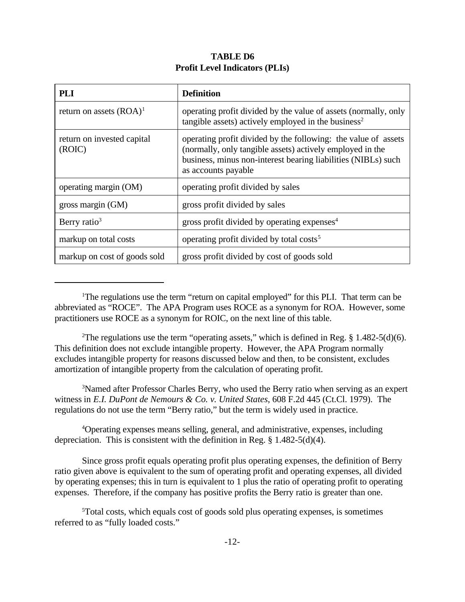## **TABLE D6 Profit Level Indicators (PLIs)**

| <b>PLI</b>                           | <b>Definition</b>                                                                                                                                                                                                   |  |  |
|--------------------------------------|---------------------------------------------------------------------------------------------------------------------------------------------------------------------------------------------------------------------|--|--|
| return on assets $(ROA)^1$           | operating profit divided by the value of assets (normally, only<br>tangible assets) actively employed in the business <sup>2</sup>                                                                                  |  |  |
| return on invested capital<br>(ROIC) | operating profit divided by the following: the value of assets<br>(normally, only tangible assets) actively employed in the<br>business, minus non-interest bearing liabilities (NIBLs) such<br>as accounts payable |  |  |
| operating margin (OM)                | operating profit divided by sales                                                                                                                                                                                   |  |  |
| gross margin $(GM)$                  | gross profit divided by sales                                                                                                                                                                                       |  |  |
| Berry ratio <sup>3</sup>             | gross profit divided by operating expenses $4$                                                                                                                                                                      |  |  |
| markup on total costs                | operating profit divided by total costs <sup>5</sup>                                                                                                                                                                |  |  |
| markup on cost of goods sold         | gross profit divided by cost of goods sold                                                                                                                                                                          |  |  |

<sup>1</sup>The regulations use the term "return on capital employed" for this PLI. That term can be abbreviated as "ROCE". The APA Program uses ROCE as a synonym for ROA. However, some practitioners use ROCE as a synonym for ROIC, on the next line of this table.

<sup>2</sup>The regulations use the term "operating assets," which is defined in Reg.  $\S$  1.482-5(d)(6). This definition does not exclude intangible property. However, the APA Program normally excludes intangible property for reasons discussed below and then, to be consistent, excludes amortization of intangible property from the calculation of operating profit.

<sup>3</sup>Named after Professor Charles Berry, who used the Berry ratio when serving as an expert witness in *E.I. DuPont de Nemours & Co. v. United States*, 608 F.2d 445 (Ct.Cl. 1979). The regulations do not use the term "Berry ratio," but the term is widely used in practice.

<sup>4</sup>Operating expenses means selling, general, and administrative, expenses, including depreciation. This is consistent with the definition in Reg. § 1.482-5(d)(4).

Since gross profit equals operating profit plus operating expenses, the definition of Berry ratio given above is equivalent to the sum of operating profit and operating expenses, all divided by operating expenses; this in turn is equivalent to 1 plus the ratio of operating profit to operating expenses. Therefore, if the company has positive profits the Berry ratio is greater than one.

<sup>5</sup>Total costs, which equals cost of goods sold plus operating expenses, is sometimes referred to as "fully loaded costs."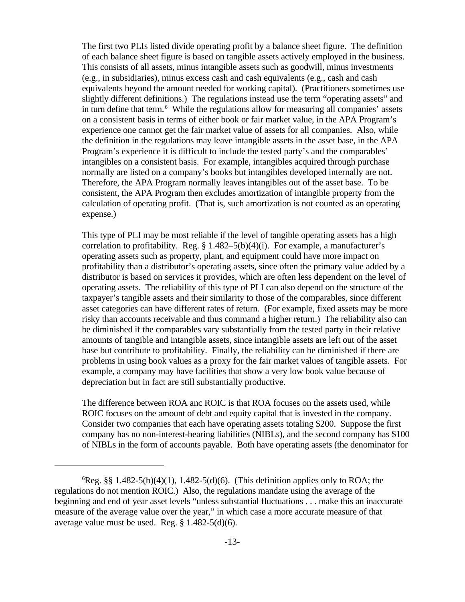The first two PLIs listed divide operating profit by a balance sheet figure. The definition of each balance sheet figure is based on tangible assets actively employed in the business. This consists of all assets, minus intangible assets such as goodwill, minus investments (e.g., in subsidiaries), minus excess cash and cash equivalents (e.g., cash and cash equivalents beyond the amount needed for working capital). (Practitioners sometimes use slightly different definitions.) The regulations instead use the term "operating assets" and in turn define that term.<sup>6</sup> While the regulations allow for measuring all companies' assets on a consistent basis in terms of either book or fair market value, in the APA Program's experience one cannot get the fair market value of assets for all companies. Also, while the definition in the regulations may leave intangible assets in the asset base, in the APA Program's experience it is difficult to include the tested party's and the comparables' intangibles on a consistent basis. For example, intangibles acquired through purchase normally are listed on a company's books but intangibles developed internally are not. Therefore, the APA Program normally leaves intangibles out of the asset base. To be consistent, the APA Program then excludes amortization of intangible property from the calculation of operating profit. (That is, such amortization is not counted as an operating expense.)

This type of PLI may be most reliable if the level of tangible operating assets has a high correlation to profitability. Reg.  $\S 1.482-5(b)(4)(i)$ . For example, a manufacturer's operating assets such as property, plant, and equipment could have more impact on profitability than a distributor's operating assets, since often the primary value added by a distributor is based on services it provides, which are often less dependent on the level of operating assets. The reliability of this type of PLI can also depend on the structure of the taxpayer's tangible assets and their similarity to those of the comparables, since different asset categories can have different rates of return. (For example, fixed assets may be more risky than accounts receivable and thus command a higher return.) The reliability also can be diminished if the comparables vary substantially from the tested party in their relative amounts of tangible and intangible assets, since intangible assets are left out of the asset base but contribute to profitability. Finally, the reliability can be diminished if there are problems in using book values as a proxy for the fair market values of tangible assets. For example, a company may have facilities that show a very low book value because of depreciation but in fact are still substantially productive.

The difference between ROA anc ROIC is that ROA focuses on the assets used, while ROIC focuses on the amount of debt and equity capital that is invested in the company. Consider two companies that each have operating assets totaling \$200. Suppose the first company has no non-interest-bearing liabilities (NIBLs), and the second company has \$100 of NIBLs in the form of accounts payable. Both have operating assets (the denominator for

 ${}^{6}$ Reg. §§ 1.482-5(b)(4)(1), 1.482-5(d)(6). (This definition applies only to ROA; the regulations do not mention ROIC.) Also, the regulations mandate using the average of the beginning and end of year asset levels "unless substantial fluctuations . . . make this an inaccurate measure of the average value over the year," in which case a more accurate measure of that average value must be used. Reg. § 1.482-5(d)(6).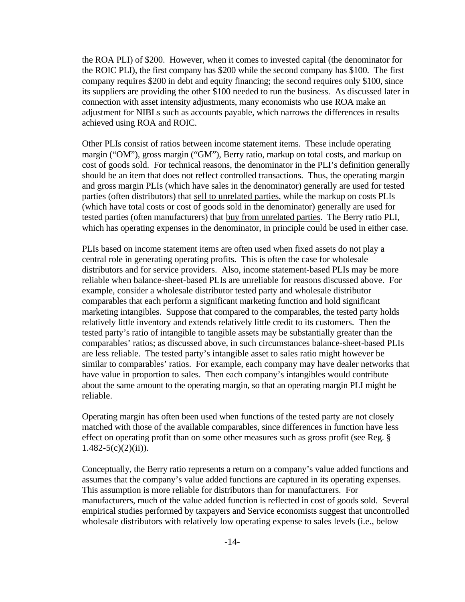the ROA PLI) of \$200. However, when it comes to invested capital (the denominator for the ROIC PLI), the first company has \$200 while the second company has \$100. The first company requires \$200 in debt and equity financing; the second requires only \$100, since its suppliers are providing the other \$100 needed to run the business. As discussed later in connection with asset intensity adjustments, many economists who use ROA make an adjustment for NIBLs such as accounts payable, which narrows the differences in results achieved using ROA and ROIC.

Other PLIs consist of ratios between income statement items. These include operating margin ("OM"), gross margin ("GM"), Berry ratio, markup on total costs, and markup on cost of goods sold. For technical reasons, the denominator in the PLI's definition generally should be an item that does not reflect controlled transactions. Thus, the operating margin and gross margin PLIs (which have sales in the denominator) generally are used for tested parties (often distributors) that sell to unrelated parties, while the markup on costs PLIs (which have total costs or cost of goods sold in the denominator) generally are used for tested parties (often manufacturers) that buy from unrelated parties. The Berry ratio PLI, which has operating expenses in the denominator, in principle could be used in either case.

PLIs based on income statement items are often used when fixed assets do not play a central role in generating operating profits. This is often the case for wholesale distributors and for service providers. Also, income statement-based PLIs may be more reliable when balance-sheet-based PLIs are unreliable for reasons discussed above. For example, consider a wholesale distributor tested party and wholesale distributor comparables that each perform a significant marketing function and hold significant marketing intangibles. Suppose that compared to the comparables, the tested party holds relatively little inventory and extends relatively little credit to its customers. Then the tested party's ratio of intangible to tangible assets may be substantially greater than the comparables' ratios; as discussed above, in such circumstances balance-sheet-based PLIs are less reliable. The tested party's intangible asset to sales ratio might however be similar to comparables' ratios. For example, each company may have dealer networks that have value in proportion to sales. Then each company's intangibles would contribute about the same amount to the operating margin, so that an operating margin PLI might be reliable.

Operating margin has often been used when functions of the tested party are not closely matched with those of the available comparables, since differences in function have less effect on operating profit than on some other measures such as gross profit (see Reg. §  $1.482 - 5(c)(2)(ii)$ ).

Conceptually, the Berry ratio represents a return on a company's value added functions and assumes that the company's value added functions are captured in its operating expenses. This assumption is more reliable for distributors than for manufacturers. For manufacturers, much of the value added function is reflected in cost of goods sold. Several empirical studies performed by taxpayers and Service economists suggest that uncontrolled wholesale distributors with relatively low operating expense to sales levels (i.e., below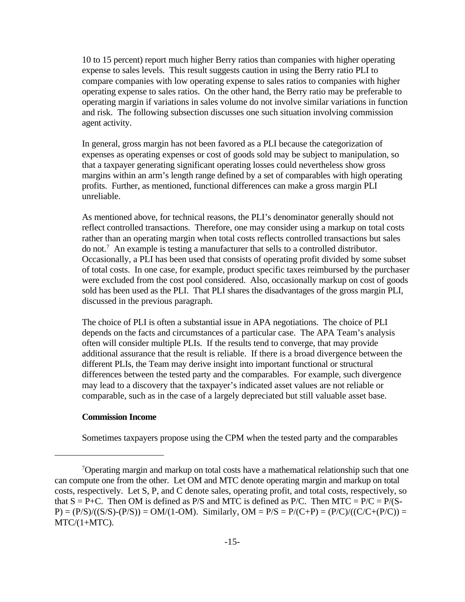10 to 15 percent) report much higher Berry ratios than companies with higher operating expense to sales levels. This result suggests caution in using the Berry ratio PLI to compare companies with low operating expense to sales ratios to companies with higher operating expense to sales ratios. On the other hand, the Berry ratio may be preferable to operating margin if variations in sales volume do not involve similar variations in function and risk. The following subsection discusses one such situation involving commission agent activity.

In general, gross margin has not been favored as a PLI because the categorization of expenses as operating expenses or cost of goods sold may be subject to manipulation, so that a taxpayer generating significant operating losses could nevertheless show gross margins within an arm's length range defined by a set of comparables with high operating profits. Further, as mentioned, functional differences can make a gross margin PLI unreliable.

As mentioned above, for technical reasons, the PLI's denominator generally should not reflect controlled transactions. Therefore, one may consider using a markup on total costs rather than an operating margin when total costs reflects controlled transactions but sales do not.<sup>7</sup> An example is testing a manufacturer that sells to a controlled distributor. Occasionally, a PLI has been used that consists of operating profit divided by some subset of total costs. In one case, for example, product specific taxes reimbursed by the purchaser were excluded from the cost pool considered. Also, occasionally markup on cost of goods sold has been used as the PLI. That PLI shares the disadvantages of the gross margin PLI, discussed in the previous paragraph.

The choice of PLI is often a substantial issue in APA negotiations. The choice of PLI depends on the facts and circumstances of a particular case. The APA Team's analysis often will consider multiple PLIs. If the results tend to converge, that may provide additional assurance that the result is reliable. If there is a broad divergence between the different PLIs, the Team may derive insight into important functional or structural differences between the tested party and the comparables. For example, such divergence may lead to a discovery that the taxpayer's indicated asset values are not reliable or comparable, such as in the case of a largely depreciated but still valuable asset base.

### **Commission Income**

Sometimes taxpayers propose using the CPM when the tested party and the comparables

<sup>7</sup>Operating margin and markup on total costs have a mathematical relationship such that one can compute one from the other. Let OM and MTC denote operating margin and markup on total costs, respectively. Let S, P, and C denote sales, operating profit, and total costs, respectively, so that  $S = P+C$ . Then OM is defined as P/S and MTC is defined as P/C. Then MTC = P/C = P/(S- $P$ ) = (P/S)/((S/S)-(P/S)) = OM/(1-OM). Similarly, OM = P/S = P/(C+P) = (P/C)/((C/C+(P/C)) = MTC/(1+MTC).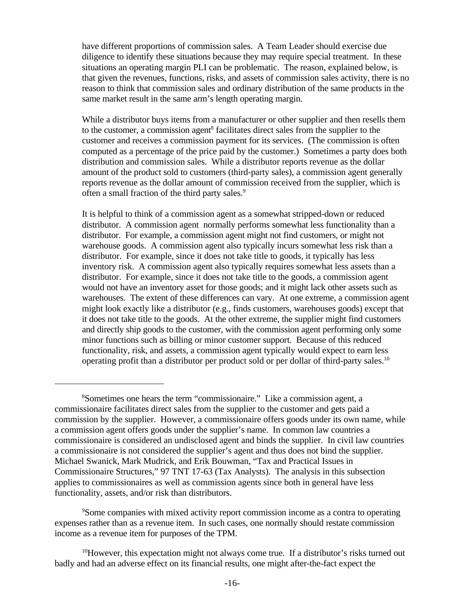have different proportions of commission sales. A Team Leader should exercise due diligence to identify these situations because they may require special treatment. In these situations an operating margin PLI can be problematic. The reason, explained below, is that given the revenues, functions, risks, and assets of commission sales activity, there is no reason to think that commission sales and ordinary distribution of the same products in the same market result in the same arm's length operating margin.

While a distributor buys items from a manufacturer or other supplier and then resells them to the customer, a commission agent<sup>8</sup> facilitates direct sales from the supplier to the customer and receives a commission payment for its services. (The commission is often computed as a percentage of the price paid by the customer.) Sometimes a party does both distribution and commission sales. While a distributor reports revenue as the dollar amount of the product sold to customers (third-party sales), a commission agent generally reports revenue as the dollar amount of commission received from the supplier, which is often a small fraction of the third party sales.<sup>9</sup>

It is helpful to think of a commission agent as a somewhat stripped-down or reduced distributor. A commission agent normally performs somewhat less functionality than a distributor. For example, a commission agent might not find customers, or might not warehouse goods. A commission agent also typically incurs somewhat less risk than a distributor. For example, since it does not take title to goods, it typically has less inventory risk. A commission agent also typically requires somewhat less assets than a distributor. For example, since it does not take title to the goods, a commission agent would not have an inventory asset for those goods; and it might lack other assets such as warehouses. The extent of these differences can vary. At one extreme, a commission agent might look exactly like a distributor (e.g., finds customers, warehouses goods) except that it does not take title to the goods. At the other extreme, the supplier might find customers and directly ship goods to the customer, with the commission agent performing only some minor functions such as billing or minor customer support. Because of this reduced functionality, risk, and assets, a commission agent typically would expect to earn less operating profit than a distributor per product sold or per dollar of third-party sales.10

<sup>9</sup>Some companies with mixed activity report commission income as a contra to operating expenses rather than as a revenue item. In such cases, one normally should restate commission income as a revenue item for purposes of the TPM.

 $10$ However, this expectation might not always come true. If a distributor's risks turned out badly and had an adverse effect on its financial results, one might after-the-fact expect the

<sup>8</sup>Sometimes one hears the term "commissionaire." Like a commission agent, a commissionaire facilitates direct sales from the supplier to the customer and gets paid a commission by the supplier. However, a commissionaire offers goods under its own name, while a commission agent offers goods under the supplier's name. In common law countries a commissionaire is considered an undisclosed agent and binds the supplier. In civil law countries a commissionaire is not considered the supplier's agent and thus does not bind the supplier. Michael Swanick, Mark Mudrick, and Erik Bouwman, "Tax and Practical Issues in Commissionaire Structures," 97 TNT 17-63 (Tax Analysts). The analysis in this subsection applies to commissionaires as well as commission agents since both in general have less functionality, assets, and/or risk than distributors.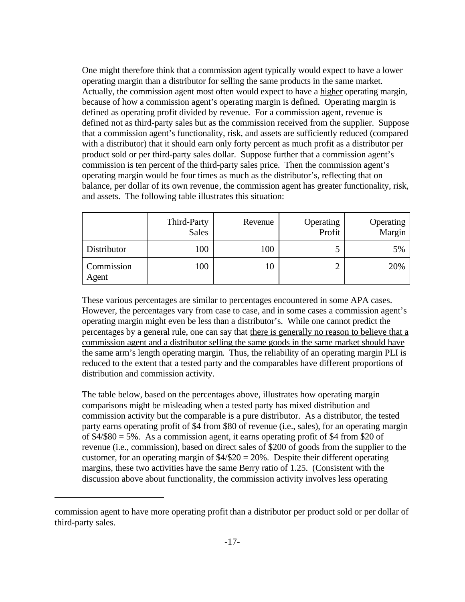One might therefore think that a commission agent typically would expect to have a lower operating margin than a distributor for selling the same products in the same market. Actually, the commission agent most often would expect to have a higher operating margin, because of how a commission agent's operating margin is defined. Operating margin is defined as operating profit divided by revenue. For a commission agent, revenue is defined not as third-party sales but as the commission received from the supplier. Suppose that a commission agent's functionality, risk, and assets are sufficiently reduced (compared with a distributor) that it should earn only forty percent as much profit as a distributor per product sold or per third-party sales dollar. Suppose further that a commission agent's commission is ten percent of the third-party sales price. Then the commission agent's operating margin would be four times as much as the distributor's, reflecting that on balance, per dollar of its own revenue, the commission agent has greater functionality, risk, and assets. The following table illustrates this situation:

|                     | Third-Party<br><b>Sales</b> | Revenue | Operating<br>Profit | Operating<br>Margin |
|---------------------|-----------------------------|---------|---------------------|---------------------|
| Distributor         | 100                         | 100     |                     | 5%                  |
| Commission<br>Agent | 100                         |         | ◠                   | 20%                 |

These various percentages are similar to percentages encountered in some APA cases. However, the percentages vary from case to case, and in some cases a commission agent's operating margin might even be less than a distributor's. While one cannot predict the percentages by a general rule, one can say that there is generally no reason to believe that a commission agent and a distributor selling the same goods in the same market should have the same arm's length operating margin. Thus, the reliability of an operating margin PLI is reduced to the extent that a tested party and the comparables have different proportions of distribution and commission activity.

The table below, based on the percentages above, illustrates how operating margin comparisons might be misleading when a tested party has mixed distribution and commission activity but the comparable is a pure distributor. As a distributor, the tested party earns operating profit of \$4 from \$80 of revenue (i.e., sales), for an operating margin of  $$4/$ \$80 = 5%. As a commission agent, it earns operating profit of \$4 from \$20 of revenue (i.e., commission), based on direct sales of \$200 of goods from the supplier to the customer, for an operating margin of  $4/20 = 20$ %. Despite their different operating margins, these two activities have the same Berry ratio of 1.25. (Consistent with the discussion above about functionality, the commission activity involves less operating

commission agent to have more operating profit than a distributor per product sold or per dollar of third-party sales.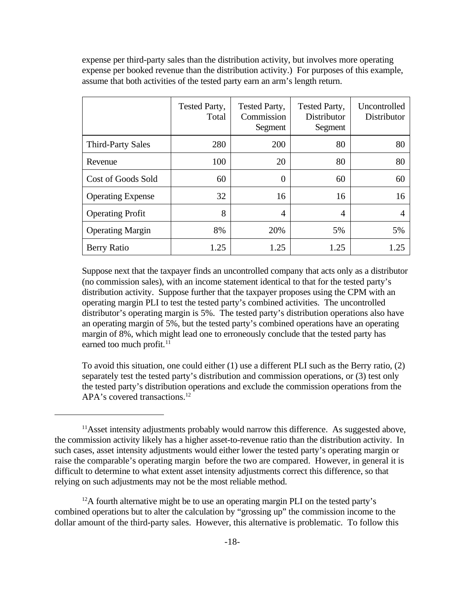expense per third-party sales than the distribution activity, but involves more operating expense per booked revenue than the distribution activity.) For purposes of this example, assume that both activities of the tested party earn an arm's length return.

|                          | Tested Party,<br>Total | Tested Party,<br>Commission<br>Segment | Tested Party,<br><b>Distributor</b><br>Segment | Uncontrolled<br>Distributor |
|--------------------------|------------------------|----------------------------------------|------------------------------------------------|-----------------------------|
| <b>Third-Party Sales</b> | 280                    | 200                                    | 80                                             | 80                          |
| Revenue                  | 100                    | 20                                     | 80                                             | 80                          |
| Cost of Goods Sold       | 60                     | $\Omega$                               | 60                                             | 60                          |
| <b>Operating Expense</b> | 32                     | 16                                     | 16                                             | 16                          |
| <b>Operating Profit</b>  | 8                      | $\overline{A}$                         | $\overline{4}$                                 |                             |
| <b>Operating Margin</b>  | 8%                     | 20%                                    | 5%                                             | 5%                          |
| Berry Ratio              | 1.25                   | 1.25                                   | 1.25                                           | 1.25                        |

Suppose next that the taxpayer finds an uncontrolled company that acts only as a distributor (no commission sales), with an income statement identical to that for the tested party's distribution activity. Suppose further that the taxpayer proposes using the CPM with an operating margin PLI to test the tested party's combined activities. The uncontrolled distributor's operating margin is 5%. The tested party's distribution operations also have an operating margin of 5%, but the tested party's combined operations have an operating margin of 8%, which might lead one to erroneously conclude that the tested party has earned too much profit.<sup>11</sup>

To avoid this situation, one could either (1) use a different PLI such as the Berry ratio, (2) separately test the tested party's distribution and commission operations, or (3) test only the tested party's distribution operations and exclude the commission operations from the APA's covered transactions.<sup>12</sup>

<sup>&</sup>lt;sup>11</sup>Asset intensity adjustments probably would narrow this difference. As suggested above, the commission activity likely has a higher asset-to-revenue ratio than the distribution activity. In such cases, asset intensity adjustments would either lower the tested party's operating margin or raise the comparable's operating margin before the two are compared. However, in general it is difficult to determine to what extent asset intensity adjustments correct this difference, so that relying on such adjustments may not be the most reliable method.

 $12A$  fourth alternative might be to use an operating margin PLI on the tested party's combined operations but to alter the calculation by "grossing up" the commission income to the dollar amount of the third-party sales. However, this alternative is problematic. To follow this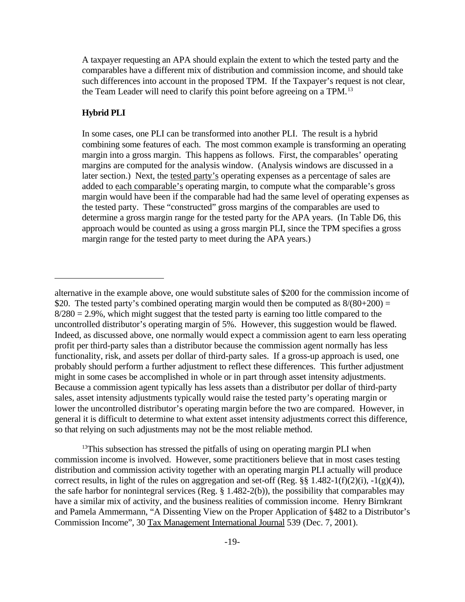A taxpayer requesting an APA should explain the extent to which the tested party and the comparables have a different mix of distribution and commission income, and should take such differences into account in the proposed TPM. If the Taxpayer's request is not clear, the Team Leader will need to clarify this point before agreeing on a TPM.<sup>13</sup>

## **Hybrid PLI**

In some cases, one PLI can be transformed into another PLI. The result is a hybrid combining some features of each. The most common example is transforming an operating margin into a gross margin. This happens as follows. First, the comparables' operating margins are computed for the analysis window. (Analysis windows are discussed in a later section.) Next, the tested party's operating expenses as a percentage of sales are added to each comparable's operating margin, to compute what the comparable's gross margin would have been if the comparable had had the same level of operating expenses as the tested party. These "constructed" gross margins of the comparables are used to determine a gross margin range for the tested party for the APA years. (In Table D6, this approach would be counted as using a gross margin PLI, since the TPM specifies a gross margin range for the tested party to meet during the APA years.)

 $13$ This subsection has stressed the pitfalls of using on operating margin PLI when commission income is involved. However, some practitioners believe that in most cases testing distribution and commission activity together with an operating margin PLI actually will produce correct results, in light of the rules on aggregation and set-off (Reg.  $\S\S 1.482-1(f)(2)(i)$ ,  $-1(g)(4)$ ), the safe harbor for nonintegral services (Reg. § 1.482-2(b)), the possibility that comparables may have a similar mix of activity, and the business realities of commission income. Henry Birnkrant and Pamela Ammermann, "A Dissenting View on the Proper Application of §482 to a Distributor's Commission Income", 30 Tax Management International Journal 539 (Dec. 7, 2001).

alternative in the example above, one would substitute sales of \$200 for the commission income of \$20. The tested party's combined operating margin would then be computed as  $8/(80+200) =$  $8/280 = 2.9\%$ , which might suggest that the tested party is earning too little compared to the uncontrolled distributor's operating margin of 5%. However, this suggestion would be flawed. Indeed, as discussed above, one normally would expect a commission agent to earn less operating profit per third-party sales than a distributor because the commission agent normally has less functionality, risk, and assets per dollar of third-party sales. If a gross-up approach is used, one probably should perform a further adjustment to reflect these differences. This further adjustment might in some cases be accomplished in whole or in part through asset intensity adjustments. Because a commission agent typically has less assets than a distributor per dollar of third-party sales, asset intensity adjustments typically would raise the tested party's operating margin or lower the uncontrolled distributor's operating margin before the two are compared. However, in general it is difficult to determine to what extent asset intensity adjustments correct this difference, so that relying on such adjustments may not be the most reliable method.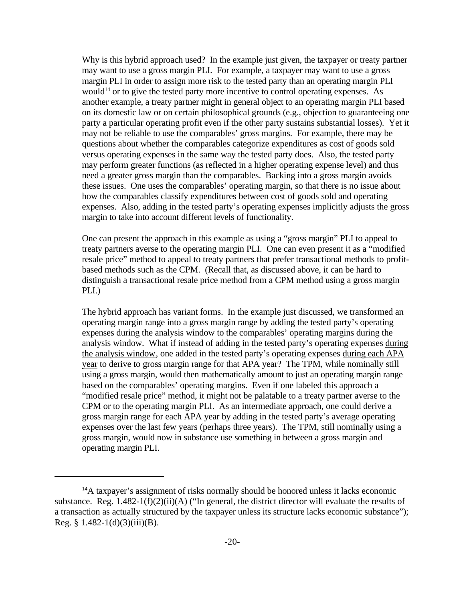Why is this hybrid approach used? In the example just given, the taxpayer or treaty partner may want to use a gross margin PLI. For example, a taxpayer may want to use a gross margin PLI in order to assign more risk to the tested party than an operating margin PLI would<sup>14</sup> or to give the tested party more incentive to control operating expenses. As another example, a treaty partner might in general object to an operating margin PLI based on its domestic law or on certain philosophical grounds (e.g., objection to guaranteeing one party a particular operating profit even if the other party sustains substantial losses). Yet it may not be reliable to use the comparables' gross margins. For example, there may be questions about whether the comparables categorize expenditures as cost of goods sold versus operating expenses in the same way the tested party does. Also, the tested party may perform greater functions (as reflected in a higher operating expense level) and thus need a greater gross margin than the comparables. Backing into a gross margin avoids these issues. One uses the comparables' operating margin, so that there is no issue about how the comparables classify expenditures between cost of goods sold and operating expenses. Also, adding in the tested party's operating expenses implicitly adjusts the gross margin to take into account different levels of functionality.

One can present the approach in this example as using a "gross margin" PLI to appeal to treaty partners averse to the operating margin PLI. One can even present it as a "modified resale price" method to appeal to treaty partners that prefer transactional methods to profitbased methods such as the CPM. (Recall that, as discussed above, it can be hard to distinguish a transactional resale price method from a CPM method using a gross margin PLI.)

The hybrid approach has variant forms. In the example just discussed, we transformed an operating margin range into a gross margin range by adding the tested party's operating expenses during the analysis window to the comparables' operating margins during the analysis window. What if instead of adding in the tested party's operating expenses during the analysis window, one added in the tested party's operating expenses during each APA year to derive to gross margin range for that APA year? The TPM, while nominally still using a gross margin, would then mathematically amount to just an operating margin range based on the comparables' operating margins. Even if one labeled this approach a "modified resale price" method, it might not be palatable to a treaty partner averse to the CPM or to the operating margin PLI. As an intermediate approach, one could derive a gross margin range for each APA year by adding in the tested party's average operating expenses over the last few years (perhaps three years). The TPM, still nominally using a gross margin, would now in substance use something in between a gross margin and operating margin PLI.

<sup>&</sup>lt;sup>14</sup>A taxpayer's assignment of risks normally should be honored unless it lacks economic substance. Reg. 1.482-1(f)(2)(ii)(A) ("In general, the district director will evaluate the results of a transaction as actually structured by the taxpayer unless its structure lacks economic substance"); Reg.  $§$  1.482-1(d)(3)(iii)(B).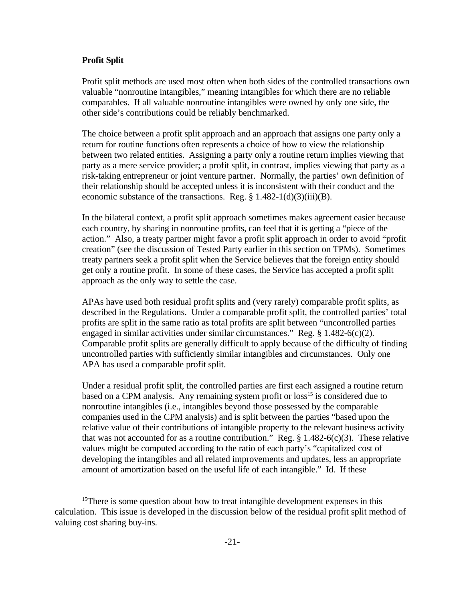### **Profit Split**

Profit split methods are used most often when both sides of the controlled transactions own valuable "nonroutine intangibles," meaning intangibles for which there are no reliable comparables. If all valuable nonroutine intangibles were owned by only one side, the other side's contributions could be reliably benchmarked.

The choice between a profit split approach and an approach that assigns one party only a return for routine functions often represents a choice of how to view the relationship between two related entities. Assigning a party only a routine return implies viewing that party as a mere service provider; a profit split, in contrast, implies viewing that party as a risk-taking entrepreneur or joint venture partner. Normally, the parties' own definition of their relationship should be accepted unless it is inconsistent with their conduct and the economic substance of the transactions. Reg.  $\S 1.482-1(d)(3)(iii)(B)$ .

In the bilateral context, a profit split approach sometimes makes agreement easier because each country, by sharing in nonroutine profits, can feel that it is getting a "piece of the action." Also, a treaty partner might favor a profit split approach in order to avoid "profit creation" (see the discussion of Tested Party earlier in this section on TPMs). Sometimes treaty partners seek a profit split when the Service believes that the foreign entity should get only a routine profit. In some of these cases, the Service has accepted a profit split approach as the only way to settle the case.

APAs have used both residual profit splits and (very rarely) comparable profit splits, as described in the Regulations. Under a comparable profit split, the controlled parties' total profits are split in the same ratio as total profits are split between "uncontrolled parties engaged in similar activities under similar circumstances." Reg. § 1.482-6(c)(2). Comparable profit splits are generally difficult to apply because of the difficulty of finding uncontrolled parties with sufficiently similar intangibles and circumstances. Only one APA has used a comparable profit split.

Under a residual profit split, the controlled parties are first each assigned a routine return based on a CPM analysis. Any remaining system profit or loss<sup>15</sup> is considered due to nonroutine intangibles (i.e., intangibles beyond those possessed by the comparable companies used in the CPM analysis) and is split between the parties "based upon the relative value of their contributions of intangible property to the relevant business activity that was not accounted for as a routine contribution." Reg.  $\S 1.482-6(c)(3)$ . These relative values might be computed according to the ratio of each party's "capitalized cost of developing the intangibles and all related improvements and updates, less an appropriate amount of amortization based on the useful life of each intangible." Id. If these

<sup>&</sup>lt;sup>15</sup>There is some question about how to treat intangible development expenses in this calculation. This issue is developed in the discussion below of the residual profit split method of valuing cost sharing buy-ins.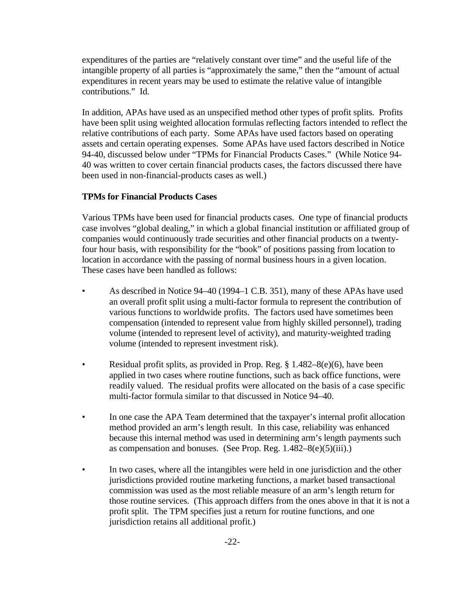expenditures of the parties are "relatively constant over time" and the useful life of the intangible property of all parties is "approximately the same," then the "amount of actual expenditures in recent years may be used to estimate the relative value of intangible contributions." Id.

In addition, APAs have used as an unspecified method other types of profit splits. Profits have been split using weighted allocation formulas reflecting factors intended to reflect the relative contributions of each party. Some APAs have used factors based on operating assets and certain operating expenses. Some APAs have used factors described in Notice 94-40, discussed below under "TPMs for Financial Products Cases." (While Notice 94- 40 was written to cover certain financial products cases, the factors discussed there have been used in non-financial-products cases as well.)

# **TPMs for Financial Products Cases**

Various TPMs have been used for financial products cases. One type of financial products case involves "global dealing," in which a global financial institution or affiliated group of companies would continuously trade securities and other financial products on a twentyfour hour basis, with responsibility for the "book" of positions passing from location to location in accordance with the passing of normal business hours in a given location. These cases have been handled as follows:

- As described in Notice 94–40 (1994–1 C.B. 351), many of these APAs have used an overall profit split using a multi-factor formula to represent the contribution of various functions to worldwide profits. The factors used have sometimes been compensation (intended to represent value from highly skilled personnel), trading volume (intended to represent level of activity), and maturity-weighted trading volume (intended to represent investment risk).
- Residual profit splits, as provided in Prop. Reg.  $\S 1.482-8(e)(6)$ , have been applied in two cases where routine functions, such as back office functions, were readily valued. The residual profits were allocated on the basis of a case specific multi-factor formula similar to that discussed in Notice 94–40.
- In one case the APA Team determined that the taxpayer's internal profit allocation method provided an arm's length result. In this case, reliability was enhanced because this internal method was used in determining arm's length payments such as compensation and bonuses. (See Prop. Reg.  $1.482-8(e)(5)(iii)$ .)
- In two cases, where all the intangibles were held in one jurisdiction and the other jurisdictions provided routine marketing functions, a market based transactional commission was used as the most reliable measure of an arm's length return for those routine services. (This approach differs from the ones above in that it is not a profit split. The TPM specifies just a return for routine functions, and one jurisdiction retains all additional profit.)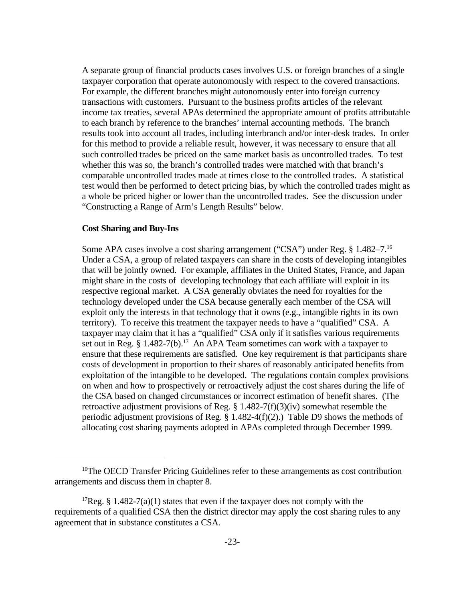A separate group of financial products cases involves U.S. or foreign branches of a single taxpayer corporation that operate autonomously with respect to the covered transactions. For example, the different branches might autonomously enter into foreign currency transactions with customers. Pursuant to the business profits articles of the relevant income tax treaties, several APAs determined the appropriate amount of profits attributable to each branch by reference to the branches' internal accounting methods. The branch results took into account all trades, including interbranch and/or inter-desk trades. In order for this method to provide a reliable result, however, it was necessary to ensure that all such controlled trades be priced on the same market basis as uncontrolled trades. To test whether this was so, the branch's controlled trades were matched with that branch's comparable uncontrolled trades made at times close to the controlled trades. A statistical test would then be performed to detect pricing bias, by which the controlled trades might as a whole be priced higher or lower than the uncontrolled trades. See the discussion under "Constructing a Range of Arm's Length Results" below.

#### **Cost Sharing and Buy-Ins**

Some APA cases involve a cost sharing arrangement ("CSA") under Reg. § 1.482–7.<sup>16</sup> Under a CSA, a group of related taxpayers can share in the costs of developing intangibles that will be jointly owned. For example, affiliates in the United States, France, and Japan might share in the costs of developing technology that each affiliate will exploit in its respective regional market. A CSA generally obviates the need for royalties for the technology developed under the CSA because generally each member of the CSA will exploit only the interests in that technology that it owns (e.g., intangible rights in its own territory). To receive this treatment the taxpayer needs to have a "qualified" CSA. A taxpayer may claim that it has a "qualified" CSA only if it satisfies various requirements set out in Reg. § 1.482-7(b).<sup>17</sup> An APA Team sometimes can work with a taxpayer to ensure that these requirements are satisfied. One key requirement is that participants share costs of development in proportion to their shares of reasonably anticipated benefits from exploitation of the intangible to be developed. The regulations contain complex provisions on when and how to prospectively or retroactively adjust the cost shares during the life of the CSA based on changed circumstances or incorrect estimation of benefit shares. (The retroactive adjustment provisions of Reg. § 1.482-7(f)(3)(iv) somewhat resemble the periodic adjustment provisions of Reg. § 1.482-4(f)(2).) Table D9 shows the methods of allocating cost sharing payments adopted in APAs completed through December 1999.

<sup>&</sup>lt;sup>16</sup>The OECD Transfer Pricing Guidelines refer to these arrangements as cost contribution arrangements and discuss them in chapter 8.

<sup>&</sup>lt;sup>17</sup>Reg. § 1.482-7(a)(1) states that even if the taxpayer does not comply with the requirements of a qualified CSA then the district director may apply the cost sharing rules to any agreement that in substance constitutes a CSA.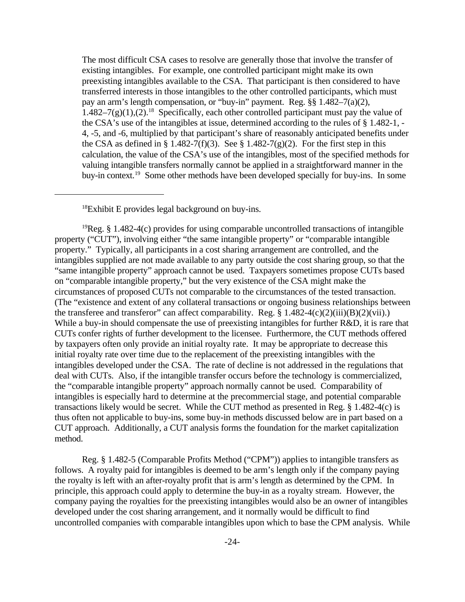The most difficult CSA cases to resolve are generally those that involve the transfer of existing intangibles. For example, one controlled participant might make its own preexisting intangibles available to the CSA. That participant is then considered to have transferred interests in those intangibles to the other controlled participants, which must pay an arm's length compensation, or "buy-in" payment. Reg. §§ 1.482–7(a)(2),  $1.482-7(g)(1),(2).$ <sup>18</sup> Specifically, each other controlled participant must pay the value of the CSA's use of the intangibles at issue, determined according to the rules of § 1.482-1, - 4, -5, and -6, multiplied by that participant's share of reasonably anticipated benefits under the CSA as defined in § 1.482-7(f)(3). See § 1.482-7(g)(2). For the first step in this calculation, the value of the CSA's use of the intangibles, most of the specified methods for valuing intangible transfers normally cannot be applied in a straightforward manner in the buy-in context.<sup>19</sup> Some other methods have been developed specially for buy-ins. In some

<sup>18</sup>Exhibit E provides legal background on buy-ins.

<sup>19</sup>Reg. § 1.482-4(c) provides for using comparable uncontrolled transactions of intangible property ("CUT"), involving either "the same intangible property" or "comparable intangible property." Typically, all participants in a cost sharing arrangement are controlled, and the intangibles supplied are not made available to any party outside the cost sharing group, so that the "same intangible property" approach cannot be used. Taxpayers sometimes propose CUTs based on "comparable intangible property," but the very existence of the CSA might make the circumstances of proposed CUTs not comparable to the circumstances of the tested transaction. (The "existence and extent of any collateral transactions or ongoing business relationships between the transferee and transferor" can affect comparability. Reg.  $\S 1.482-4(c)(2)(iii)(B)(2)(vii)$ .) While a buy-in should compensate the use of preexisting intangibles for further R&D, it is rare that CUTs confer rights of further development to the licensee. Furthermore, the CUT methods offered by taxpayers often only provide an initial royalty rate. It may be appropriate to decrease this initial royalty rate over time due to the replacement of the preexisting intangibles with the intangibles developed under the CSA. The rate of decline is not addressed in the regulations that deal with CUTs. Also, if the intangible transfer occurs before the technology is commercialized, the "comparable intangible property" approach normally cannot be used. Comparability of intangibles is especially hard to determine at the precommercial stage, and potential comparable transactions likely would be secret. While the CUT method as presented in Reg. § 1.482-4(c) is thus often not applicable to buy-ins, some buy-in methods discussed below are in part based on a CUT approach. Additionally, a CUT analysis forms the foundation for the market capitalization method.

Reg. § 1.482-5 (Comparable Profits Method ("CPM")) applies to intangible transfers as follows. A royalty paid for intangibles is deemed to be arm's length only if the company paying the royalty is left with an after-royalty profit that is arm's length as determined by the CPM. In principle, this approach could apply to determine the buy-in as a royalty stream. However, the company paying the royalties for the preexisting intangibles would also be an owner of intangibles developed under the cost sharing arrangement, and it normally would be difficult to find uncontrolled companies with comparable intangibles upon which to base the CPM analysis. While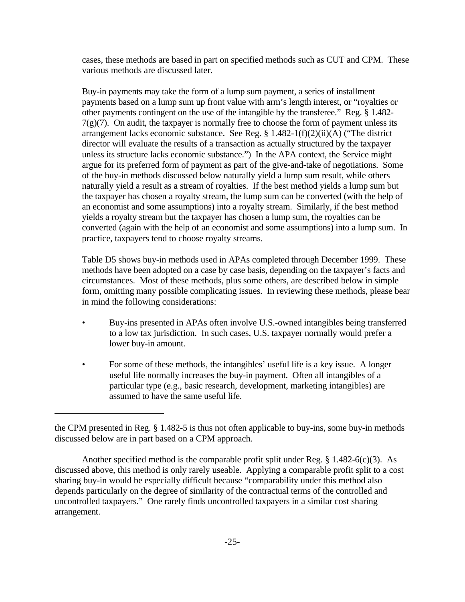cases, these methods are based in part on specified methods such as CUT and CPM. These various methods are discussed later.

Buy-in payments may take the form of a lump sum payment, a series of installment payments based on a lump sum up front value with arm's length interest, or "royalties or other payments contingent on the use of the intangible by the transferee." Reg. § 1.482-  $7(g)(7)$ . On audit, the taxpayer is normally free to choose the form of payment unless its arrangement lacks economic substance. See Reg. § 1.482-1(f)(2)(ii)(A) ("The district director will evaluate the results of a transaction as actually structured by the taxpayer unless its structure lacks economic substance.") In the APA context, the Service might argue for its preferred form of payment as part of the give-and-take of negotiations. Some of the buy-in methods discussed below naturally yield a lump sum result, while others naturally yield a result as a stream of royalties. If the best method yields a lump sum but the taxpayer has chosen a royalty stream, the lump sum can be converted (with the help of an economist and some assumptions) into a royalty stream. Similarly, if the best method yields a royalty stream but the taxpayer has chosen a lump sum, the royalties can be converted (again with the help of an economist and some assumptions) into a lump sum. In practice, taxpayers tend to choose royalty streams.

Table D5 shows buy-in methods used in APAs completed through December 1999. These methods have been adopted on a case by case basis, depending on the taxpayer's facts and circumstances. Most of these methods, plus some others, are described below in simple form, omitting many possible complicating issues. In reviewing these methods, please bear in mind the following considerations:

- Buy-ins presented in APAs often involve U.S.-owned intangibles being transferred to a low tax jurisdiction. In such cases, U.S. taxpayer normally would prefer a lower buy-in amount.
- For some of these methods, the intangibles' useful life is a key issue. A longer useful life normally increases the buy-in payment. Often all intangibles of a particular type (e.g., basic research, development, marketing intangibles) are assumed to have the same useful life.

the CPM presented in Reg. § 1.482-5 is thus not often applicable to buy-ins, some buy-in methods discussed below are in part based on a CPM approach.

Another specified method is the comparable profit split under Reg. § 1.482-6(c)(3). As discussed above, this method is only rarely useable. Applying a comparable profit split to a cost sharing buy-in would be especially difficult because "comparability under this method also depends particularly on the degree of similarity of the contractual terms of the controlled and uncontrolled taxpayers." One rarely finds uncontrolled taxpayers in a similar cost sharing arrangement.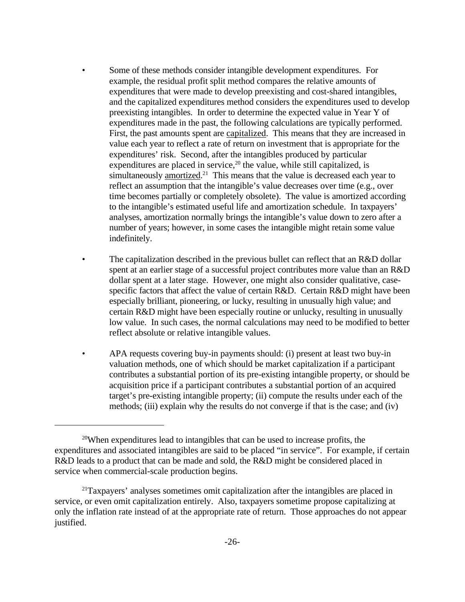- Some of these methods consider intangible development expenditures. For example, the residual profit split method compares the relative amounts of expenditures that were made to develop preexisting and cost-shared intangibles, and the capitalized expenditures method considers the expenditures used to develop preexisting intangibles. In order to determine the expected value in Year Y of expenditures made in the past, the following calculations are typically performed. First, the past amounts spent are capitalized. This means that they are increased in value each year to reflect a rate of return on investment that is appropriate for the expenditures' risk. Second, after the intangibles produced by particular expenditures are placed in service,<sup>20</sup> the value, while still capitalized, is simultaneously amortized.<sup>21</sup> This means that the value is decreased each year to reflect an assumption that the intangible's value decreases over time (e.g., over time becomes partially or completely obsolete). The value is amortized according to the intangible's estimated useful life and amortization schedule. In taxpayers' analyses, amortization normally brings the intangible's value down to zero after a number of years; however, in some cases the intangible might retain some value indefinitely.
- The capitalization described in the previous bullet can reflect that an R&D dollar spent at an earlier stage of a successful project contributes more value than an R&D dollar spent at a later stage. However, one might also consider qualitative, casespecific factors that affect the value of certain R&D. Certain R&D might have been especially brilliant, pioneering, or lucky, resulting in unusually high value; and certain R&D might have been especially routine or unlucky, resulting in unusually low value. In such cases, the normal calculations may need to be modified to better reflect absolute or relative intangible values.
- APA requests covering buy-in payments should: (i) present at least two buy-in valuation methods, one of which should be market capitalization if a participant contributes a substantial portion of its pre-existing intangible property, or should be acquisition price if a participant contributes a substantial portion of an acquired target's pre-existing intangible property; (ii) compute the results under each of the methods; (iii) explain why the results do not converge if that is the case; and (iv)

<sup>20</sup>When expenditures lead to intangibles that can be used to increase profits, the expenditures and associated intangibles are said to be placed "in service". For example, if certain R&D leads to a product that can be made and sold, the R&D might be considered placed in service when commercial-scale production begins.

<sup>&</sup>lt;sup>21</sup>Taxpayers' analyses sometimes omit capitalization after the intangibles are placed in service, or even omit capitalization entirely. Also, taxpayers sometime propose capitalizing at only the inflation rate instead of at the appropriate rate of return. Those approaches do not appear justified.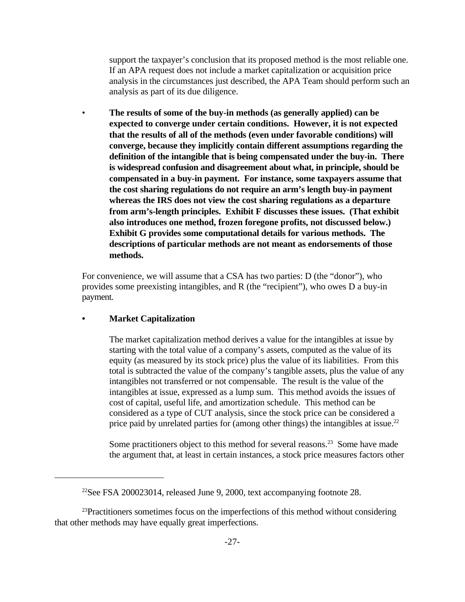support the taxpayer's conclusion that its proposed method is the most reliable one. If an APA request does not include a market capitalization or acquisition price analysis in the circumstances just described, the APA Team should perform such an analysis as part of its due diligence.

• **The results of some of the buy-in methods (as generally applied) can be expected to converge under certain conditions. However, it is not expected that the results of all of the methods (even under favorable conditions) will converge, because they implicitly contain different assumptions regarding the definition of the intangible that is being compensated under the buy-in. There is widespread confusion and disagreement about what, in principle, should be compensated in a buy-in payment. For instance, some taxpayers assume that the cost sharing regulations do not require an arm's length buy-in payment whereas the IRS does not view the cost sharing regulations as a departure from arm's-length principles. Exhibit F discusses these issues. (That exhibit also introduces one method, frozen foregone profits, not discussed below.) Exhibit G provides some computational details for various methods. The descriptions of particular methods are not meant as endorsements of those methods.**

For convenience, we will assume that a CSA has two parties: D (the "donor"), who provides some preexisting intangibles, and R (the "recipient"), who owes D a buy-in payment.

## **• Market Capitalization**

The market capitalization method derives a value for the intangibles at issue by starting with the total value of a company's assets, computed as the value of its equity (as measured by its stock price) plus the value of its liabilities. From this total is subtracted the value of the company's tangible assets, plus the value of any intangibles not transferred or not compensable. The result is the value of the intangibles at issue, expressed as a lump sum. This method avoids the issues of cost of capital, useful life, and amortization schedule. This method can be considered as a type of CUT analysis, since the stock price can be considered a price paid by unrelated parties for (among other things) the intangibles at issue.<sup>22</sup>

Some practitioners object to this method for several reasons.<sup>23</sup> Some have made the argument that, at least in certain instances, a stock price measures factors other

 $23$ Practitioners sometimes focus on the imperfections of this method without considering that other methods may have equally great imperfections.

<sup>&</sup>lt;sup>22</sup>See FSA 200023014, released June 9, 2000, text accompanying footnote 28.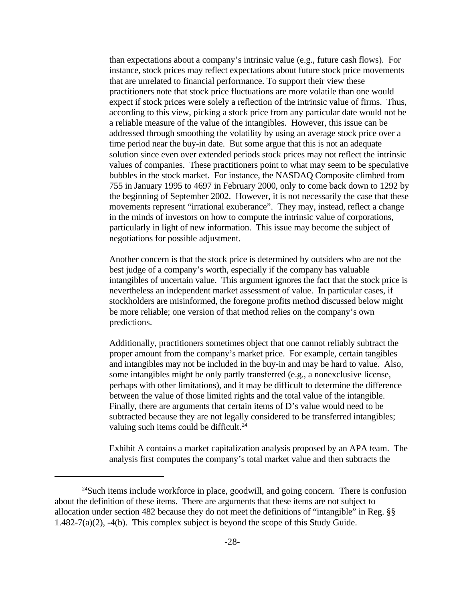than expectations about a company's intrinsic value (e.g., future cash flows). For instance, stock prices may reflect expectations about future stock price movements that are unrelated to financial performance. To support their view these practitioners note that stock price fluctuations are more volatile than one would expect if stock prices were solely a reflection of the intrinsic value of firms. Thus, according to this view, picking a stock price from any particular date would not be a reliable measure of the value of the intangibles. However, this issue can be addressed through smoothing the volatility by using an average stock price over a time period near the buy-in date. But some argue that this is not an adequate solution since even over extended periods stock prices may not reflect the intrinsic values of companies. These practitioners point to what may seem to be speculative bubbles in the stock market. For instance, the NASDAQ Composite climbed from 755 in January 1995 to 4697 in February 2000, only to come back down to 1292 by the beginning of September 2002. However, it is not necessarily the case that these movements represent "irrational exuberance". They may, instead, reflect a change in the minds of investors on how to compute the intrinsic value of corporations, particularly in light of new information. This issue may become the subject of negotiations for possible adjustment.

Another concern is that the stock price is determined by outsiders who are not the best judge of a company's worth, especially if the company has valuable intangibles of uncertain value. This argument ignores the fact that the stock price is nevertheless an independent market assessment of value. In particular cases, if stockholders are misinformed, the foregone profits method discussed below might be more reliable; one version of that method relies on the company's own predictions.

Additionally, practitioners sometimes object that one cannot reliably subtract the proper amount from the company's market price. For example, certain tangibles and intangibles may not be included in the buy-in and may be hard to value. Also, some intangibles might be only partly transferred (e.g., a nonexclusive license, perhaps with other limitations), and it may be difficult to determine the difference between the value of those limited rights and the total value of the intangible. Finally, there are arguments that certain items of D's value would need to be subtracted because they are not legally considered to be transferred intangibles; valuing such items could be difficult.<sup>24</sup>

Exhibit A contains a market capitalization analysis proposed by an APA team. The analysis first computes the company's total market value and then subtracts the

<sup>&</sup>lt;sup>24</sup>Such items include workforce in place, goodwill, and going concern. There is confusion about the definition of these items. There are arguments that these items are not subject to allocation under section 482 because they do not meet the definitions of "intangible" in Reg. §§ 1.482-7(a)(2), -4(b). This complex subject is beyond the scope of this Study Guide.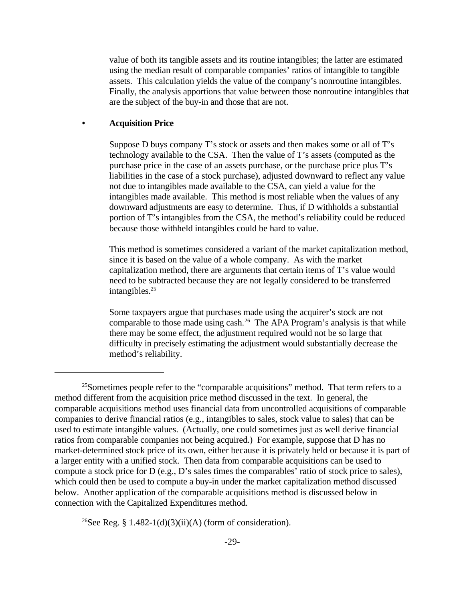value of both its tangible assets and its routine intangibles; the latter are estimated using the median result of comparable companies' ratios of intangible to tangible assets. This calculation yields the value of the company's nonroutine intangibles. Finally, the analysis apportions that value between those nonroutine intangibles that are the subject of the buy-in and those that are not.

### **• Acquisition Price**

Suppose D buys company T's stock or assets and then makes some or all of T's technology available to the CSA. Then the value of T's assets (computed as the purchase price in the case of an assets purchase, or the purchase price plus T's liabilities in the case of a stock purchase), adjusted downward to reflect any value not due to intangibles made available to the CSA, can yield a value for the intangibles made available. This method is most reliable when the values of any downward adjustments are easy to determine. Thus, if D withholds a substantial portion of T's intangibles from the CSA, the method's reliability could be reduced because those withheld intangibles could be hard to value.

This method is sometimes considered a variant of the market capitalization method, since it is based on the value of a whole company. As with the market capitalization method, there are arguments that certain items of T's value would need to be subtracted because they are not legally considered to be transferred intangibles.<sup>25</sup>

Some taxpayers argue that purchases made using the acquirer's stock are not comparable to those made using cash.<sup>26</sup> The APA Program's analysis is that while there may be some effect, the adjustment required would not be so large that difficulty in precisely estimating the adjustment would substantially decrease the method's reliability.

<sup>26</sup>See Reg. § 1.482-1(d)(3)(ii)(A) (form of consideration).

<sup>&</sup>lt;sup>25</sup>Sometimes people refer to the "comparable acquisitions" method. That term refers to a method different from the acquisition price method discussed in the text. In general, the comparable acquisitions method uses financial data from uncontrolled acquisitions of comparable companies to derive financial ratios (e.g., intangibles to sales, stock value to sales) that can be used to estimate intangible values. (Actually, one could sometimes just as well derive financial ratios from comparable companies not being acquired.) For example, suppose that D has no market-determined stock price of its own, either because it is privately held or because it is part of a larger entity with a unified stock. Then data from comparable acquisitions can be used to compute a stock price for D (e.g., D's sales times the comparables' ratio of stock price to sales), which could then be used to compute a buy-in under the market capitalization method discussed below. Another application of the comparable acquisitions method is discussed below in connection with the Capitalized Expenditures method.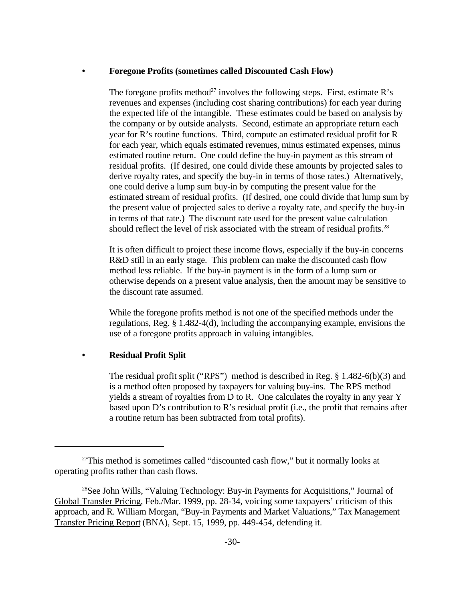### **• Foregone Profits (sometimes called Discounted Cash Flow)**

The foregone profits method<sup>27</sup> involves the following steps. First, estimate R's revenues and expenses (including cost sharing contributions) for each year during the expected life of the intangible. These estimates could be based on analysis by the company or by outside analysts. Second, estimate an appropriate return each year for R's routine functions. Third, compute an estimated residual profit for R for each year, which equals estimated revenues, minus estimated expenses, minus estimated routine return. One could define the buy-in payment as this stream of residual profits. (If desired, one could divide these amounts by projected sales to derive royalty rates, and specify the buy-in in terms of those rates.) Alternatively, one could derive a lump sum buy-in by computing the present value for the estimated stream of residual profits. (If desired, one could divide that lump sum by the present value of projected sales to derive a royalty rate, and specify the buy-in in terms of that rate.) The discount rate used for the present value calculation should reflect the level of risk associated with the stream of residual profits.<sup>28</sup>

It is often difficult to project these income flows, especially if the buy-in concerns R&D still in an early stage. This problem can make the discounted cash flow method less reliable. If the buy-in payment is in the form of a lump sum or otherwise depends on a present value analysis, then the amount may be sensitive to the discount rate assumed.

While the foregone profits method is not one of the specified methods under the regulations, Reg. § 1.482-4(d), including the accompanying example, envisions the use of a foregone profits approach in valuing intangibles.

## **• Residual Profit Split**

The residual profit split ("RPS") method is described in Reg. § 1.482-6(b)(3) and is a method often proposed by taxpayers for valuing buy-ins. The RPS method yields a stream of royalties from D to R. One calculates the royalty in any year Y based upon D's contribution to R's residual profit (i.e., the profit that remains after a routine return has been subtracted from total profits).

 $27$ This method is sometimes called "discounted cash flow," but it normally looks at operating profits rather than cash flows.

<sup>28</sup>See John Wills, "Valuing Technology: Buy-in Payments for Acquisitions," Journal of Global Transfer Pricing, Feb./Mar. 1999, pp. 28-34, voicing some taxpayers' criticism of this approach, and R. William Morgan, "Buy-in Payments and Market Valuations," Tax Management Transfer Pricing Report (BNA), Sept. 15, 1999, pp. 449-454, defending it.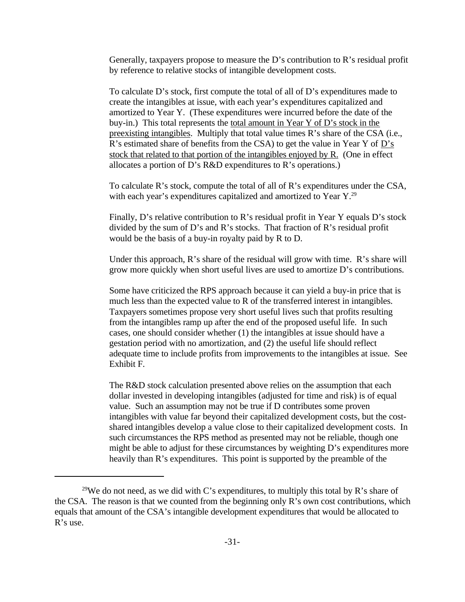Generally, taxpayers propose to measure the D's contribution to R's residual profit by reference to relative stocks of intangible development costs.

To calculate D's stock, first compute the total of all of D's expenditures made to create the intangibles at issue, with each year's expenditures capitalized and amortized to Year Y. (These expenditures were incurred before the date of the buy-in.) This total represents the total amount in Year Y of D's stock in the preexisting intangibles. Multiply that total value times R's share of the CSA (i.e., R's estimated share of benefits from the CSA) to get the value in Year Y of D's stock that related to that portion of the intangibles enjoyed by R. (One in effect allocates a portion of D's R&D expenditures to R's operations.)

To calculate R's stock, compute the total of all of R's expenditures under the CSA, with each year's expenditures capitalized and amortized to Year Y.<sup>29</sup>

Finally, D's relative contribution to R's residual profit in Year Y equals D's stock divided by the sum of D's and R's stocks. That fraction of R's residual profit would be the basis of a buy-in royalty paid by R to D.

Under this approach, R's share of the residual will grow with time. R's share will grow more quickly when short useful lives are used to amortize D's contributions.

Some have criticized the RPS approach because it can yield a buy-in price that is much less than the expected value to R of the transferred interest in intangibles. Taxpayers sometimes propose very short useful lives such that profits resulting from the intangibles ramp up after the end of the proposed useful life. In such cases, one should consider whether (1) the intangibles at issue should have a gestation period with no amortization, and (2) the useful life should reflect adequate time to include profits from improvements to the intangibles at issue. See Exhibit F.

The R&D stock calculation presented above relies on the assumption that each dollar invested in developing intangibles (adjusted for time and risk) is of equal value. Such an assumption may not be true if D contributes some proven intangibles with value far beyond their capitalized development costs, but the costshared intangibles develop a value close to their capitalized development costs. In such circumstances the RPS method as presented may not be reliable, though one might be able to adjust for these circumstances by weighting D's expenditures more heavily than R's expenditures. This point is supported by the preamble of the

<sup>&</sup>lt;sup>29</sup>We do not need, as we did with C's expenditures, to multiply this total by R's share of the CSA. The reason is that we counted from the beginning only R's own cost contributions, which equals that amount of the CSA's intangible development expenditures that would be allocated to R's use.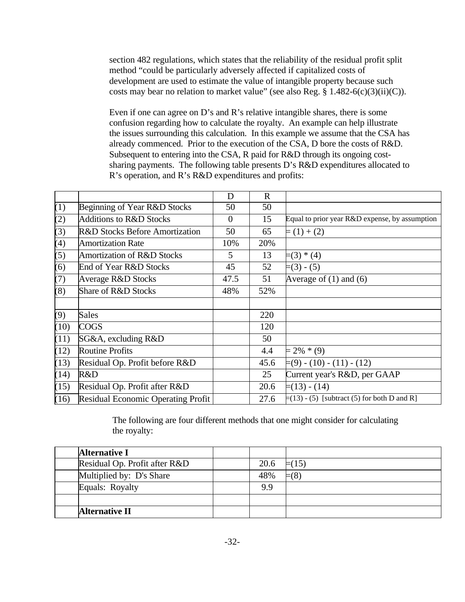section 482 regulations, which states that the reliability of the residual profit split method "could be particularly adversely affected if capitalized costs of development are used to estimate the value of intangible property because such costs may bear no relation to market value" (see also Reg.  $\S 1.482-6(c)(3)(ii)(C)$ ).

Even if one can agree on D's and R's relative intangible shares, there is some confusion regarding how to calculate the royalty. An example can help illustrate the issues surrounding this calculation. In this example we assume that the CSA has already commenced. Prior to the execution of the CSA, D bore the costs of R&D. Subsequent to entering into the CSA, R paid for R&D through its ongoing costsharing payments. The following table presents D's R&D expenditures allocated to R's operation, and R's R&D expenditures and profits:

|      |                                           | D              | $\mathbf R$ |                                                     |
|------|-------------------------------------------|----------------|-------------|-----------------------------------------------------|
| (1)  | Beginning of Year R&D Stocks              | 50             | 50          |                                                     |
| (2)  | <b>Additions to R&amp;D Stocks</b>        | $\overline{0}$ | 15          | Equal to prior year R&D expense, by assumption      |
| (3)  | <b>R&amp;D Stocks Before Amortization</b> | 50             | 65          | $=(1)+(2)$                                          |
| (4)  | <b>Amortization Rate</b>                  | 10%            | 20%         |                                                     |
| (5)  | Amortization of R&D Stocks                | 5              | 13          | $=(3) * (4)$                                        |
| (6)  | End of Year R&D Stocks                    | 45             | 52          | $=(3) - (5)$                                        |
| (7)  | <b>Average R&amp;D Stocks</b>             | 47.5           | 51          | Average of $(1)$ and $(6)$                          |
| (8)  | Share of R&D Stocks                       | 48%            | 52%         |                                                     |
|      |                                           |                |             |                                                     |
| (9)  | Sales                                     |                | 220         |                                                     |
| (10) | <b>COGS</b>                               |                | 120         |                                                     |
| (11) | SG&A, excluding R&D                       |                | 50          |                                                     |
| (12) | <b>Routine Profits</b>                    |                | 4.4         | $= 2\% * (9)$                                       |
| (13) | Residual Op. Profit before R&D            |                | 45.6        | $\models$ (9) - (10) - (11) - (12)                  |
| (14) | R&D                                       |                | 25          | Current year's R&D, per GAAP                        |
| (15) | Residual Op. Profit after R&D             |                | 20.6        | $=(13) - (14)$                                      |
| (16) | Residual Economic Operating Profit        |                | 27.6        | $\equiv$ (13) - (5) [subtract (5) for both D and R] |

The following are four different methods that one might consider for calculating the royalty:

| <b>Alternative I</b>          |      |               |
|-------------------------------|------|---------------|
| Residual Op. Profit after R&D | 20.6 | $\equiv$ (15) |
| Multiplied by: D's Share      | 48%  | $= (8)$       |
| Equals: Royalty               | 9.9  |               |
|                               |      |               |
| <b>Alternative II</b>         |      |               |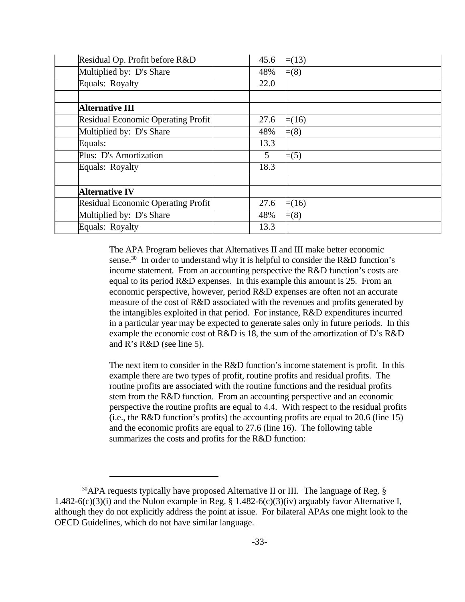| Residual Op. Profit before R&D     | 45.6 | $=(13)$       |
|------------------------------------|------|---------------|
| Multiplied by: D's Share           | 48%  | $=(8)$        |
| Equals: Royalty                    | 22.0 |               |
|                                    |      |               |
| <b>Alternative III</b>             |      |               |
| Residual Economic Operating Profit | 27.6 | $=(16)$       |
| Multiplied by: D's Share           | 48%  | $= (8)$       |
| Equals:                            | 13.3 |               |
| Plus: D's Amortization             | 5    | $= (5)$       |
| Equals: Royalty                    | 18.3 |               |
|                                    |      |               |
| <b>Alternative IV</b>              |      |               |
| Residual Economic Operating Profit | 27.6 | $=(16)$       |
| Multiplied by: D's Share           | 48%  | $\models$ (8) |
| Equals: Royalty                    | 13.3 |               |

The APA Program believes that Alternatives II and III make better economic sense.<sup>30</sup> In order to understand why it is helpful to consider the R&D function's income statement. From an accounting perspective the R&D function's costs are equal to its period R&D expenses. In this example this amount is 25. From an economic perspective, however, period R&D expenses are often not an accurate measure of the cost of R&D associated with the revenues and profits generated by the intangibles exploited in that period. For instance, R&D expenditures incurred in a particular year may be expected to generate sales only in future periods. In this example the economic cost of R&D is 18, the sum of the amortization of D's R&D and R's R&D (see line 5).

The next item to consider in the R&D function's income statement is profit. In this example there are two types of profit, routine profits and residual profits. The routine profits are associated with the routine functions and the residual profits stem from the R&D function. From an accounting perspective and an economic perspective the routine profits are equal to 4.4. With respect to the residual profits (i.e., the R&D function's profits) the accounting profits are equal to 20.6 (line 15) and the economic profits are equal to 27.6 (line 16). The following table summarizes the costs and profits for the R&D function:

<sup>&</sup>lt;sup>30</sup>APA requests typically have proposed Alternative II or III. The language of Reg. § 1.482-6(c)(3)(i) and the Nulon example in Reg. § 1.482-6(c)(3)(iv) arguably favor Alternative I, although they do not explicitly address the point at issue. For bilateral APAs one might look to the OECD Guidelines, which do not have similar language.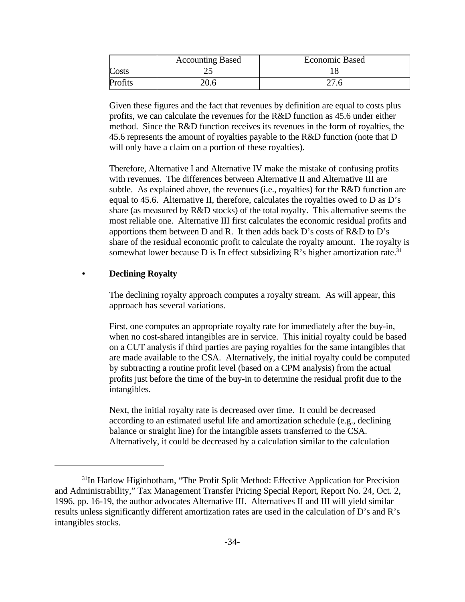|      | <b>Accounting Based</b> | <b>Economic Based</b> |
|------|-------------------------|-----------------------|
| osts | ت                       |                       |
|      |                         |                       |

Given these figures and the fact that revenues by definition are equal to costs plus profits, we can calculate the revenues for the R&D function as 45.6 under either method. Since the R&D function receives its revenues in the form of royalties, the 45.6 represents the amount of royalties payable to the R&D function (note that D will only have a claim on a portion of these royalties).

Therefore, Alternative I and Alternative IV make the mistake of confusing profits with revenues. The differences between Alternative II and Alternative III are subtle. As explained above, the revenues (i.e., royalties) for the R&D function are equal to 45.6. Alternative II, therefore, calculates the royalties owed to D as D's share (as measured by R&D stocks) of the total royalty. This alternative seems the most reliable one. Alternative III first calculates the economic residual profits and apportions them between D and R. It then adds back D's costs of R&D to D's share of the residual economic profit to calculate the royalty amount. The royalty is somewhat lower because D is In effect subsidizing R's higher amortization rate.<sup>31</sup>

## **• Declining Royalty**

The declining royalty approach computes a royalty stream. As will appear, this approach has several variations.

First, one computes an appropriate royalty rate for immediately after the buy-in, when no cost-shared intangibles are in service. This initial royalty could be based on a CUT analysis if third parties are paying royalties for the same intangibles that are made available to the CSA. Alternatively, the initial royalty could be computed by subtracting a routine profit level (based on a CPM analysis) from the actual profits just before the time of the buy-in to determine the residual profit due to the intangibles.

Next, the initial royalty rate is decreased over time. It could be decreased according to an estimated useful life and amortization schedule (e.g., declining balance or straight line) for the intangible assets transferred to the CSA. Alternatively, it could be decreased by a calculation similar to the calculation

<sup>&</sup>lt;sup>31</sup>In Harlow Higinbotham, "The Profit Split Method: Effective Application for Precision and Administrability," Tax Management Transfer Pricing Special Report, Report No. 24, Oct. 2, 1996, pp. 16-19, the author advocates Alternative III. Alternatives II and III will yield similar results unless significantly different amortization rates are used in the calculation of D's and R's intangibles stocks.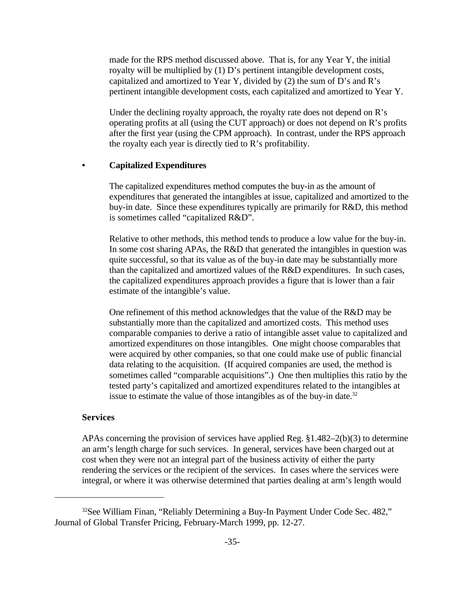made for the RPS method discussed above. That is, for any Year Y, the initial royalty will be multiplied by (1) D's pertinent intangible development costs, capitalized and amortized to Year Y, divided by (2) the sum of D's and R's pertinent intangible development costs, each capitalized and amortized to Year Y.

Under the declining royalty approach, the royalty rate does not depend on R's operating profits at all (using the CUT approach) or does not depend on R's profits after the first year (using the CPM approach). In contrast, under the RPS approach the royalty each year is directly tied to R's profitability.

#### **• Capitalized Expenditures**

The capitalized expenditures method computes the buy-in as the amount of expenditures that generated the intangibles at issue, capitalized and amortized to the buy-in date. Since these expenditures typically are primarily for R&D, this method is sometimes called "capitalized R&D".

Relative to other methods, this method tends to produce a low value for the buy-in. In some cost sharing APAs, the R&D that generated the intangibles in question was quite successful, so that its value as of the buy-in date may be substantially more than the capitalized and amortized values of the R&D expenditures. In such cases, the capitalized expenditures approach provides a figure that is lower than a fair estimate of the intangible's value.

One refinement of this method acknowledges that the value of the R&D may be substantially more than the capitalized and amortized costs. This method uses comparable companies to derive a ratio of intangible asset value to capitalized and amortized expenditures on those intangibles. One might choose comparables that were acquired by other companies, so that one could make use of public financial data relating to the acquisition. (If acquired companies are used, the method is sometimes called "comparable acquisitions".) One then multiplies this ratio by the tested party's capitalized and amortized expenditures related to the intangibles at issue to estimate the value of those intangibles as of the buy-in date.<sup>32</sup>

#### **Services**

APAs concerning the provision of services have applied Reg. §1.482–2(b)(3) to determine an arm's length charge for such services. In general, services have been charged out at cost when they were not an integral part of the business activity of either the party rendering the services or the recipient of the services. In cases where the services were integral, or where it was otherwise determined that parties dealing at arm's length would

<sup>&</sup>lt;sup>32</sup>See William Finan, "Reliably Determining a Buy-In Payment Under Code Sec. 482," Journal of Global Transfer Pricing, February-March 1999, pp. 12-27.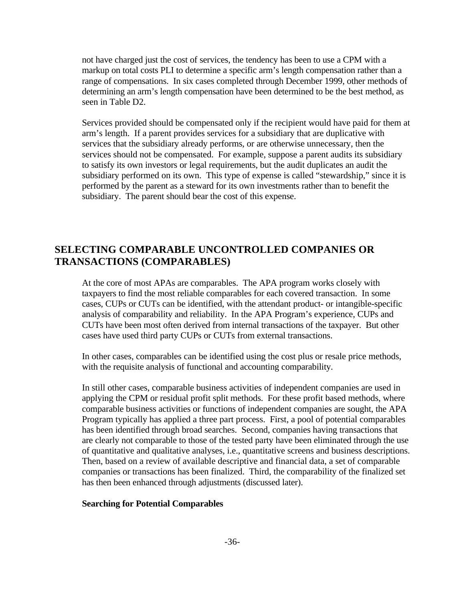not have charged just the cost of services, the tendency has been to use a CPM with a markup on total costs PLI to determine a specific arm's length compensation rather than a range of compensations. In six cases completed through December 1999, other methods of determining an arm's length compensation have been determined to be the best method, as seen in Table D2.

Services provided should be compensated only if the recipient would have paid for them at arm's length. If a parent provides services for a subsidiary that are duplicative with services that the subsidiary already performs, or are otherwise unnecessary, then the services should not be compensated. For example, suppose a parent audits its subsidiary to satisfy its own investors or legal requirements, but the audit duplicates an audit the subsidiary performed on its own. This type of expense is called "stewardship," since it is performed by the parent as a steward for its own investments rather than to benefit the subsidiary. The parent should bear the cost of this expense.

## **SELECTING COMPARABLE UNCONTROLLED COMPANIES OR TRANSACTIONS (COMPARABLES)**

At the core of most APAs are comparables. The APA program works closely with taxpayers to find the most reliable comparables for each covered transaction. In some cases, CUPs or CUTs can be identified, with the attendant product- or intangible-specific analysis of comparability and reliability. In the APA Program's experience, CUPs and CUTs have been most often derived from internal transactions of the taxpayer. But other cases have used third party CUPs or CUTs from external transactions.

In other cases, comparables can be identified using the cost plus or resale price methods, with the requisite analysis of functional and accounting comparability.

In still other cases, comparable business activities of independent companies are used in applying the CPM or residual profit split methods. For these profit based methods, where comparable business activities or functions of independent companies are sought, the APA Program typically has applied a three part process. First, a pool of potential comparables has been identified through broad searches. Second, companies having transactions that are clearly not comparable to those of the tested party have been eliminated through the use of quantitative and qualitative analyses, i.e., quantitative screens and business descriptions. Then, based on a review of available descriptive and financial data, a set of comparable companies or transactions has been finalized. Third, the comparability of the finalized set has then been enhanced through adjustments (discussed later).

#### **Searching for Potential Comparables**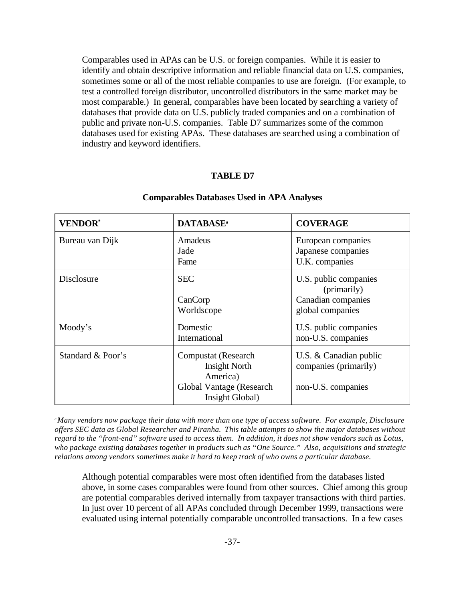Comparables used in APAs can be U.S. or foreign companies. While it is easier to identify and obtain descriptive information and reliable financial data on U.S. companies, sometimes some or all of the most reliable companies to use are foreign. (For example, to test a controlled foreign distributor, uncontrolled distributors in the same market may be most comparable.) In general, comparables have been located by searching a variety of databases that provide data on U.S. publicly traded companies and on a combination of public and private non-U.S. companies. Table D7 summarizes some of the common databases used for existing APAs. These databases are searched using a combination of industry and keyword identifiers.

#### **TABLE D7**

| <b>VENDOR*</b>    | <b>DATABASE</b> <sup>a</sup>                                                                           | <b>COVERAGE</b>                                                                |  |
|-------------------|--------------------------------------------------------------------------------------------------------|--------------------------------------------------------------------------------|--|
| Bureau van Dijk   | Amadeus<br>Jade<br>Fame                                                                                | European companies<br>Japanese companies<br>U.K. companies                     |  |
| <b>Disclosure</b> | <b>SEC</b><br>CanCorp<br>Worldscope                                                                    | U.S. public companies<br>(primarily)<br>Canadian companies<br>global companies |  |
| Moody's           | Domestic<br>International                                                                              | U.S. public companies<br>non-U.S. companies                                    |  |
| Standard & Poor's | Compustat (Research<br><b>Insight North</b><br>America)<br>Global Vantage (Research<br>Insight Global) | U.S. & Canadian public<br>companies (primarily)<br>non-U.S. companies          |  |

#### **Comparables Databases Used in APA Analyses**

*<sup>a</sup>Many vendors now package their data with more than one type of access software. For example, Disclosure offers SEC data as Global Researcher and Piranha. This table attempts to show the major databases without regard to the "front-end" software used to access them. In addition, it does not show vendors such as Lotus, who package existing databases together in products such as "One Source." Also, acquisitions and strategic relations among vendors sometimes make it hard to keep track of who owns a particular database.* 

Although potential comparables were most often identified from the databases listed above, in some cases comparables were found from other sources. Chief among this group are potential comparables derived internally from taxpayer transactions with third parties. In just over 10 percent of all APAs concluded through December 1999, transactions were evaluated using internal potentially comparable uncontrolled transactions. In a few cases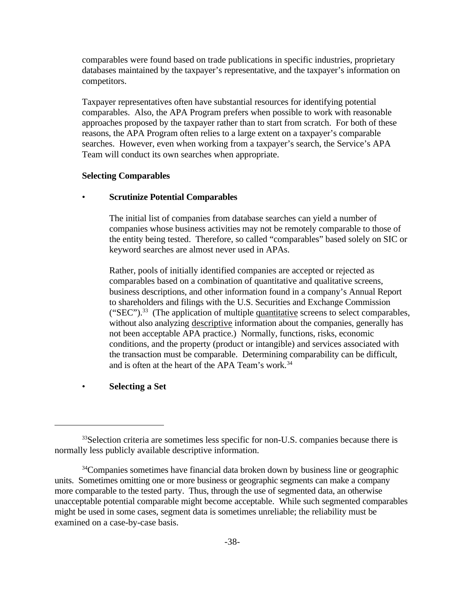comparables were found based on trade publications in specific industries, proprietary databases maintained by the taxpayer's representative, and the taxpayer's information on competitors.

Taxpayer representatives often have substantial resources for identifying potential comparables. Also, the APA Program prefers when possible to work with reasonable approaches proposed by the taxpayer rather than to start from scratch. For both of these reasons, the APA Program often relies to a large extent on a taxpayer's comparable searches. However, even when working from a taxpayer's search, the Service's APA Team will conduct its own searches when appropriate.

#### **Selecting Comparables**

## • **Scrutinize Potential Comparables**

The initial list of companies from database searches can yield a number of companies whose business activities may not be remotely comparable to those of the entity being tested. Therefore, so called "comparables" based solely on SIC or keyword searches are almost never used in APAs.

Rather, pools of initially identified companies are accepted or rejected as comparables based on a combination of quantitative and qualitative screens, business descriptions, and other information found in a company's Annual Report to shareholders and filings with the U.S. Securities and Exchange Commission ("SEC").<sup>33</sup> (The application of multiple quantitative screens to select comparables, without also analyzing descriptive information about the companies, generally has not been acceptable APA practice.) Normally, functions, risks, economic conditions, and the property (product or intangible) and services associated with the transaction must be comparable. Determining comparability can be difficult, and is often at the heart of the APA Team's work.<sup>34</sup>

• **Selecting a Set** 

<sup>&</sup>lt;sup>33</sup>Selection criteria are sometimes less specific for non-U.S. companies because there is normally less publicly available descriptive information.

<sup>&</sup>lt;sup>34</sup>Companies sometimes have financial data broken down by business line or geographic units. Sometimes omitting one or more business or geographic segments can make a company more comparable to the tested party. Thus, through the use of segmented data, an otherwise unacceptable potential comparable might become acceptable. While such segmented comparables might be used in some cases, segment data is sometimes unreliable; the reliability must be examined on a case-by-case basis.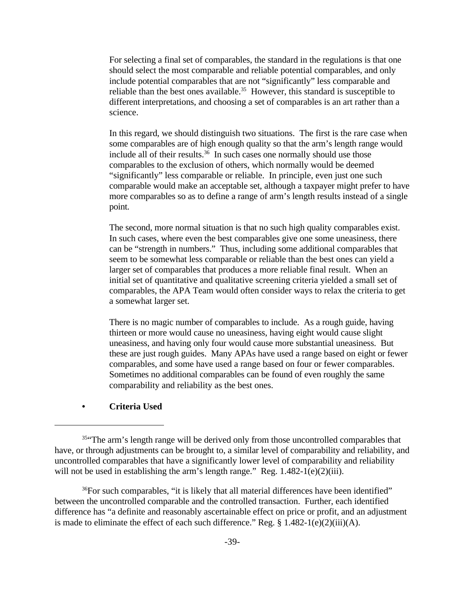For selecting a final set of comparables, the standard in the regulations is that one should select the most comparable and reliable potential comparables, and only include potential comparables that are not "significantly" less comparable and reliable than the best ones available.<sup>35</sup> However, this standard is susceptible to different interpretations, and choosing a set of comparables is an art rather than a science.

In this regard, we should distinguish two situations. The first is the rare case when some comparables are of high enough quality so that the arm's length range would include all of their results.<sup>36</sup> In such cases one normally should use those comparables to the exclusion of others, which normally would be deemed "significantly" less comparable or reliable. In principle, even just one such comparable would make an acceptable set, although a taxpayer might prefer to have more comparables so as to define a range of arm's length results instead of a single point.

The second, more normal situation is that no such high quality comparables exist. In such cases, where even the best comparables give one some uneasiness, there can be "strength in numbers." Thus, including some additional comparables that seem to be somewhat less comparable or reliable than the best ones can yield a larger set of comparables that produces a more reliable final result. When an initial set of quantitative and qualitative screening criteria yielded a small set of comparables, the APA Team would often consider ways to relax the criteria to get a somewhat larger set.

There is no magic number of comparables to include. As a rough guide, having thirteen or more would cause no uneasiness, having eight would cause slight uneasiness, and having only four would cause more substantial uneasiness. But these are just rough guides. Many APAs have used a range based on eight or fewer comparables, and some have used a range based on four or fewer comparables. Sometimes no additional comparables can be found of even roughly the same comparability and reliability as the best ones.

#### **• Criteria Used**

<sup>36</sup>For such comparables, "it is likely that all material differences have been identified" between the uncontrolled comparable and the controlled transaction. Further, each identified difference has "a definite and reasonably ascertainable effect on price or profit, and an adjustment is made to eliminate the effect of each such difference." Reg. § 1.482-1(e)(2)(iii)(A).

<sup>&</sup>lt;sup>35"</sup>The arm's length range will be derived only from those uncontrolled comparables that have, or through adjustments can be brought to, a similar level of comparability and reliability, and uncontrolled comparables that have a significantly lower level of comparability and reliability will not be used in establishing the arm's length range." Reg.  $1.482-1(e)(2)(iii)$ .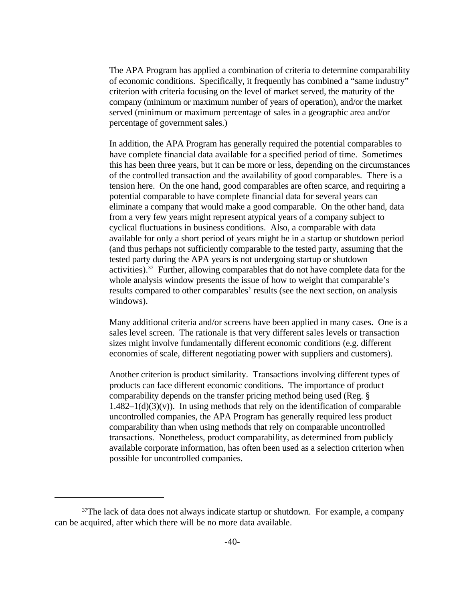The APA Program has applied a combination of criteria to determine comparability of economic conditions. Specifically, it frequently has combined a "same industry" criterion with criteria focusing on the level of market served, the maturity of the company (minimum or maximum number of years of operation), and/or the market served (minimum or maximum percentage of sales in a geographic area and/or percentage of government sales.)

In addition, the APA Program has generally required the potential comparables to have complete financial data available for a specified period of time. Sometimes this has been three years, but it can be more or less, depending on the circumstances of the controlled transaction and the availability of good comparables. There is a tension here. On the one hand, good comparables are often scarce, and requiring a potential comparable to have complete financial data for several years can eliminate a company that would make a good comparable. On the other hand, data from a very few years might represent atypical years of a company subject to cyclical fluctuations in business conditions. Also, a comparable with data available for only a short period of years might be in a startup or shutdown period (and thus perhaps not sufficiently comparable to the tested party, assuming that the tested party during the APA years is not undergoing startup or shutdown activities).<sup>37</sup> Further, allowing comparables that do not have complete data for the whole analysis window presents the issue of how to weight that comparable's results compared to other comparables' results (see the next section, on analysis windows).

Many additional criteria and/or screens have been applied in many cases. One is a sales level screen. The rationale is that very different sales levels or transaction sizes might involve fundamentally different economic conditions (e.g. different economies of scale, different negotiating power with suppliers and customers).

Another criterion is product similarity. Transactions involving different types of products can face different economic conditions. The importance of product comparability depends on the transfer pricing method being used (Reg. §  $1.482-1(d)(3)(v)$ . In using methods that rely on the identification of comparable uncontrolled companies, the APA Program has generally required less product comparability than when using methods that rely on comparable uncontrolled transactions. Nonetheless, product comparability, as determined from publicly available corporate information, has often been used as a selection criterion when possible for uncontrolled companies.

 $37$ The lack of data does not always indicate startup or shutdown. For example, a company can be acquired, after which there will be no more data available.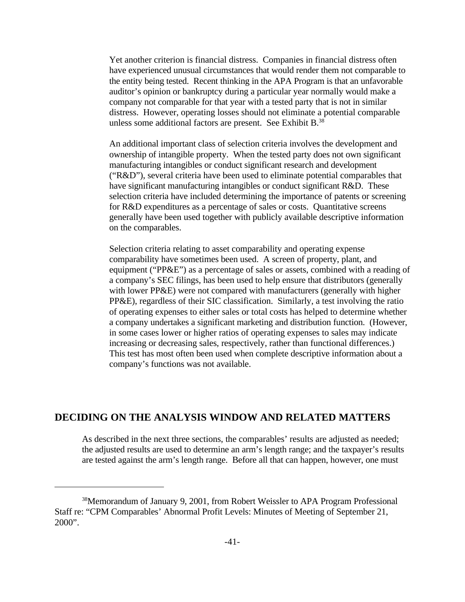Yet another criterion is financial distress. Companies in financial distress often have experienced unusual circumstances that would render them not comparable to the entity being tested. Recent thinking in the APA Program is that an unfavorable auditor's opinion or bankruptcy during a particular year normally would make a company not comparable for that year with a tested party that is not in similar distress. However, operating losses should not eliminate a potential comparable unless some additional factors are present. See Exhibit B.<sup>38</sup>

An additional important class of selection criteria involves the development and ownership of intangible property. When the tested party does not own significant manufacturing intangibles or conduct significant research and development ("R&D"), several criteria have been used to eliminate potential comparables that have significant manufacturing intangibles or conduct significant R&D. These selection criteria have included determining the importance of patents or screening for R&D expenditures as a percentage of sales or costs. Quantitative screens generally have been used together with publicly available descriptive information on the comparables.

Selection criteria relating to asset comparability and operating expense comparability have sometimes been used. A screen of property, plant, and equipment ("PP&E") as a percentage of sales or assets, combined with a reading of a company's SEC filings, has been used to help ensure that distributors (generally with lower PP&E) were not compared with manufacturers (generally with higher PP&E), regardless of their SIC classification. Similarly, a test involving the ratio of operating expenses to either sales or total costs has helped to determine whether a company undertakes a significant marketing and distribution function. (However, in some cases lower or higher ratios of operating expenses to sales may indicate increasing or decreasing sales, respectively, rather than functional differences.) This test has most often been used when complete descriptive information about a company's functions was not available.

## **DECIDING ON THE ANALYSIS WINDOW AND RELATED MATTERS**

As described in the next three sections, the comparables' results are adjusted as needed; the adjusted results are used to determine an arm's length range; and the taxpayer's results are tested against the arm's length range. Before all that can happen, however, one must

<sup>38</sup>Memorandum of January 9, 2001, from Robert Weissler to APA Program Professional Staff re: "CPM Comparables' Abnormal Profit Levels: Minutes of Meeting of September 21, 2000".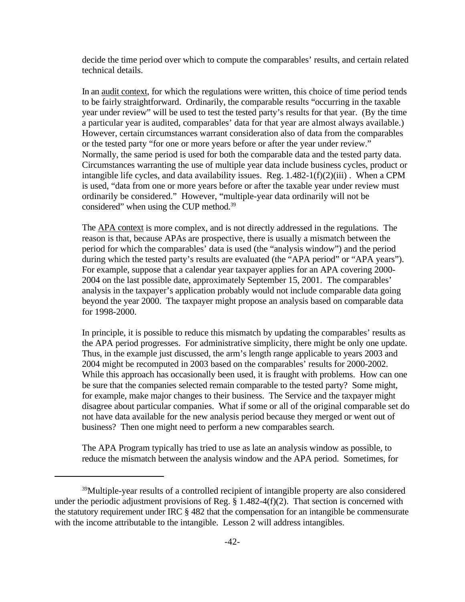decide the time period over which to compute the comparables' results, and certain related technical details.

In an <u>audit context</u>, for which the regulations were written, this choice of time period tends to be fairly straightforward. Ordinarily, the comparable results "occurring in the taxable year under review" will be used to test the tested party's results for that year. (By the time a particular year is audited, comparables' data for that year are almost always available.) However, certain circumstances warrant consideration also of data from the comparables or the tested party "for one or more years before or after the year under review." Normally, the same period is used for both the comparable data and the tested party data. Circumstances warranting the use of multiple year data include business cycles, product or intangible life cycles, and data availability issues. Reg.  $1.482-1(f)(2)(iii)$ . When a CPM is used, "data from one or more years before or after the taxable year under review must ordinarily be considered." However, "multiple-year data ordinarily will not be considered" when using the CUP method.<sup>39</sup>

The APA context is more complex, and is not directly addressed in the regulations. The reason is that, because APAs are prospective, there is usually a mismatch between the period for which the comparables' data is used (the "analysis window") and the period during which the tested party's results are evaluated (the "APA period" or "APA years"). For example, suppose that a calendar year taxpayer applies for an APA covering 2000- 2004 on the last possible date, approximately September 15, 2001. The comparables' analysis in the taxpayer's application probably would not include comparable data going beyond the year 2000. The taxpayer might propose an analysis based on comparable data for 1998-2000.

In principle, it is possible to reduce this mismatch by updating the comparables' results as the APA period progresses. For administrative simplicity, there might be only one update. Thus, in the example just discussed, the arm's length range applicable to years 2003 and 2004 might be recomputed in 2003 based on the comparables' results for 2000-2002. While this approach has occasionally been used, it is fraught with problems. How can one be sure that the companies selected remain comparable to the tested party? Some might, for example, make major changes to their business. The Service and the taxpayer might disagree about particular companies. What if some or all of the original comparable set do not have data available for the new analysis period because they merged or went out of business? Then one might need to perform a new comparables search.

The APA Program typically has tried to use as late an analysis window as possible, to reduce the mismatch between the analysis window and the APA period. Sometimes, for

<sup>39</sup>Multiple-year results of a controlled recipient of intangible property are also considered under the periodic adjustment provisions of Reg. § 1.482-4(f)(2). That section is concerned with the statutory requirement under IRC § 482 that the compensation for an intangible be commensurate with the income attributable to the intangible. Lesson 2 will address intangibles.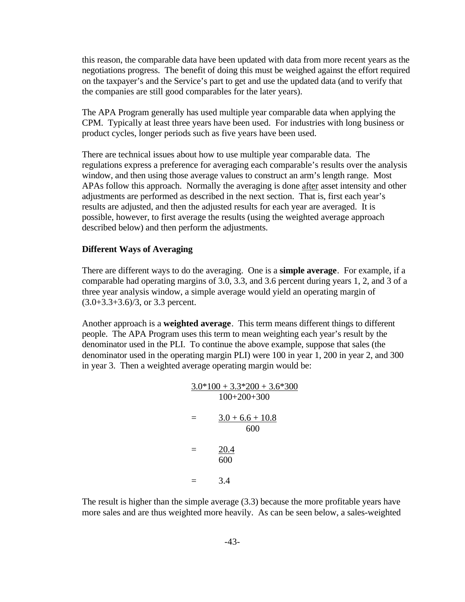this reason, the comparable data have been updated with data from more recent years as the negotiations progress. The benefit of doing this must be weighed against the effort required on the taxpayer's and the Service's part to get and use the updated data (and to verify that the companies are still good comparables for the later years).

The APA Program generally has used multiple year comparable data when applying the CPM. Typically at least three years have been used. For industries with long business or product cycles, longer periods such as five years have been used.

There are technical issues about how to use multiple year comparable data. The regulations express a preference for averaging each comparable's results over the analysis window, and then using those average values to construct an arm's length range. Most APAs follow this approach. Normally the averaging is done after asset intensity and other adjustments are performed as described in the next section. That is, first each year's results are adjusted, and then the adjusted results for each year are averaged. It is possible, however, to first average the results (using the weighted average approach described below) and then perform the adjustments.

#### **Different Ways of Averaging**

There are different ways to do the averaging. One is a **simple average**. For example, if a comparable had operating margins of 3.0, 3.3, and 3.6 percent during years 1, 2, and 3 of a three year analysis window, a simple average would yield an operating margin of  $(3.0+3.3+3.6)/3$ , or 3.3 percent.

Another approach is a **weighted average**. This term means different things to different people. The APA Program uses this term to mean weighting each year's result by the denominator used in the PLI. To continue the above example, suppose that sales (the denominator used in the operating margin PLI) were 100 in year 1, 200 in year 2, and 300 in year 3. Then a weighted average operating margin would be:

$$
\frac{3.0*100 + 3.3*200 + 3.6*300}{100+200+300}
$$
  
= 
$$
\frac{3.0 + 6.6 + 10.8}{600}
$$
  
= 
$$
\frac{20.4}{600}
$$
  
= 3.4

The result is higher than the simple average (3.3) because the more profitable years have more sales and are thus weighted more heavily. As can be seen below, a sales-weighted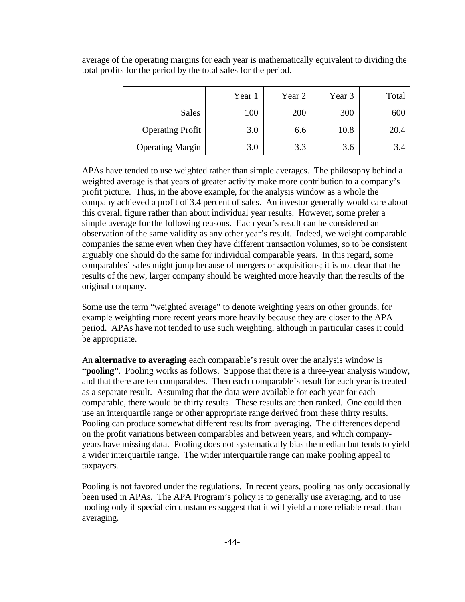|                         | Year 1 | Year 2 | Year 3 | Total |
|-------------------------|--------|--------|--------|-------|
| <b>Sales</b>            | 100    | 200    | 300    | 600   |
| <b>Operating Profit</b> | 3.0    | 6.6    | 10.8   | 20.4  |
| <b>Operating Margin</b> | 3.0    | 3.3    | 3.6    |       |

average of the operating margins for each year is mathematically equivalent to dividing the total profits for the period by the total sales for the period.

APAs have tended to use weighted rather than simple averages. The philosophy behind a weighted average is that years of greater activity make more contribution to a company's profit picture. Thus, in the above example, for the analysis window as a whole the company achieved a profit of 3.4 percent of sales. An investor generally would care about this overall figure rather than about individual year results. However, some prefer a simple average for the following reasons. Each year's result can be considered an observation of the same validity as any other year's result. Indeed, we weight comparable companies the same even when they have different transaction volumes, so to be consistent arguably one should do the same for individual comparable years. In this regard, some comparables' sales might jump because of mergers or acquisitions; it is not clear that the results of the new, larger company should be weighted more heavily than the results of the original company.

Some use the term "weighted average" to denote weighting years on other grounds, for example weighting more recent years more heavily because they are closer to the APA period. APAs have not tended to use such weighting, although in particular cases it could be appropriate.

An **alternative to averaging** each comparable's result over the analysis window is **"pooling"**. Pooling works as follows. Suppose that there is a three-year analysis window, and that there are ten comparables. Then each comparable's result for each year is treated as a separate result. Assuming that the data were available for each year for each comparable, there would be thirty results. These results are then ranked. One could then use an interquartile range or other appropriate range derived from these thirty results. Pooling can produce somewhat different results from averaging. The differences depend on the profit variations between comparables and between years, and which companyyears have missing data. Pooling does not systematically bias the median but tends to yield a wider interquartile range. The wider interquartile range can make pooling appeal to taxpayers.

Pooling is not favored under the regulations. In recent years, pooling has only occasionally been used in APAs. The APA Program's policy is to generally use averaging, and to use pooling only if special circumstances suggest that it will yield a more reliable result than averaging.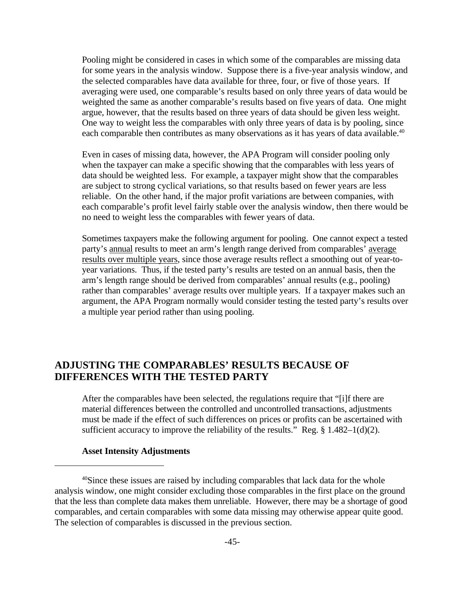Pooling might be considered in cases in which some of the comparables are missing data for some years in the analysis window. Suppose there is a five-year analysis window, and the selected comparables have data available for three, four, or five of those years. If averaging were used, one comparable's results based on only three years of data would be weighted the same as another comparable's results based on five years of data. One might argue, however, that the results based on three years of data should be given less weight. One way to weight less the comparables with only three years of data is by pooling, since each comparable then contributes as many observations as it has years of data available.<sup>40</sup>

Even in cases of missing data, however, the APA Program will consider pooling only when the taxpayer can make a specific showing that the comparables with less years of data should be weighted less. For example, a taxpayer might show that the comparables are subject to strong cyclical variations, so that results based on fewer years are less reliable. On the other hand, if the major profit variations are between companies, with each comparable's profit level fairly stable over the analysis window, then there would be no need to weight less the comparables with fewer years of data.

Sometimes taxpayers make the following argument for pooling. One cannot expect a tested party's annual results to meet an arm's length range derived from comparables' average results over multiple years, since those average results reflect a smoothing out of year-toyear variations. Thus, if the tested party's results are tested on an annual basis, then the arm's length range should be derived from comparables' annual results (e.g., pooling) rather than comparables' average results over multiple years. If a taxpayer makes such an argument, the APA Program normally would consider testing the tested party's results over a multiple year period rather than using pooling.

## **ADJUSTING THE COMPARABLES' RESULTS BECAUSE OF DIFFERENCES WITH THE TESTED PARTY**

After the comparables have been selected, the regulations require that "[i]f there are material differences between the controlled and uncontrolled transactions, adjustments must be made if the effect of such differences on prices or profits can be ascertained with sufficient accuracy to improve the reliability of the results." Reg.  $\S 1.482-1(d)(2)$ .

### **Asset Intensity Adjustments**

<sup>&</sup>lt;sup>40</sup>Since these issues are raised by including comparables that lack data for the whole analysis window, one might consider excluding those comparables in the first place on the ground that the less than complete data makes them unreliable. However, there may be a shortage of good comparables, and certain comparables with some data missing may otherwise appear quite good. The selection of comparables is discussed in the previous section.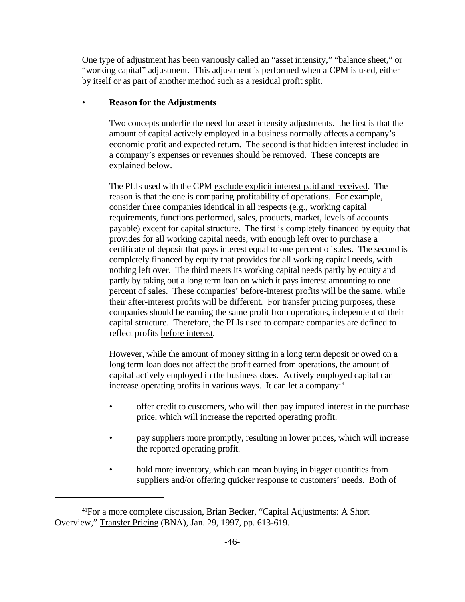One type of adjustment has been variously called an "asset intensity," "balance sheet," or "working capital" adjustment. This adjustment is performed when a CPM is used, either by itself or as part of another method such as a residual profit split.

## • **Reason for the Adjustments**

Two concepts underlie the need for asset intensity adjustments. the first is that the amount of capital actively employed in a business normally affects a company's economic profit and expected return. The second is that hidden interest included in a company's expenses or revenues should be removed. These concepts are explained below.

The PLIs used with the CPM exclude explicit interest paid and received. The reason is that the one is comparing profitability of operations. For example, consider three companies identical in all respects (e.g., working capital requirements, functions performed, sales, products, market, levels of accounts payable) except for capital structure. The first is completely financed by equity that provides for all working capital needs, with enough left over to purchase a certificate of deposit that pays interest equal to one percent of sales. The second is completely financed by equity that provides for all working capital needs, with nothing left over. The third meets its working capital needs partly by equity and partly by taking out a long term loan on which it pays interest amounting to one percent of sales. These companies' before-interest profits will be the same, while their after-interest profits will be different. For transfer pricing purposes, these companies should be earning the same profit from operations, independent of their capital structure. Therefore, the PLIs used to compare companies are defined to reflect profits before interest.

However, while the amount of money sitting in a long term deposit or owed on a long term loan does not affect the profit earned from operations, the amount of capital actively employed in the business does. Actively employed capital can increase operating profits in various ways. It can let a company: $41$ 

- offer credit to customers, who will then pay imputed interest in the purchase price, which will increase the reported operating profit.
- pay suppliers more promptly, resulting in lower prices, which will increase the reported operating profit.
- hold more inventory, which can mean buying in bigger quantities from suppliers and/or offering quicker response to customers' needs. Both of

<sup>41</sup>For a more complete discussion, Brian Becker, "Capital Adjustments: A Short Overview," Transfer Pricing (BNA), Jan. 29, 1997, pp. 613-619.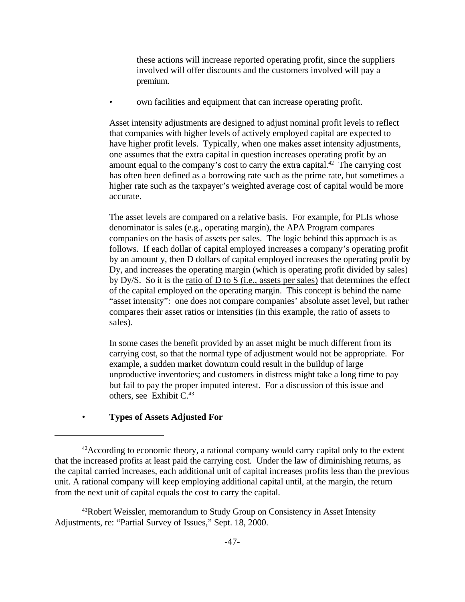these actions will increase reported operating profit, since the suppliers involved will offer discounts and the customers involved will pay a premium.

• own facilities and equipment that can increase operating profit.

Asset intensity adjustments are designed to adjust nominal profit levels to reflect that companies with higher levels of actively employed capital are expected to have higher profit levels. Typically, when one makes asset intensity adjustments, one assumes that the extra capital in question increases operating profit by an amount equal to the company's cost to carry the extra capital.<sup>42</sup> The carrying cost has often been defined as a borrowing rate such as the prime rate, but sometimes a higher rate such as the taxpayer's weighted average cost of capital would be more accurate.

The asset levels are compared on a relative basis. For example, for PLIs whose denominator is sales (e.g., operating margin), the APA Program compares companies on the basis of assets per sales. The logic behind this approach is as follows. If each dollar of capital employed increases a company's operating profit by an amount y, then D dollars of capital employed increases the operating profit by Dy, and increases the operating margin (which is operating profit divided by sales) by Dy/S. So it is the ratio of D to S (i.e., assets per sales) that determines the effect of the capital employed on the operating margin. This concept is behind the name "asset intensity": one does not compare companies' absolute asset level, but rather compares their asset ratios or intensities (in this example, the ratio of assets to sales).

In some cases the benefit provided by an asset might be much different from its carrying cost, so that the normal type of adjustment would not be appropriate. For example, a sudden market downturn could result in the buildup of large unproductive inventories; and customers in distress might take a long time to pay but fail to pay the proper imputed interest. For a discussion of this issue and others, see Exhibit  $C<sup>43</sup>$ 

## • **Types of Assets Adjusted For**

<sup>&</sup>lt;sup>42</sup>According to economic theory, a rational company would carry capital only to the extent that the increased profits at least paid the carrying cost. Under the law of diminishing returns, as the capital carried increases, each additional unit of capital increases profits less than the previous unit. A rational company will keep employing additional capital until, at the margin, the return from the next unit of capital equals the cost to carry the capital.

<sup>43</sup>Robert Weissler, memorandum to Study Group on Consistency in Asset Intensity Adjustments, re: "Partial Survey of Issues," Sept. 18, 2000.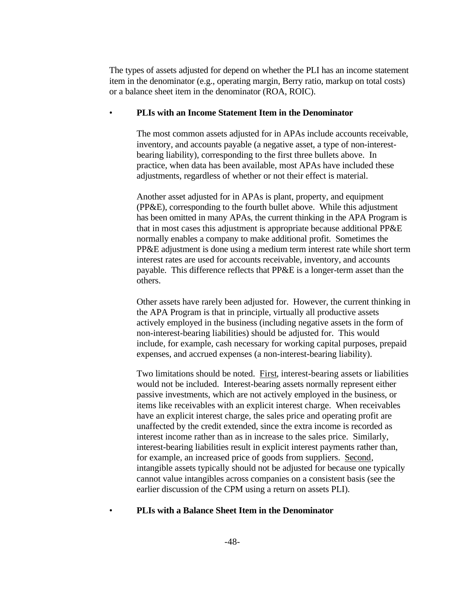The types of assets adjusted for depend on whether the PLI has an income statement item in the denominator (e.g., operating margin, Berry ratio, markup on total costs) or a balance sheet item in the denominator (ROA, ROIC).

#### • **PLIs with an Income Statement Item in the Denominator**

The most common assets adjusted for in APAs include accounts receivable, inventory, and accounts payable (a negative asset, a type of non-interestbearing liability), corresponding to the first three bullets above. In practice, when data has been available, most APAs have included these adjustments, regardless of whether or not their effect is material.

Another asset adjusted for in APAs is plant, property, and equipment (PP&E), corresponding to the fourth bullet above. While this adjustment has been omitted in many APAs, the current thinking in the APA Program is that in most cases this adjustment is appropriate because additional PP&E normally enables a company to make additional profit. Sometimes the PP&E adjustment is done using a medium term interest rate while short term interest rates are used for accounts receivable, inventory, and accounts payable. This difference reflects that PP&E is a longer-term asset than the others.

Other assets have rarely been adjusted for. However, the current thinking in the APA Program is that in principle, virtually all productive assets actively employed in the business (including negative assets in the form of non-interest-bearing liabilities) should be adjusted for. This would include, for example, cash necessary for working capital purposes, prepaid expenses, and accrued expenses (a non-interest-bearing liability).

Two limitations should be noted. First, interest-bearing assets or liabilities would not be included. Interest-bearing assets normally represent either passive investments, which are not actively employed in the business, or items like receivables with an explicit interest charge. When receivables have an explicit interest charge, the sales price and operating profit are unaffected by the credit extended, since the extra income is recorded as interest income rather than as in increase to the sales price. Similarly, interest-bearing liabilities result in explicit interest payments rather than, for example, an increased price of goods from suppliers. Second, intangible assets typically should not be adjusted for because one typically cannot value intangibles across companies on a consistent basis (see the earlier discussion of the CPM using a return on assets PLI).

## • **PLIs with a Balance Sheet Item in the Denominator**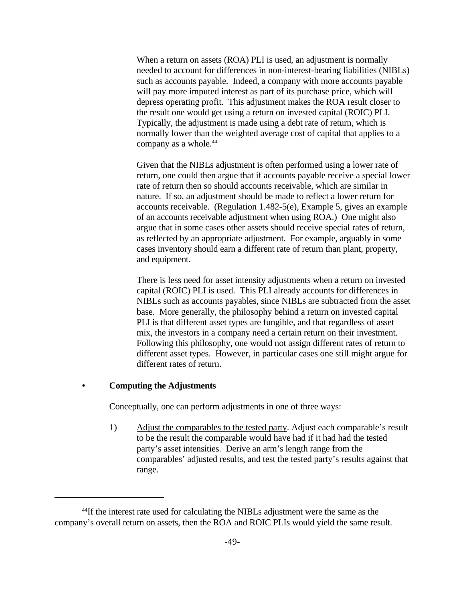When a return on assets (ROA) PLI is used, an adjustment is normally needed to account for differences in non-interest-bearing liabilities (NIBLs) such as accounts payable. Indeed, a company with more accounts payable will pay more imputed interest as part of its purchase price, which will depress operating profit. This adjustment makes the ROA result closer to the result one would get using a return on invested capital (ROIC) PLI. Typically, the adjustment is made using a debt rate of return, which is normally lower than the weighted average cost of capital that applies to a company as a whole.<sup>44</sup>

Given that the NIBLs adjustment is often performed using a lower rate of return, one could then argue that if accounts payable receive a special lower rate of return then so should accounts receivable, which are similar in nature. If so, an adjustment should be made to reflect a lower return for accounts receivable. (Regulation 1.482-5(e), Example 5, gives an example of an accounts receivable adjustment when using ROA.) One might also argue that in some cases other assets should receive special rates of return, as reflected by an appropriate adjustment. For example, arguably in some cases inventory should earn a different rate of return than plant, property, and equipment.

There is less need for asset intensity adjustments when a return on invested capital (ROIC) PLI is used. This PLI already accounts for differences in NIBLs such as accounts payables, since NIBLs are subtracted from the asset base. More generally, the philosophy behind a return on invested capital PLI is that different asset types are fungible, and that regardless of asset mix, the investors in a company need a certain return on their investment. Following this philosophy, one would not assign different rates of return to different asset types. However, in particular cases one still might argue for different rates of return.

#### **• Computing the Adjustments**

Conceptually, one can perform adjustments in one of three ways:

1) Adjust the comparables to the tested party. Adjust each comparable's result to be the result the comparable would have had if it had had the tested party's asset intensities. Derive an arm's length range from the comparables' adjusted results, and test the tested party's results against that range.

<sup>&</sup>lt;sup>44</sup>If the interest rate used for calculating the NIBLs adjustment were the same as the company's overall return on assets, then the ROA and ROIC PLIs would yield the same result.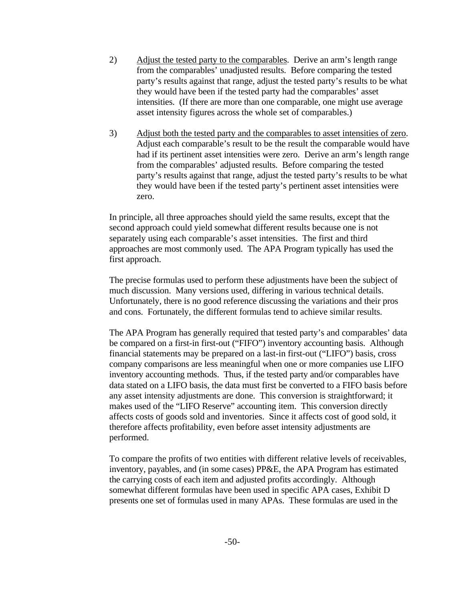- 2) Adjust the tested party to the comparables. Derive an arm's length range from the comparables' unadjusted results. Before comparing the tested party's results against that range, adjust the tested party's results to be what they would have been if the tested party had the comparables' asset intensities. (If there are more than one comparable, one might use average asset intensity figures across the whole set of comparables.)
- 3) Adjust both the tested party and the comparables to asset intensities of zero. Adjust each comparable's result to be the result the comparable would have had if its pertinent asset intensities were zero. Derive an arm's length range from the comparables' adjusted results. Before comparing the tested party's results against that range, adjust the tested party's results to be what they would have been if the tested party's pertinent asset intensities were zero.

In principle, all three approaches should yield the same results, except that the second approach could yield somewhat different results because one is not separately using each comparable's asset intensities. The first and third approaches are most commonly used. The APA Program typically has used the first approach.

The precise formulas used to perform these adjustments have been the subject of much discussion. Many versions used, differing in various technical details. Unfortunately, there is no good reference discussing the variations and their pros and cons. Fortunately, the different formulas tend to achieve similar results.

The APA Program has generally required that tested party's and comparables' data be compared on a first-in first-out ("FIFO") inventory accounting basis. Although financial statements may be prepared on a last-in first-out ("LIFO") basis, cross company comparisons are less meaningful when one or more companies use LIFO inventory accounting methods. Thus, if the tested party and/or comparables have data stated on a LIFO basis, the data must first be converted to a FIFO basis before any asset intensity adjustments are done. This conversion is straightforward; it makes used of the "LIFO Reserve" accounting item. This conversion directly affects costs of goods sold and inventories. Since it affects cost of good sold, it therefore affects profitability, even before asset intensity adjustments are performed.

To compare the profits of two entities with different relative levels of receivables, inventory, payables, and (in some cases) PP&E, the APA Program has estimated the carrying costs of each item and adjusted profits accordingly. Although somewhat different formulas have been used in specific APA cases, Exhibit D presents one set of formulas used in many APAs. These formulas are used in the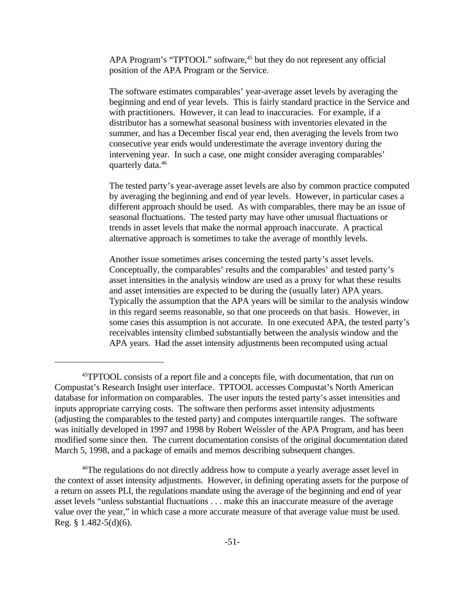APA Program's "TPTOOL" software,<sup>45</sup> but they do not represent any official position of the APA Program or the Service.

The software estimates comparables' year-average asset levels by averaging the beginning and end of year levels. This is fairly standard practice in the Service and with practitioners. However, it can lead to inaccuracies. For example, if a distributor has a somewhat seasonal business with inventories elevated in the summer, and has a December fiscal year end, then averaging the levels from two consecutive year ends would underestimate the average inventory during the intervening year. In such a case, one might consider averaging comparables' quarterly data.<sup>46</sup>

The tested party's year-average asset levels are also by common practice computed by averaging the beginning and end of year levels. However, in particular cases a different approach should be used. As with comparables, there may be an issue of seasonal fluctuations. The tested party may have other unusual fluctuations or trends in asset levels that make the normal approach inaccurate. A practical alternative approach is sometimes to take the average of monthly levels.

Another issue sometimes arises concerning the tested party's asset levels. Conceptually, the comparables' results and the comparables' and tested party's asset intensities in the analysis window are used as a proxy for what these results and asset intensities are expected to be during the (usually later) APA years. Typically the assumption that the APA years will be similar to the analysis window in this regard seems reasonable, so that one proceeds on that basis. However, in some cases this assumption is not accurate. In one executed APA, the tested party's receivables intensity climbed substantially between the analysis window and the APA years. Had the asset intensity adjustments been recomputed using actual

<sup>45</sup>TPTOOL consists of a report file and a concepts file, with documentation, that run on Compustat's Research Insight user interface. TPTOOL accesses Compustat's North American database for information on comparables. The user inputs the tested party's asset intensities and inputs appropriate carrying costs. The software then performs asset intensity adjustments (adjusting the comparables to the tested party) and computes interquartile ranges. The software was initially developed in 1997 and 1998 by Robert Weissler of the APA Program, and has been modified some since then. The current documentation consists of the original documentation dated March 5, 1998, and a package of emails and memos describing subsequent changes.

<sup>&</sup>lt;sup>46</sup>The regulations do not directly address how to compute a yearly average asset level in the context of asset intensity adjustments. However, in defining operating assets for the purpose of a return on assets PLI, the regulations mandate using the average of the beginning and end of year asset levels "unless substantial fluctuations . . . make this an inaccurate measure of the average value over the year," in which case a more accurate measure of that average value must be used. Reg. § 1.482-5(d)(6).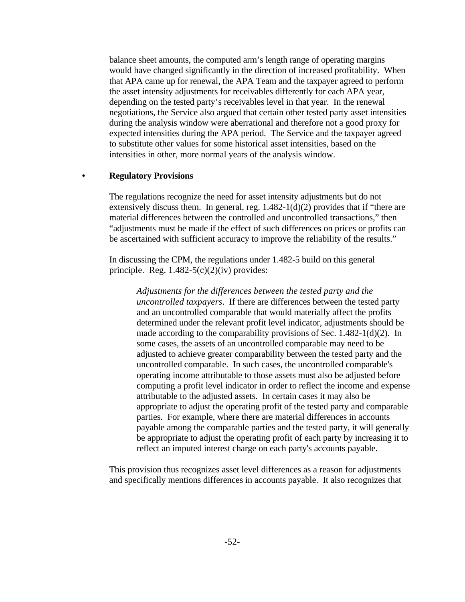balance sheet amounts, the computed arm's length range of operating margins would have changed significantly in the direction of increased profitability. When that APA came up for renewal, the APA Team and the taxpayer agreed to perform the asset intensity adjustments for receivables differently for each APA year, depending on the tested party's receivables level in that year. In the renewal negotiations, the Service also argued that certain other tested party asset intensities during the analysis window were aberrational and therefore not a good proxy for expected intensities during the APA period. The Service and the taxpayer agreed to substitute other values for some historical asset intensities, based on the intensities in other, more normal years of the analysis window.

#### **• Regulatory Provisions**

The regulations recognize the need for asset intensity adjustments but do not extensively discuss them. In general, reg.  $1.482-1(d)(2)$  provides that if "there are material differences between the controlled and uncontrolled transactions," then "adjustments must be made if the effect of such differences on prices or profits can be ascertained with sufficient accuracy to improve the reliability of the results."

In discussing the CPM, the regulations under 1.482-5 build on this general principle. Reg.  $1.482-5(c)(2)(iv)$  provides:

> *Adjustments for the differences between the tested party and the uncontrolled taxpayers*. If there are differences between the tested party and an uncontrolled comparable that would materially affect the profits determined under the relevant profit level indicator, adjustments should be made according to the comparability provisions of Sec. 1.482-1(d)(2). In some cases, the assets of an uncontrolled comparable may need to be adjusted to achieve greater comparability between the tested party and the uncontrolled comparable. In such cases, the uncontrolled comparable's operating income attributable to those assets must also be adjusted before computing a profit level indicator in order to reflect the income and expense attributable to the adjusted assets. In certain cases it may also be appropriate to adjust the operating profit of the tested party and comparable parties. For example, where there are material differences in accounts payable among the comparable parties and the tested party, it will generally be appropriate to adjust the operating profit of each party by increasing it to reflect an imputed interest charge on each party's accounts payable.

This provision thus recognizes asset level differences as a reason for adjustments and specifically mentions differences in accounts payable. It also recognizes that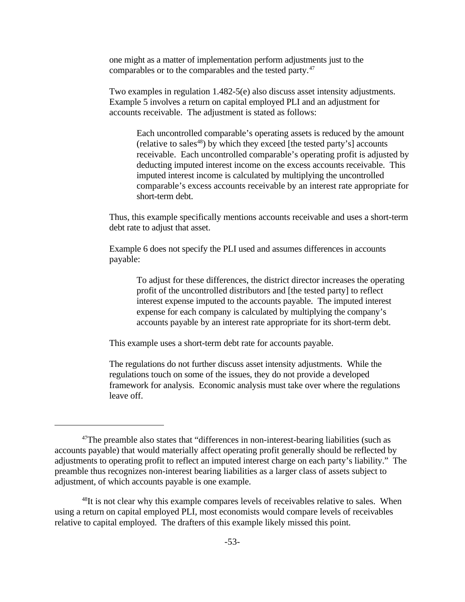one might as a matter of implementation perform adjustments just to the comparables or to the comparables and the tested party.<sup>47</sup>

Two examples in regulation 1.482-5(e) also discuss asset intensity adjustments. Example 5 involves a return on capital employed PLI and an adjustment for accounts receivable. The adjustment is stated as follows:

Each uncontrolled comparable's operating assets is reduced by the amount (relative to sales<sup>48</sup>) by which they exceed [the tested party's] accounts receivable. Each uncontrolled comparable's operating profit is adjusted by deducting imputed interest income on the excess accounts receivable. This imputed interest income is calculated by multiplying the uncontrolled comparable's excess accounts receivable by an interest rate appropriate for short-term debt.

Thus, this example specifically mentions accounts receivable and uses a short-term debt rate to adjust that asset.

Example 6 does not specify the PLI used and assumes differences in accounts payable:

To adjust for these differences, the district director increases the operating profit of the uncontrolled distributors and [the tested party] to reflect interest expense imputed to the accounts payable. The imputed interest expense for each company is calculated by multiplying the company's accounts payable by an interest rate appropriate for its short-term debt.

This example uses a short-term debt rate for accounts payable.

The regulations do not further discuss asset intensity adjustments. While the regulations touch on some of the issues, they do not provide a developed framework for analysis. Economic analysis must take over where the regulations leave off.

 $47$ The preamble also states that "differences in non-interest-bearing liabilities (such as accounts payable) that would materially affect operating profit generally should be reflected by adjustments to operating profit to reflect an imputed interest charge on each party's liability." The preamble thus recognizes non-interest bearing liabilities as a larger class of assets subject to adjustment, of which accounts payable is one example.

<sup>&</sup>lt;sup>48</sup>It is not clear why this example compares levels of receivables relative to sales. When using a return on capital employed PLI, most economists would compare levels of receivables relative to capital employed. The drafters of this example likely missed this point.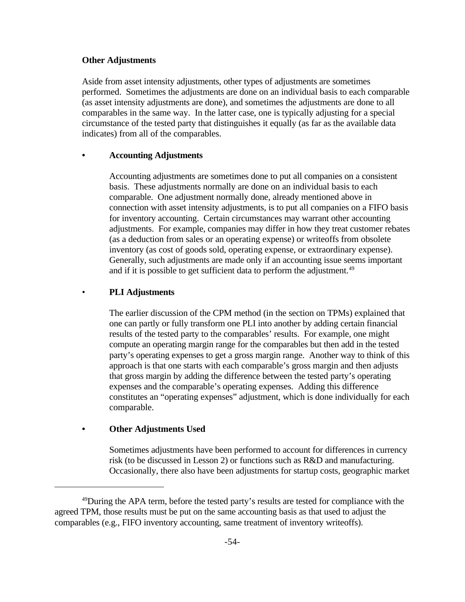#### **Other Adjustments**

Aside from asset intensity adjustments, other types of adjustments are sometimes performed. Sometimes the adjustments are done on an individual basis to each comparable (as asset intensity adjustments are done), and sometimes the adjustments are done to all comparables in the same way. In the latter case, one is typically adjusting for a special circumstance of the tested party that distinguishes it equally (as far as the available data indicates) from all of the comparables.

#### **• Accounting Adjustments**

Accounting adjustments are sometimes done to put all companies on a consistent basis. These adjustments normally are done on an individual basis to each comparable. One adjustment normally done, already mentioned above in connection with asset intensity adjustments, is to put all companies on a FIFO basis for inventory accounting. Certain circumstances may warrant other accounting adjustments. For example, companies may differ in how they treat customer rebates (as a deduction from sales or an operating expense) or writeoffs from obsolete inventory (as cost of goods sold, operating expense, or extraordinary expense). Generally, such adjustments are made only if an accounting issue seems important and if it is possible to get sufficient data to perform the adjustment.<sup>49</sup>

#### • **PLI Adjustments**

The earlier discussion of the CPM method (in the section on TPMs) explained that one can partly or fully transform one PLI into another by adding certain financial results of the tested party to the comparables' results. For example, one might compute an operating margin range for the comparables but then add in the tested party's operating expenses to get a gross margin range. Another way to think of this approach is that one starts with each comparable's gross margin and then adjusts that gross margin by adding the difference between the tested party's operating expenses and the comparable's operating expenses. Adding this difference constitutes an "operating expenses" adjustment, which is done individually for each comparable.

#### **• Other Adjustments Used**

Sometimes adjustments have been performed to account for differences in currency risk (to be discussed in Lesson 2) or functions such as R&D and manufacturing. Occasionally, there also have been adjustments for startup costs, geographic market

<sup>&</sup>lt;sup>49</sup>During the APA term, before the tested party's results are tested for compliance with the agreed TPM, those results must be put on the same accounting basis as that used to adjust the comparables (e.g., FIFO inventory accounting, same treatment of inventory writeoffs).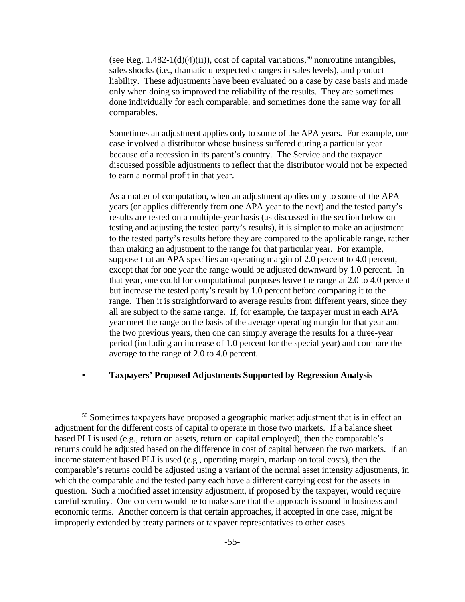(see Reg.  $1.482-1(d)(4)(ii)$ ), cost of capital variations,<sup>50</sup> nonroutine intangibles, sales shocks (i.e., dramatic unexpected changes in sales levels), and product liability. These adjustments have been evaluated on a case by case basis and made only when doing so improved the reliability of the results. They are sometimes done individually for each comparable, and sometimes done the same way for all comparables.

Sometimes an adjustment applies only to some of the APA years. For example, one case involved a distributor whose business suffered during a particular year because of a recession in its parent's country. The Service and the taxpayer discussed possible adjustments to reflect that the distributor would not be expected to earn a normal profit in that year.

As a matter of computation, when an adjustment applies only to some of the APA years (or applies differently from one APA year to the next) and the tested party's results are tested on a multiple-year basis (as discussed in the section below on testing and adjusting the tested party's results), it is simpler to make an adjustment to the tested party's results before they are compared to the applicable range, rather than making an adjustment to the range for that particular year. For example, suppose that an APA specifies an operating margin of 2.0 percent to 4.0 percent, except that for one year the range would be adjusted downward by 1.0 percent. In that year, one could for computational purposes leave the range at 2.0 to 4.0 percent but increase the tested party's result by 1.0 percent before comparing it to the range. Then it is straightforward to average results from different years, since they all are subject to the same range. If, for example, the taxpayer must in each APA year meet the range on the basis of the average operating margin for that year and the two previous years, then one can simply average the results for a three-year period (including an increase of 1.0 percent for the special year) and compare the average to the range of 2.0 to 4.0 percent.

#### **• Taxpayers' Proposed Adjustments Supported by Regression Analysis**

<sup>&</sup>lt;sup>50</sup> Sometimes taxpayers have proposed a geographic market adjustment that is in effect an adjustment for the different costs of capital to operate in those two markets. If a balance sheet based PLI is used (e.g., return on assets, return on capital employed), then the comparable's returns could be adjusted based on the difference in cost of capital between the two markets. If an income statement based PLI is used (e.g., operating margin, markup on total costs), then the comparable's returns could be adjusted using a variant of the normal asset intensity adjustments, in which the comparable and the tested party each have a different carrying cost for the assets in question. Such a modified asset intensity adjustment, if proposed by the taxpayer, would require careful scrutiny. One concern would be to make sure that the approach is sound in business and economic terms. Another concern is that certain approaches, if accepted in one case, might be improperly extended by treaty partners or taxpayer representatives to other cases.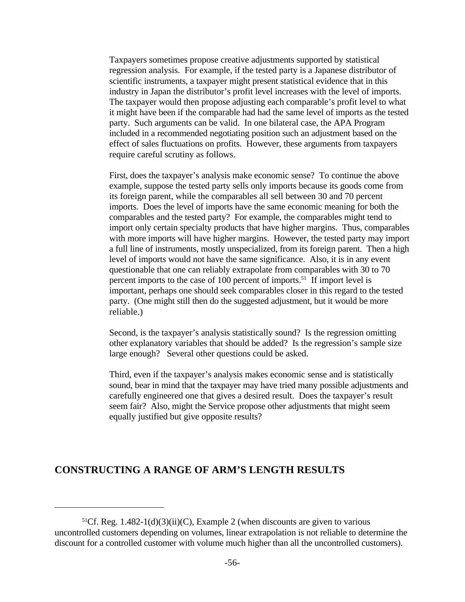Taxpayers sometimes propose creative adjustments supported by statistical regression analysis. For example, if the tested party is a Japanese distributor of scientific instruments, a taxpayer might present statistical evidence that in this industry in Japan the distributor's profit level increases with the level of imports. The taxpayer would then propose adjusting each comparable's profit level to what it might have been if the comparable had had the same level of imports as the tested party. Such arguments can be valid. In one bilateral case, the APA Program included in a recommended negotiating position such an adjustment based on the effect of sales fluctuations on profits. However, these arguments from taxpayers require careful scrutiny as follows.

First, does the taxpayer's analysis make economic sense? To continue the above example, suppose the tested party sells only imports because its goods come from its foreign parent, while the comparables all sell between 30 and 70 percent imports. Does the level of imports have the same economic meaning for both the comparables and the tested party? For example, the comparables might tend to import only certain specialty products that have higher margins. Thus, comparables with more imports will have higher margins. However, the tested party may import a full line of instruments, mostly unspecialized, from its foreign parent. Then a high level of imports would not have the same significance. Also, it is in any event questionable that one can reliably extrapolate from comparables with 30 to 70 percent imports to the case of 100 percent of imports.<sup>51</sup> If import level is important, perhaps one should seek comparables closer in this regard to the tested party. (One might still then do the suggested adjustment, but it would be more reliable.)

Second, is the taxpayer's analysis statistically sound? Is the regression omitting other explanatory variables that should be added? Is the regression's sample size large enough? Several other questions could be asked.

Third, even if the taxpayer's analysis makes economic sense and is statistically sound, bear in mind that the taxpayer may have tried many possible adjustments and carefully engineered one that gives a desired result. Does the taxpayer's result seem fair? Also, might the Service propose other adjustments that might seem equally justified but give opposite results?

# **CONSTRUCTING A RANGE OF ARM'S LENGTH RESULTS**

<sup>&</sup>lt;sup>51</sup>Cf. Reg. 1.482-1(d)(3)(ii)(C), Example 2 (when discounts are given to various uncontrolled customers depending on volumes, linear extrapolation is not reliable to determine the discount for a controlled customer with volume much higher than all the uncontrolled customers).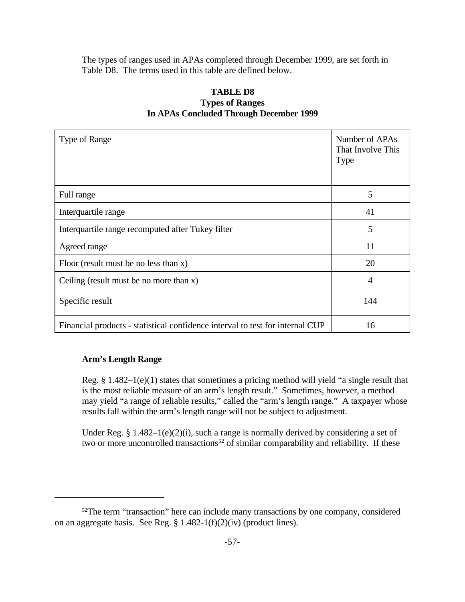The types of ranges used in APAs completed through December 1999, are set forth in Table D8. The terms used in this table are defined below.

## **TABLE D8**

## **Types of Ranges In APAs Concluded Through December 1999**

| Type of Range                                                                 | Number of APAs<br>That Involve This<br><b>Type</b> |
|-------------------------------------------------------------------------------|----------------------------------------------------|
|                                                                               |                                                    |
| Full range                                                                    | 5                                                  |
| Interquartile range                                                           | 41                                                 |
| Interquartile range recomputed after Tukey filter                             | 5                                                  |
| Agreed range                                                                  | 11                                                 |
| Floor (result must be no less than $x$ )                                      | 20                                                 |
| Ceiling (result must be no more than $x$ )                                    | 4                                                  |
| Specific result                                                               | 144                                                |
| Financial products - statistical confidence interval to test for internal CUP | 16                                                 |

## **Arm's Length Range**

Reg. § 1.482–1(e)(1) states that sometimes a pricing method will yield "a single result that is the most reliable measure of an arm's length result." Sometimes, however, a method may yield "a range of reliable results," called the "arm's length range." A taxpayer whose results fall within the arm's length range will not be subject to adjustment.

Under Reg.  $§$  1.482–1(e)(2)(i), such a range is normally derived by considering a set of two or more uncontrolled transactions<sup>52</sup> of similar comparability and reliability. If these

<sup>&</sup>lt;sup>52</sup>The term "transaction" here can include many transactions by one company, considered on an aggregate basis. See Reg. § 1.482-1(f)(2)(iv) (product lines).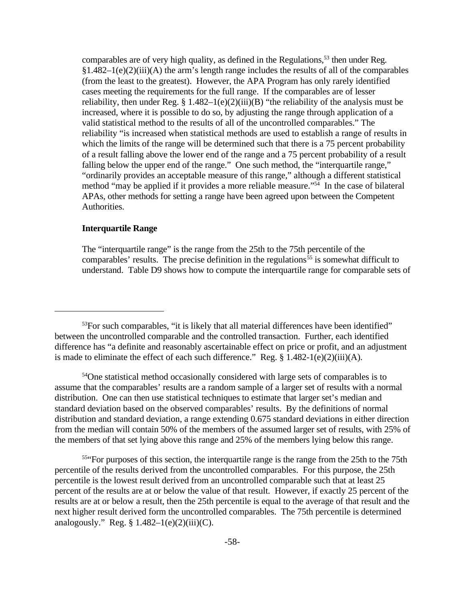comparables are of very high quality, as defined in the Regulations,<sup>53</sup> then under Reg.  $§1.482-1(e)(2)(iii)$ (A) the arm's length range includes the results of all of the comparables (from the least to the greatest). However, the APA Program has only rarely identified cases meeting the requirements for the full range. If the comparables are of lesser reliability, then under Reg.  $\S 1.482-1(e)(2)(iii)(B)$  "the reliability of the analysis must be increased, where it is possible to do so, by adjusting the range through application of a valid statistical method to the results of all of the uncontrolled comparables." The reliability "is increased when statistical methods are used to establish a range of results in which the limits of the range will be determined such that there is a 75 percent probability of a result falling above the lower end of the range and a 75 percent probability of a result falling below the upper end of the range." One such method, the "interquartile range," "ordinarily provides an acceptable measure of this range," although a different statistical method "may be applied if it provides a more reliable measure."<sup>54</sup> In the case of bilateral APAs, other methods for setting a range have been agreed upon between the Competent Authorities.

## **Interquartile Range**

The "interquartile range" is the range from the 25th to the 75th percentile of the comparables' results. The precise definition in the regulations<sup>55</sup> is somewhat difficult to understand. Table D9 shows how to compute the interquartile range for comparable sets of

<sup>54</sup>One statistical method occasionally considered with large sets of comparables is to assume that the comparables' results are a random sample of a larger set of results with a normal distribution. One can then use statistical techniques to estimate that larger set's median and standard deviation based on the observed comparables' results. By the definitions of normal distribution and standard deviation, a range extending 0.675 standard deviations in either direction from the median will contain 50% of the members of the assumed larger set of results, with 25% of the members of that set lying above this range and 25% of the members lying below this range.

<sup>554</sup> For purposes of this section, the interquartile range is the range from the 25th to the 75th percentile of the results derived from the uncontrolled comparables. For this purpose, the 25th percentile is the lowest result derived from an uncontrolled comparable such that at least 25 percent of the results are at or below the value of that result. However, if exactly 25 percent of the results are at or below a result, then the 25th percentile is equal to the average of that result and the next higher result derived form the uncontrolled comparables. The 75th percentile is determined analogously." Reg.  $§ 1.482-1(e)(2)(iii)(C)$ .

<sup>&</sup>lt;sup>53</sup>For such comparables, "it is likely that all material differences have been identified" between the uncontrolled comparable and the controlled transaction. Further, each identified difference has "a definite and reasonably ascertainable effect on price or profit, and an adjustment is made to eliminate the effect of each such difference." Reg.  $\S$  1.482-1(e)(2)(iii)(A).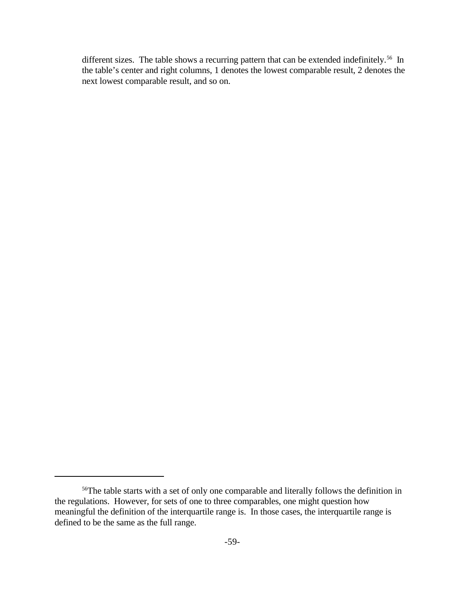different sizes. The table shows a recurring pattern that can be extended indefinitely.<sup>56</sup> In the table's center and right columns, 1 denotes the lowest comparable result, 2 denotes the next lowest comparable result, and so on.

<sup>&</sup>lt;sup>56</sup>The table starts with a set of only one comparable and literally follows the definition in the regulations. However, for sets of one to three comparables, one might question how meaningful the definition of the interquartile range is. In those cases, the interquartile range is defined to be the same as the full range.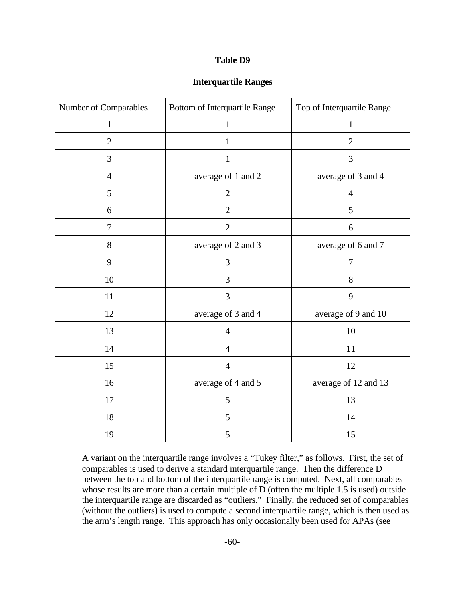#### **Table D9**

| <b>Interquartile Ranges</b> |  |  |
|-----------------------------|--|--|
|-----------------------------|--|--|

| Number of Comparables | <b>Bottom of Interquartile Range</b> | Top of Interquartile Range |  |  |
|-----------------------|--------------------------------------|----------------------------|--|--|
| $\mathbf{1}$          | $\mathbf{1}$                         | $\mathbf{1}$               |  |  |
| $\mathfrak{2}$        | $\mathbf{1}$                         | $\overline{2}$             |  |  |
| $\mathfrak{Z}$        | $\mathbf{1}$                         | 3                          |  |  |
| $\overline{4}$        | average of 1 and 2                   | average of 3 and 4         |  |  |
| 5                     | $\mathbf{2}$                         | $\overline{4}$             |  |  |
| 6                     | $\overline{2}$                       | 5                          |  |  |
| $\tau$                | $\overline{2}$                       | 6                          |  |  |
| 8                     | average of 2 and 3                   | average of 6 and 7         |  |  |
| 9                     | 3                                    | $\boldsymbol{7}$           |  |  |
| 10                    | 3                                    | 8                          |  |  |
| 11                    | 3                                    | 9                          |  |  |
| 12                    | average of 3 and 4                   | average of 9 and 10        |  |  |
| 13                    | $\overline{4}$                       | 10                         |  |  |
| 14                    | $\overline{4}$                       | 11                         |  |  |
| 15                    | $\overline{4}$                       | 12                         |  |  |
| 16                    | average of 4 and 5                   | average of 12 and 13       |  |  |
| 17                    | 5                                    | 13                         |  |  |
| 18                    | 5                                    | 14                         |  |  |
| 19                    | 5                                    | 15                         |  |  |

A variant on the interquartile range involves a "Tukey filter," as follows. First, the set of comparables is used to derive a standard interquartile range. Then the difference D between the top and bottom of the interquartile range is computed. Next, all comparables whose results are more than a certain multiple of D (often the multiple 1.5 is used) outside the interquartile range are discarded as "outliers." Finally, the reduced set of comparables (without the outliers) is used to compute a second interquartile range, which is then used as the arm's length range. This approach has only occasionally been used for APAs (see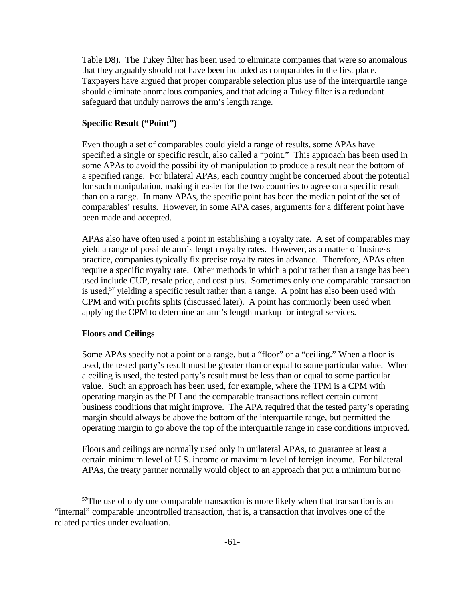Table D8). The Tukey filter has been used to eliminate companies that were so anomalous that they arguably should not have been included as comparables in the first place. Taxpayers have argued that proper comparable selection plus use of the interquartile range should eliminate anomalous companies, and that adding a Tukey filter is a redundant safeguard that unduly narrows the arm's length range.

## **Specific Result ("Point")**

Even though a set of comparables could yield a range of results, some APAs have specified a single or specific result, also called a "point." This approach has been used in some APAs to avoid the possibility of manipulation to produce a result near the bottom of a specified range. For bilateral APAs, each country might be concerned about the potential for such manipulation, making it easier for the two countries to agree on a specific result than on a range. In many APAs, the specific point has been the median point of the set of comparables' results. However, in some APA cases, arguments for a different point have been made and accepted.

APAs also have often used a point in establishing a royalty rate. A set of comparables may yield a range of possible arm's length royalty rates. However, as a matter of business practice, companies typically fix precise royalty rates in advance. Therefore, APAs often require a specific royalty rate. Other methods in which a point rather than a range has been used include CUP, resale price, and cost plus. Sometimes only one comparable transaction is used,<sup>57</sup> yielding a specific result rather than a range. A point has also been used with CPM and with profits splits (discussed later). A point has commonly been used when applying the CPM to determine an arm's length markup for integral services.

## **Floors and Ceilings**

Some APAs specify not a point or a range, but a "floor" or a "ceiling." When a floor is used, the tested party's result must be greater than or equal to some particular value. When a ceiling is used, the tested party's result must be less than or equal to some particular value. Such an approach has been used, for example, where the TPM is a CPM with operating margin as the PLI and the comparable transactions reflect certain current business conditions that might improve. The APA required that the tested party's operating margin should always be above the bottom of the interquartile range, but permitted the operating margin to go above the top of the interquartile range in case conditions improved.

Floors and ceilings are normally used only in unilateral APAs, to guarantee at least a certain minimum level of U.S. income or maximum level of foreign income. For bilateral APAs, the treaty partner normally would object to an approach that put a minimum but no

<sup>&</sup>lt;sup>57</sup>The use of only one comparable transaction is more likely when that transaction is an "internal" comparable uncontrolled transaction, that is, a transaction that involves one of the related parties under evaluation.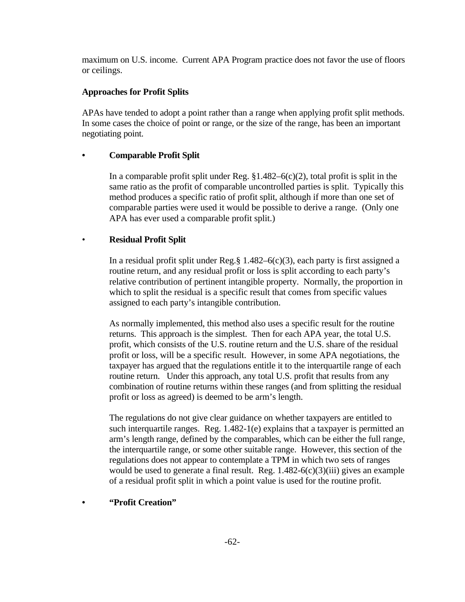maximum on U.S. income. Current APA Program practice does not favor the use of floors or ceilings.

## **Approaches for Profit Splits**

APAs have tended to adopt a point rather than a range when applying profit split methods. In some cases the choice of point or range, or the size of the range, has been an important negotiating point.

## **• Comparable Profit Split**

In a comparable profit split under Reg.  $$1.482-6(c)(2)$ , total profit is split in the same ratio as the profit of comparable uncontrolled parties is split. Typically this method produces a specific ratio of profit split, although if more than one set of comparable parties were used it would be possible to derive a range. (Only one APA has ever used a comparable profit split.)

## • **Residual Profit Split**

In a residual profit split under Reg.§  $1.482-6(c)(3)$ , each party is first assigned a routine return, and any residual profit or loss is split according to each party's relative contribution of pertinent intangible property. Normally, the proportion in which to split the residual is a specific result that comes from specific values assigned to each party's intangible contribution.

As normally implemented, this method also uses a specific result for the routine returns. This approach is the simplest. Then for each APA year, the total U.S. profit, which consists of the U.S. routine return and the U.S. share of the residual profit or loss, will be a specific result. However, in some APA negotiations, the taxpayer has argued that the regulations entitle it to the interquartile range of each routine return. Under this approach, any total U.S. profit that results from any combination of routine returns within these ranges (and from splitting the residual profit or loss as agreed) is deemed to be arm's length.

The regulations do not give clear guidance on whether taxpayers are entitled to such interquartile ranges. Reg.  $1.482-1$ (e) explains that a taxpayer is permitted an arm's length range, defined by the comparables, which can be either the full range, the interquartile range, or some other suitable range. However, this section of the regulations does not appear to contemplate a TPM in which two sets of ranges would be used to generate a final result. Reg.  $1.482-6(c)(3)(iii)$  gives an example of a residual profit split in which a point value is used for the routine profit.

## **• "Profit Creation"**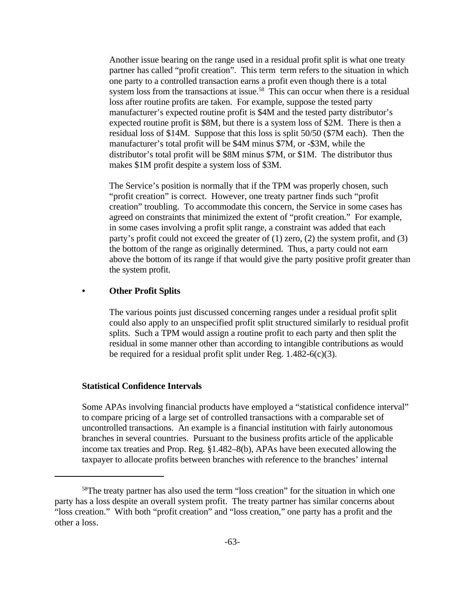Another issue bearing on the range used in a residual profit split is what one treaty partner has called "profit creation". This term term refers to the situation in which one party to a controlled transaction earns a profit even though there is a total system loss from the transactions at issue.<sup>58</sup> This can occur when there is a residual loss after routine profits are taken. For example, suppose the tested party manufacturer's expected routine profit is \$4M and the tested party distributor's expected routine profit is \$8M, but there is a system loss of \$2M. There is then a residual loss of \$14M. Suppose that this loss is split 50/50 (\$7M each). Then the manufacturer's total profit will be \$4M minus \$7M, or -\$3M, while the distributor's total profit will be \$8M minus \$7M, or \$1M. The distributor thus makes \$1M profit despite a system loss of \$3M.

The Service's position is normally that if the TPM was properly chosen, such "profit creation" is correct. However, one treaty partner finds such "profit creation" troubling. To accommodate this concern, the Service in some cases has agreed on constraints that minimized the extent of "profit creation." For example, in some cases involving a profit split range, a constraint was added that each party's profit could not exceed the greater of (1) zero, (2) the system profit, and (3) the bottom of the range as originally determined. Thus, a party could not earn above the bottom of its range if that would give the party positive profit greater than the system profit.

#### **• Other Profit Splits**

The various points just discussed concerning ranges under a residual profit split could also apply to an unspecified profit split structured similarly to residual profit splits. Such a TPM would assign a routine profit to each party and then split the residual in some manner other than according to intangible contributions as would be required for a residual profit split under Reg.  $1.482-6(c)(3)$ .

#### **Statistical Confidence Intervals**

Some APAs involving financial products have employed a "statistical confidence interval" to compare pricing of a large set of controlled transactions with a comparable set of uncontrolled transactions. An example is a financial institution with fairly autonomous branches in several countries. Pursuant to the business profits article of the applicable income tax treaties and Prop. Reg. §1.482–8(b), APAs have been executed allowing the taxpayer to allocate profits between branches with reference to the branches' internal

<sup>&</sup>lt;sup>58</sup>The treaty partner has also used the term "loss creation" for the situation in which one party has a loss despite an overall system profit. The treaty partner has similar concerns about "loss creation." With both "profit creation" and "loss creation," one party has a profit and the other a loss.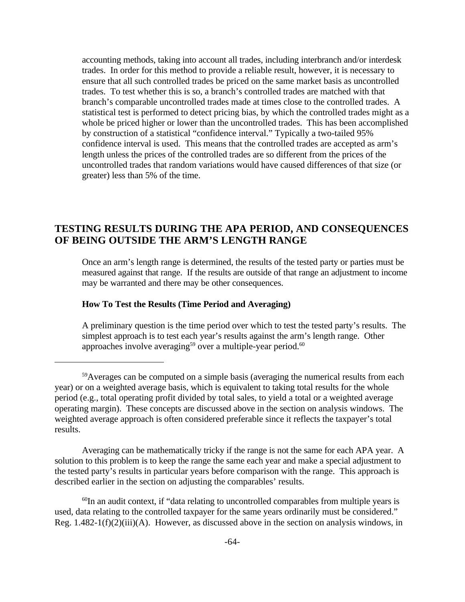accounting methods, taking into account all trades, including interbranch and/or interdesk trades. In order for this method to provide a reliable result, however, it is necessary to ensure that all such controlled trades be priced on the same market basis as uncontrolled trades. To test whether this is so, a branch's controlled trades are matched with that branch's comparable uncontrolled trades made at times close to the controlled trades. A statistical test is performed to detect pricing bias, by which the controlled trades might as a whole be priced higher or lower than the uncontrolled trades. This has been accomplished by construction of a statistical "confidence interval." Typically a two-tailed 95% confidence interval is used. This means that the controlled trades are accepted as arm's length unless the prices of the controlled trades are so different from the prices of the uncontrolled trades that random variations would have caused differences of that size (or greater) less than 5% of the time.

# **TESTING RESULTS DURING THE APA PERIOD, AND CONSEQUENCES OF BEING OUTSIDE THE ARM'S LENGTH RANGE**

Once an arm's length range is determined, the results of the tested party or parties must be measured against that range. If the results are outside of that range an adjustment to income may be warranted and there may be other consequences.

## **How To Test the Results (Time Period and Averaging)**

A preliminary question is the time period over which to test the tested party's results. The simplest approach is to test each year's results against the arm's length range. Other approaches involve averaging<sup>59</sup> over a multiple-year period.<sup>60</sup>

Averaging can be mathematically tricky if the range is not the same for each APA year. A solution to this problem is to keep the range the same each year and make a special adjustment to the tested party's results in particular years before comparison with the range. This approach is described earlier in the section on adjusting the comparables' results.

 $60$ In an audit context, if "data relating to uncontrolled comparables from multiple years is used, data relating to the controlled taxpayer for the same years ordinarily must be considered." Reg.  $1.482-1(f)(2)(iii)$ (A). However, as discussed above in the section on analysis windows, in

<sup>&</sup>lt;sup>59</sup>Averages can be computed on a simple basis (averaging the numerical results from each year) or on a weighted average basis, which is equivalent to taking total results for the whole period (e.g., total operating profit divided by total sales, to yield a total or a weighted average operating margin). These concepts are discussed above in the section on analysis windows. The weighted average approach is often considered preferable since it reflects the taxpayer's total results.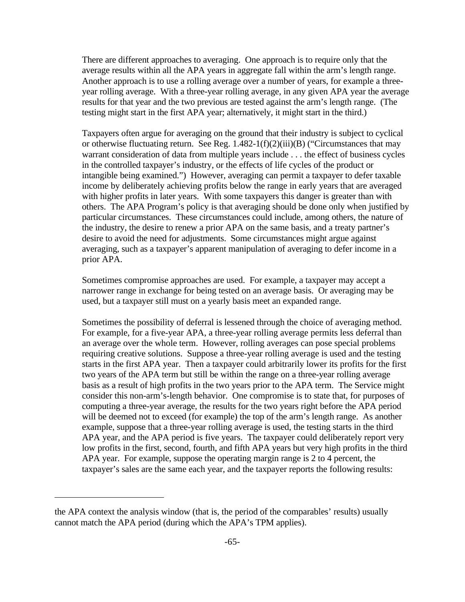There are different approaches to averaging. One approach is to require only that the average results within all the APA years in aggregate fall within the arm's length range. Another approach is to use a rolling average over a number of years, for example a threeyear rolling average. With a three-year rolling average, in any given APA year the average results for that year and the two previous are tested against the arm's length range. (The testing might start in the first APA year; alternatively, it might start in the third.)

Taxpayers often argue for averaging on the ground that their industry is subject to cyclical or otherwise fluctuating return. See Reg.  $1.482-1(f)(2)(iii)(B)$  ("Circumstances that may warrant consideration of data from multiple years include . . . the effect of business cycles in the controlled taxpayer's industry, or the effects of life cycles of the product or intangible being examined.") However, averaging can permit a taxpayer to defer taxable income by deliberately achieving profits below the range in early years that are averaged with higher profits in later years. With some taxpayers this danger is greater than with others. The APA Program's policy is that averaging should be done only when justified by particular circumstances. These circumstances could include, among others, the nature of the industry, the desire to renew a prior APA on the same basis, and a treaty partner's desire to avoid the need for adjustments. Some circumstances might argue against averaging, such as a taxpayer's apparent manipulation of averaging to defer income in a prior APA.

Sometimes compromise approaches are used. For example, a taxpayer may accept a narrower range in exchange for being tested on an average basis. Or averaging may be used, but a taxpayer still must on a yearly basis meet an expanded range.

Sometimes the possibility of deferral is lessened through the choice of averaging method. For example, for a five-year APA, a three-year rolling average permits less deferral than an average over the whole term. However, rolling averages can pose special problems requiring creative solutions. Suppose a three-year rolling average is used and the testing starts in the first APA year. Then a taxpayer could arbitrarily lower its profits for the first two years of the APA term but still be within the range on a three-year rolling average basis as a result of high profits in the two years prior to the APA term. The Service might consider this non-arm's-length behavior. One compromise is to state that, for purposes of computing a three-year average, the results for the two years right before the APA period will be deemed not to exceed (for example) the top of the arm's length range. As another example, suppose that a three-year rolling average is used, the testing starts in the third APA year, and the APA period is five years. The taxpayer could deliberately report very low profits in the first, second, fourth, and fifth APA years but very high profits in the third APA year. For example, suppose the operating margin range is 2 to 4 percent, the taxpayer's sales are the same each year, and the taxpayer reports the following results:

the APA context the analysis window (that is, the period of the comparables' results) usually cannot match the APA period (during which the APA's TPM applies).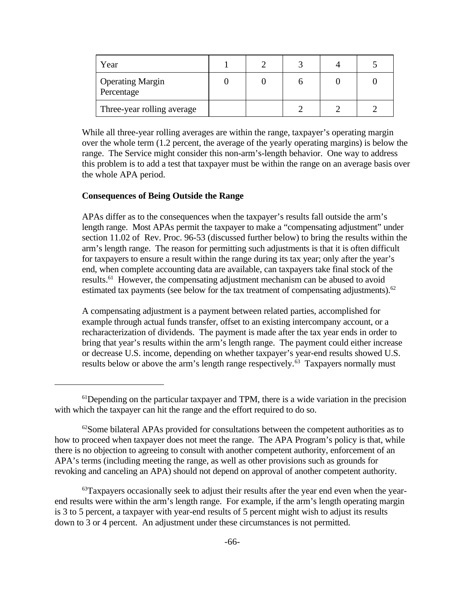| Year                                  |  |  |  |
|---------------------------------------|--|--|--|
| <b>Operating Margin</b><br>Percentage |  |  |  |
| Three-year rolling average            |  |  |  |

While all three-year rolling averages are within the range, taxpayer's operating margin over the whole term (1.2 percent, the average of the yearly operating margins) is below the range. The Service might consider this non-arm's-length behavior. One way to address this problem is to add a test that taxpayer must be within the range on an average basis over the whole APA period.

#### **Consequences of Being Outside the Range**

APAs differ as to the consequences when the taxpayer's results fall outside the arm's length range. Most APAs permit the taxpayer to make a "compensating adjustment" under section 11.02 of Rev. Proc. 96-53 (discussed further below) to bring the results within the arm's length range. The reason for permitting such adjustments is that it is often difficult for taxpayers to ensure a result within the range during its tax year; only after the year's end, when complete accounting data are available, can taxpayers take final stock of the results.<sup>61</sup> However, the compensating adjustment mechanism can be abused to avoid estimated tax payments (see below for the tax treatment of compensating adjustments). $62$ 

A compensating adjustment is a payment between related parties, accomplished for example through actual funds transfer, offset to an existing intercompany account, or a recharacterization of dividends. The payment is made after the tax year ends in order to bring that year's results within the arm's length range. The payment could either increase or decrease U.S. income, depending on whether taxpayer's year-end results showed U.S. results below or above the arm's length range respectively.<sup>63</sup> Taxpayers normally must

<sup>&</sup>lt;sup>61</sup>Depending on the particular taxpayer and TPM, there is a wide variation in the precision with which the taxpayer can hit the range and the effort required to do so.

 $62$ Some bilateral APAs provided for consultations between the competent authorities as to how to proceed when taxpayer does not meet the range. The APA Program's policy is that, while there is no objection to agreeing to consult with another competent authority, enforcement of an APA's terms (including meeting the range, as well as other provisions such as grounds for revoking and canceling an APA) should not depend on approval of another competent authority.

 $63$ Taxpayers occasionally seek to adjust their results after the year end even when the yearend results were within the arm's length range. For example, if the arm's length operating margin is 3 to 5 percent, a taxpayer with year-end results of 5 percent might wish to adjust its results down to 3 or 4 percent. An adjustment under these circumstances is not permitted.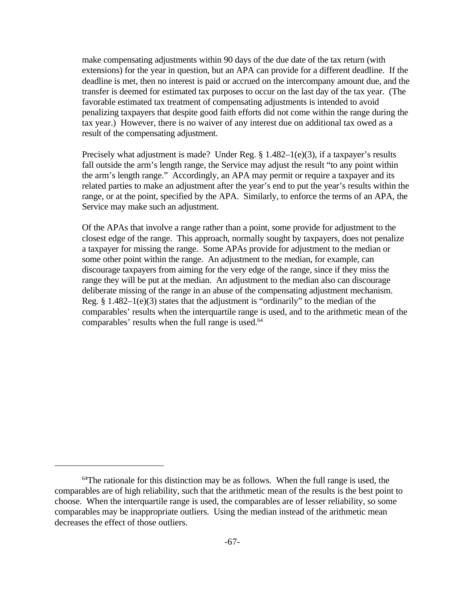make compensating adjustments within 90 days of the due date of the tax return (with extensions) for the year in question, but an APA can provide for a different deadline. If the deadline is met, then no interest is paid or accrued on the intercompany amount due, and the transfer is deemed for estimated tax purposes to occur on the last day of the tax year. (The favorable estimated tax treatment of compensating adjustments is intended to avoid penalizing taxpayers that despite good faith efforts did not come within the range during the tax year.) However, there is no waiver of any interest due on additional tax owed as a result of the compensating adjustment.

Precisely what adjustment is made? Under Reg. § 1.482-1(e)(3), if a taxpayer's results fall outside the arm's length range, the Service may adjust the result "to any point within the arm's length range." Accordingly, an APA may permit or require a taxpayer and its related parties to make an adjustment after the year's end to put the year's results within the range, or at the point, specified by the APA. Similarly, to enforce the terms of an APA, the Service may make such an adjustment.

Of the APAs that involve a range rather than a point, some provide for adjustment to the closest edge of the range. This approach, normally sought by taxpayers, does not penalize a taxpayer for missing the range. Some APAs provide for adjustment to the median or some other point within the range. An adjustment to the median, for example, can discourage taxpayers from aiming for the very edge of the range, since if they miss the range they will be put at the median. An adjustment to the median also can discourage deliberate missing of the range in an abuse of the compensating adjustment mechanism. Reg.  $§$  1.482–1(e)(3) states that the adjustment is "ordinarily" to the median of the comparables' results when the interquartile range is used, and to the arithmetic mean of the comparables' results when the full range is used.<sup>64</sup>

 $64$ The rationale for this distinction may be as follows. When the full range is used, the comparables are of high reliability, such that the arithmetic mean of the results is the best point to choose. When the interquartile range is used, the comparables are of lesser reliability, so some comparables may be inappropriate outliers. Using the median instead of the arithmetic mean decreases the effect of those outliers.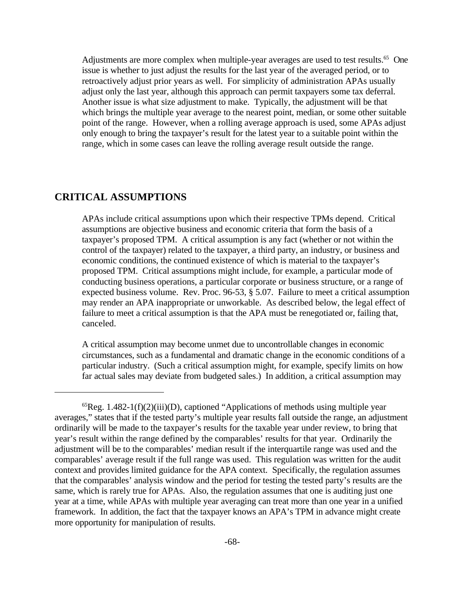Adjustments are more complex when multiple-year averages are used to test results.<sup>65</sup> One issue is whether to just adjust the results for the last year of the averaged period, or to retroactively adjust prior years as well. For simplicity of administration APAs usually adjust only the last year, although this approach can permit taxpayers some tax deferral. Another issue is what size adjustment to make. Typically, the adjustment will be that which brings the multiple year average to the nearest point, median, or some other suitable point of the range. However, when a rolling average approach is used, some APAs adjust only enough to bring the taxpayer's result for the latest year to a suitable point within the range, which in some cases can leave the rolling average result outside the range.

## **CRITICAL ASSUMPTIONS**

APAs include critical assumptions upon which their respective TPMs depend. Critical assumptions are objective business and economic criteria that form the basis of a taxpayer's proposed TPM. A critical assumption is any fact (whether or not within the control of the taxpayer) related to the taxpayer, a third party, an industry, or business and economic conditions, the continued existence of which is material to the taxpayer's proposed TPM. Critical assumptions might include, for example, a particular mode of conducting business operations, a particular corporate or business structure, or a range of expected business volume. Rev. Proc. 96-53, § 5.07. Failure to meet a critical assumption may render an APA inappropriate or unworkable. As described below, the legal effect of failure to meet a critical assumption is that the APA must be renegotiated or, failing that, canceled.

A critical assumption may become unmet due to uncontrollable changes in economic circumstances, such as a fundamental and dramatic change in the economic conditions of a particular industry. (Such a critical assumption might, for example, specify limits on how far actual sales may deviate from budgeted sales.) In addition, a critical assumption may

 ${}^{65}$ Reg. 1.482-1(f)(2)(iii)(D), captioned "Applications of methods using multiple year averages," states that if the tested party's multiple year results fall outside the range, an adjustment ordinarily will be made to the taxpayer's results for the taxable year under review, to bring that year's result within the range defined by the comparables' results for that year. Ordinarily the adjustment will be to the comparables' median result if the interquartile range was used and the comparables' average result if the full range was used. This regulation was written for the audit context and provides limited guidance for the APA context. Specifically, the regulation assumes that the comparables' analysis window and the period for testing the tested party's results are the same, which is rarely true for APAs. Also, the regulation assumes that one is auditing just one year at a time, while APAs with multiple year averaging can treat more than one year in a unified framework. In addition, the fact that the taxpayer knows an APA's TPM in advance might create more opportunity for manipulation of results.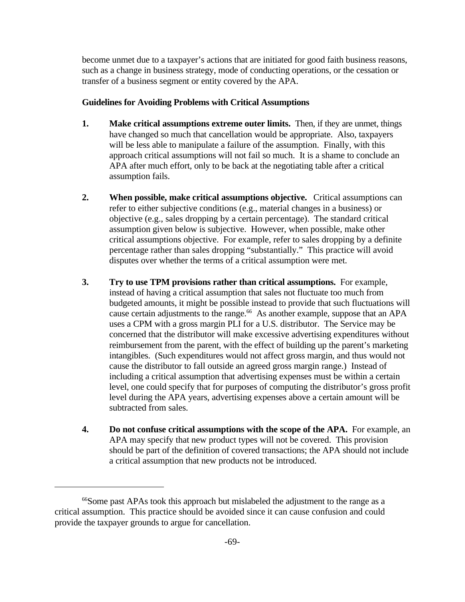become unmet due to a taxpayer's actions that are initiated for good faith business reasons, such as a change in business strategy, mode of conducting operations, or the cessation or transfer of a business segment or entity covered by the APA.

## **Guidelines for Avoiding Problems with Critical Assumptions**

- **1. Make critical assumptions extreme outer limits.** Then, if they are unmet, things have changed so much that cancellation would be appropriate. Also, taxpayers will be less able to manipulate a failure of the assumption. Finally, with this approach critical assumptions will not fail so much. It is a shame to conclude an APA after much effort, only to be back at the negotiating table after a critical assumption fails.
- **2. When possible, make critical assumptions objective.** Critical assumptions can refer to either subjective conditions (e.g., material changes in a business) or objective (e.g., sales dropping by a certain percentage). The standard critical assumption given below is subjective. However, when possible, make other critical assumptions objective. For example, refer to sales dropping by a definite percentage rather than sales dropping "substantially." This practice will avoid disputes over whether the terms of a critical assumption were met.
- **3. Try to use TPM provisions rather than critical assumptions.** For example, instead of having a critical assumption that sales not fluctuate too much from budgeted amounts, it might be possible instead to provide that such fluctuations will cause certain adjustments to the range.<sup>66</sup> As another example, suppose that an APA uses a CPM with a gross margin PLI for a U.S. distributor. The Service may be concerned that the distributor will make excessive advertising expenditures without reimbursement from the parent, with the effect of building up the parent's marketing intangibles. (Such expenditures would not affect gross margin, and thus would not cause the distributor to fall outside an agreed gross margin range.) Instead of including a critical assumption that advertising expenses must be within a certain level, one could specify that for purposes of computing the distributor's gross profit level during the APA years, advertising expenses above a certain amount will be subtracted from sales.
- **4. Do not confuse critical assumptions with the scope of the APA.** For example, an APA may specify that new product types will not be covered. This provision should be part of the definition of covered transactions; the APA should not include a critical assumption that new products not be introduced.

<sup>&</sup>lt;sup>66</sup>Some past APAs took this approach but mislabeled the adjustment to the range as a critical assumption. This practice should be avoided since it can cause confusion and could provide the taxpayer grounds to argue for cancellation.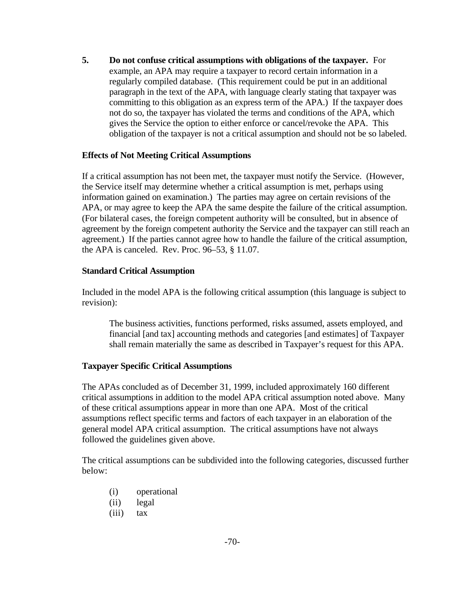**5. Do not confuse critical assumptions with obligations of the taxpayer.** For example, an APA may require a taxpayer to record certain information in a regularly compiled database. (This requirement could be put in an additional paragraph in the text of the APA, with language clearly stating that taxpayer was committing to this obligation as an express term of the APA.) If the taxpayer does not do so, the taxpayer has violated the terms and conditions of the APA, which gives the Service the option to either enforce or cancel/revoke the APA. This obligation of the taxpayer is not a critical assumption and should not be so labeled.

## **Effects of Not Meeting Critical Assumptions**

If a critical assumption has not been met, the taxpayer must notify the Service. (However, the Service itself may determine whether a critical assumption is met, perhaps using information gained on examination.) The parties may agree on certain revisions of the APA, or may agree to keep the APA the same despite the failure of the critical assumption. (For bilateral cases, the foreign competent authority will be consulted, but in absence of agreement by the foreign competent authority the Service and the taxpayer can still reach an agreement.) If the parties cannot agree how to handle the failure of the critical assumption, the APA is canceled. Rev. Proc. 96–53, § 11.07.

## **Standard Critical Assumption**

Included in the model APA is the following critical assumption (this language is subject to revision):

The business activities, functions performed, risks assumed, assets employed, and financial [and tax] accounting methods and categories [and estimates] of Taxpayer shall remain materially the same as described in Taxpayer's request for this APA.

## **Taxpayer Specific Critical Assumptions**

The APAs concluded as of December 31, 1999, included approximately 160 different critical assumptions in addition to the model APA critical assumption noted above. Many of these critical assumptions appear in more than one APA. Most of the critical assumptions reflect specific terms and factors of each taxpayer in an elaboration of the general model APA critical assumption. The critical assumptions have not always followed the guidelines given above.

The critical assumptions can be subdivided into the following categories, discussed further below:

- (i) operational
- (ii) legal
- (iii) tax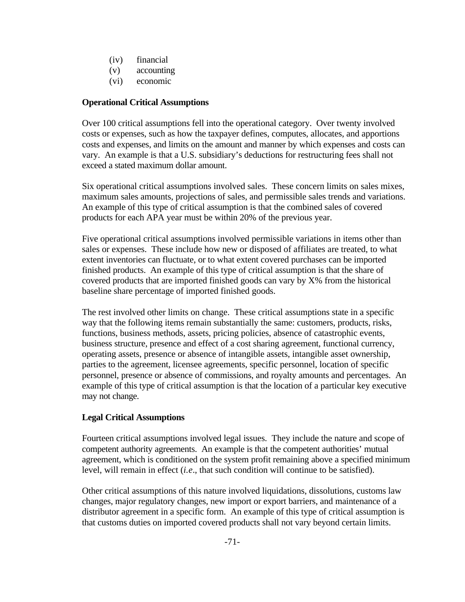- (iv) financial
- (v) accounting
- (vi) economic

# **Operational Critical Assumptions**

Over 100 critical assumptions fell into the operational category. Over twenty involved costs or expenses, such as how the taxpayer defines, computes, allocates, and apportions costs and expenses, and limits on the amount and manner by which expenses and costs can vary. An example is that a U.S. subsidiary's deductions for restructuring fees shall not exceed a stated maximum dollar amount.

Six operational critical assumptions involved sales. These concern limits on sales mixes, maximum sales amounts, projections of sales, and permissible sales trends and variations. An example of this type of critical assumption is that the combined sales of covered products for each APA year must be within 20% of the previous year.

Five operational critical assumptions involved permissible variations in items other than sales or expenses. These include how new or disposed of affiliates are treated, to what extent inventories can fluctuate, or to what extent covered purchases can be imported finished products. An example of this type of critical assumption is that the share of covered products that are imported finished goods can vary by X% from the historical baseline share percentage of imported finished goods.

The rest involved other limits on change. These critical assumptions state in a specific way that the following items remain substantially the same: customers, products, risks, functions, business methods, assets, pricing policies, absence of catastrophic events, business structure, presence and effect of a cost sharing agreement, functional currency, operating assets, presence or absence of intangible assets, intangible asset ownership, parties to the agreement, licensee agreements, specific personnel, location of specific personnel, presence or absence of commissions, and royalty amounts and percentages. An example of this type of critical assumption is that the location of a particular key executive may not change.

# **Legal Critical Assumptions**

Fourteen critical assumptions involved legal issues. They include the nature and scope of competent authority agreements. An example is that the competent authorities' mutual agreement, which is conditioned on the system profit remaining above a specified minimum level, will remain in effect (*i.e*., that such condition will continue to be satisfied).

Other critical assumptions of this nature involved liquidations, dissolutions, customs law changes, major regulatory changes, new import or export barriers, and maintenance of a distributor agreement in a specific form. An example of this type of critical assumption is that customs duties on imported covered products shall not vary beyond certain limits.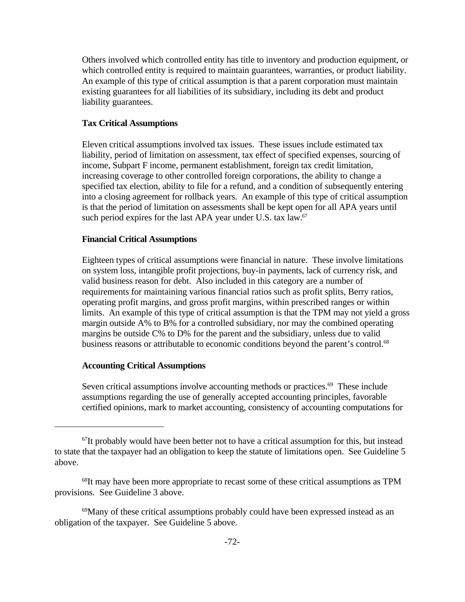Others involved which controlled entity has title to inventory and production equipment, or which controlled entity is required to maintain guarantees, warranties, or product liability. An example of this type of critical assumption is that a parent corporation must maintain existing guarantees for all liabilities of its subsidiary, including its debt and product liability guarantees.

### **Tax Critical Assumptions**

Eleven critical assumptions involved tax issues. These issues include estimated tax liability, period of limitation on assessment, tax effect of specified expenses, sourcing of income, Subpart F income, permanent establishment, foreign tax credit limitation, increasing coverage to other controlled foreign corporations, the ability to change a specified tax election, ability to file for a refund, and a condition of subsequently entering into a closing agreement for rollback years. An example of this type of critical assumption is that the period of limitation on assessments shall be kept open for all APA years until such period expires for the last APA year under U.S. tax law.<sup>67</sup>

## **Financial Critical Assumptions**

Eighteen types of critical assumptions were financial in nature. These involve limitations on system loss, intangible profit projections, buy-in payments, lack of currency risk, and valid business reason for debt. Also included in this category are a number of requirements for maintaining various financial ratios such as profit splits, Berry ratios, operating profit margins, and gross profit margins, within prescribed ranges or within limits. An example of this type of critical assumption is that the TPM may not yield a gross margin outside A% to B% for a controlled subsidiary, nor may the combined operating margins be outside C% to D% for the parent and the subsidiary, unless due to valid business reasons or attributable to economic conditions beyond the parent's control.<sup>68</sup>

### **Accounting Critical Assumptions**

Seven critical assumptions involve accounting methods or practices.<sup>69</sup> These include assumptions regarding the use of generally accepted accounting principles, favorable certified opinions, mark to market accounting, consistency of accounting computations for

 $67$ It probably would have been better not to have a critical assumption for this, but instead to state that the taxpayer had an obligation to keep the statute of limitations open. See Guideline 5 above.

<sup>&</sup>lt;sup>68</sup>It may have been more appropriate to recast some of these critical assumptions as TPM provisions. See Guideline 3 above.

<sup>69</sup>Many of these critical assumptions probably could have been expressed instead as an obligation of the taxpayer. See Guideline 5 above.